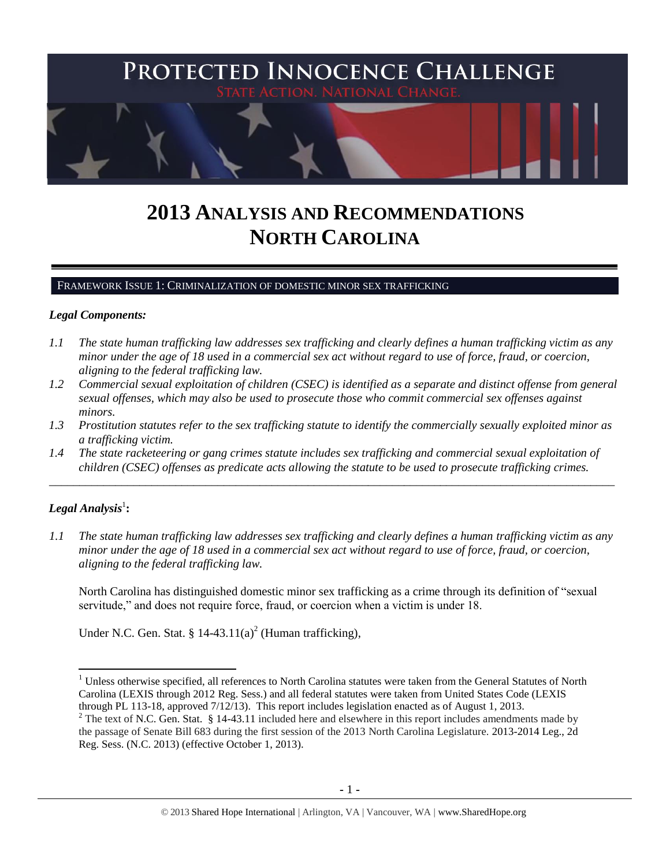

# **2013 ANALYSIS AND RECOMMENDATIONS NORTH CAROLINA**

FRAMEWORK ISSUE 1: CRIMINALIZATION OF DOMESTIC MINOR SEX TRAFFICKING

## *Legal Components:*

- *1.1 The state human trafficking law addresses sex trafficking and clearly defines a human trafficking victim as any minor under the age of 18 used in a commercial sex act without regard to use of force, fraud, or coercion, aligning to the federal trafficking law.*
- *1.2 Commercial sexual exploitation of children (CSEC) is identified as a separate and distinct offense from general sexual offenses, which may also be used to prosecute those who commit commercial sex offenses against minors.*
- *1.3 Prostitution statutes refer to the sex trafficking statute to identify the commercially sexually exploited minor as a trafficking victim.*

\_\_\_\_\_\_\_\_\_\_\_\_\_\_\_\_\_\_\_\_\_\_\_\_\_\_\_\_\_\_\_\_\_\_\_\_\_\_\_\_\_\_\_\_\_\_\_\_\_\_\_\_\_\_\_\_\_\_\_\_\_\_\_\_\_\_\_\_\_\_\_\_\_\_\_\_\_\_\_\_\_\_\_\_\_\_\_\_\_\_\_\_\_\_

*1.4 The state racketeering or gang crimes statute includes sex trafficking and commercial sexual exploitation of children (CSEC) offenses as predicate acts allowing the statute to be used to prosecute trafficking crimes.* 

# $\boldsymbol{Legal}$  Analysis<sup>1</sup>:

l

*1.1 The state human trafficking law addresses sex trafficking and clearly defines a human trafficking victim as any minor under the age of 18 used in a commercial sex act without regard to use of force, fraud, or coercion, aligning to the federal trafficking law.*

North Carolina has distinguished domestic minor sex trafficking as a crime through its definition of "sexual servitude," and does not require force, fraud, or coercion when a victim is under 18.

<span id="page-0-0"></span>Under N.C. Gen. Stat. §  $14-43.11(a)^2$  (Human trafficking),

 $<sup>1</sup>$  Unless otherwise specified, all references to North Carolina statutes were taken from the General Statutes of North</sup> Carolina (LEXIS through 2012 Reg. Sess.) and all federal statutes were taken from United States Code (LEXIS through PL 113-18, approved 7/12/13). This report includes legislation enacted as of August 1, 2013.

 $2$  The text of N.C. Gen. Stat. § 14-43.11 included here and elsewhere in this report includes amendments made by the passage of Senate Bill 683 during the first session of the 2013 North Carolina Legislature. 2013-2014 Leg., 2d Reg. Sess. (N.C. 2013) (effective October 1, 2013).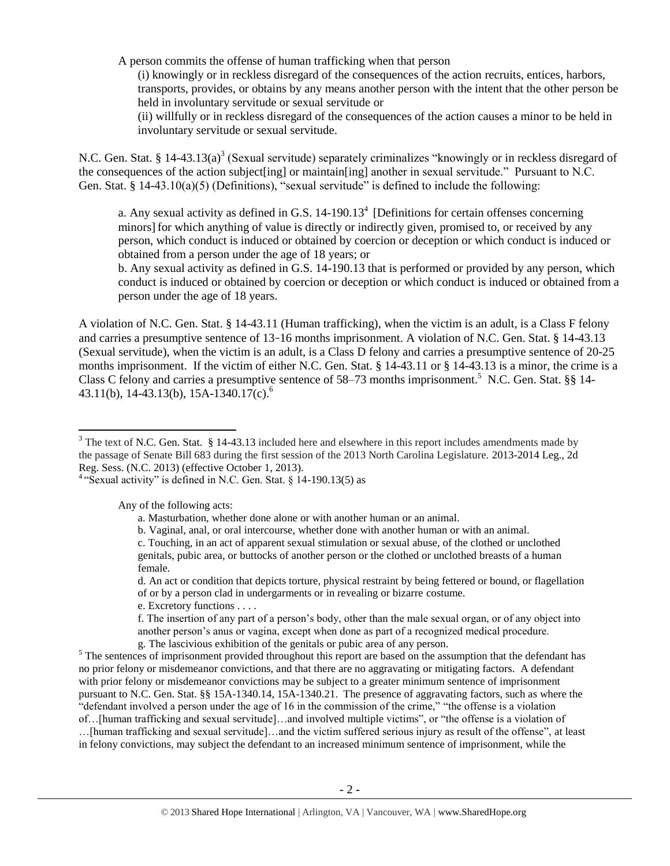A person commits the offense of human trafficking when that person

(i) knowingly or in reckless disregard of the consequences of the action recruits, entices, harbors, transports, provides, or obtains by any means another person with the intent that the other person be held in involuntary servitude or sexual servitude or

<span id="page-1-0"></span>(ii) willfully or in reckless disregard of the consequences of the action causes a minor to be held in involuntary servitude or sexual servitude.

N.C. Gen. Stat. § 14-43.13(a)<sup>3</sup> (Sexual servitude) separately criminalizes "knowingly or in reckless disregard of the consequences of the action subject[ing] or maintain[ing] another in sexual servitude." Pursuant to N.C. Gen. Stat. §  $14-43.10(a)(5)$  (Definitions), "sexual servitude" is defined to include the following:

<span id="page-1-1"></span>a. Any sexual activity as defined in G.S.  $14-190.13<sup>4</sup>$  [Definitions for certain offenses concerning minors] for which anything of value is directly or indirectly given, promised to, or received by any person, which conduct is induced or obtained by coercion or deception or which conduct is induced or obtained from a person under the age of 18 years; or

b. Any sexual activity as defined in G.S. 14-190.13 that is performed or provided by any person, which conduct is induced or obtained by coercion or deception or which conduct is induced or obtained from a person under the age of 18 years.

A violation of N.C. Gen. Stat. § 14-43.11 (Human trafficking), when the victim is an adult, is a Class F felony and carries a presumptive sentence of 13–16 months imprisonment. A violation of N.C. Gen. Stat. § 14-43.13 (Sexual servitude), when the victim is an adult, is a Class D felony and carries a presumptive sentence of 20-25 months imprisonment. If the victim of either N.C. Gen. Stat. § 14-43.11 or § 14-43.13 is a minor, the crime is a Class C felony and carries a presumptive sentence of 58–73 months imprisonment.<sup>5</sup> N.C. Gen. Stat. §§ 14-43.11(b), 14-43.13(b), 15A-1340.17(c).<sup>6</sup>

Any of the following acts:

 $\overline{\phantom{a}}$ 

c. Touching, in an act of apparent sexual stimulation or sexual abuse, of the clothed or unclothed genitals, pubic area, or buttocks of another person or the clothed or unclothed breasts of a human female.

d. An act or condition that depicts torture, physical restraint by being fettered or bound, or flagellation of or by a person clad in undergarments or in revealing or bizarre costume.

e. Excretory functions . . . .

f. The insertion of any part of a person's body, other than the male sexual organ, or of any object into another person's anus or vagina, except when done as part of a recognized medical procedure.

g. The lascivious exhibition of the genitals or pubic area of any person.

<sup>5</sup> The sentences of imprisonment provided throughout this report are based on the assumption that the defendant has no prior felony or misdemeanor convictions, and that there are no aggravating or mitigating factors. A defendant with prior felony or misdemeanor convictions may be subject to a greater minimum sentence of imprisonment pursuant to N.C. Gen. Stat. §§ 15A-1340.14, 15A-1340.21. The presence of aggravating factors, such as where the "defendant involved a person under the age of 16 in the commission of the crime," "the offense is a violation of…[human trafficking and sexual servitude]…and involved multiple victims", or "the offense is a violation of …[human trafficking and sexual servitude]…and the victim suffered serious injury as result of the offense", at least in felony convictions, may subject the defendant to an increased minimum sentence of imprisonment, while the

 $3$  The text of N.C. Gen. Stat. § 14-43.13 included here and elsewhere in this report includes amendments made by the passage of Senate Bill 683 during the first session of the 2013 North Carolina Legislature. 2013-2014 Leg., 2d Reg. Sess. (N.C. 2013) (effective October 1, 2013).

<sup>&</sup>lt;sup>4</sup> "Sexual activity" is defined in N.C. Gen. Stat. § 14-190.13(5) as

a. Masturbation, whether done alone or with another human or an animal.

b. Vaginal, anal, or oral intercourse, whether done with another human or with an animal.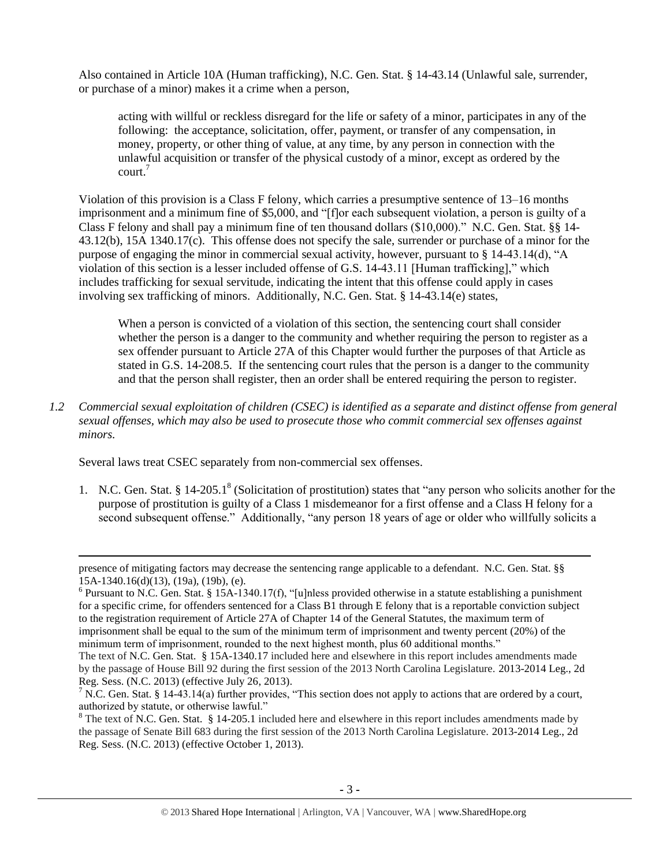Also contained in Article 10A (Human trafficking), N.C. Gen. Stat. § 14-43.14 (Unlawful sale, surrender, or purchase of a minor) makes it a crime when a person,

acting with willful or reckless disregard for the life or safety of a minor, participates in any of the following: the acceptance, solicitation, offer, payment, or transfer of any compensation, in money, property, or other thing of value, at any time, by any person in connection with the unlawful acquisition or transfer of the physical custody of a minor, except as ordered by the court.<sup>7</sup>

Violation of this provision is a Class F felony, which carries a presumptive sentence of 13–16 months imprisonment and a minimum fine of \$5,000, and "[f]or each subsequent violation, a person is guilty of a Class F felony and shall pay a minimum fine of ten thousand dollars (\$10,000)." N.C. Gen. Stat. §§ 14- 43.12(b), 15A 1340.17(c). This offense does not specify the sale, surrender or purchase of a minor for the purpose of engaging the minor in commercial sexual activity, however, pursuant to § 14-43.14(d), "A violation of this section is a lesser included offense of G.S. 14-43.11 [Human trafficking]," which includes trafficking for sexual servitude, indicating the intent that this offense could apply in cases involving sex trafficking of minors. Additionally, N.C. Gen. Stat. § 14-43.14(e) states,

When a person is convicted of a violation of this section, the sentencing court shall consider whether the person is a danger to the community and whether requiring the person to register as a sex offender pursuant to Article 27A of this Chapter would further the purposes of that Article as stated in G.S. 14-208.5. If the sentencing court rules that the person is a danger to the community and that the person shall register, then an order shall be entered requiring the person to register.

*1.2 Commercial sexual exploitation of children (CSEC) is identified as a separate and distinct offense from general sexual offenses, which may also be used to prosecute those who commit commercial sex offenses against minors.*

Several laws treat CSEC separately from non-commercial sex offenses.

 $\overline{\phantom{a}}$ 

<span id="page-2-0"></span>1. N.C. Gen. Stat. § 14-205.1<sup>8</sup> (Solicitation of prostitution) states that "any person who solicits another for the purpose of prostitution is guilty of a Class 1 misdemeanor for a first offense and a Class H felony for a second subsequent offense." Additionally, "any person 18 years of age or older who willfully solicits a

presence of mitigating factors may decrease the sentencing range applicable to a defendant. N.C. Gen. Stat. §§ 15A-1340.16(d)(13), (19a), (19b), (e).

 $6$  Pursuant to N.C. Gen. Stat. § 15A-1340.17(f), "[u]nless provided otherwise in a statute establishing a punishment for a specific crime, for offenders sentenced for a Class B1 through E felony that is a reportable conviction subject to the registration requirement of Article 27A of Chapter 14 of the General Statutes, the maximum term of imprisonment shall be equal to the sum of the minimum term of imprisonment and twenty percent (20%) of the minimum term of imprisonment, rounded to the next highest month, plus 60 additional months."

The text of N.C. Gen. Stat. § 15A-1340.17 included here and elsewhere in this report includes amendments made by the passage of House Bill 92 during the first session of the 2013 North Carolina Legislature. 2013-2014 Leg., 2d Reg. Sess. (N.C. 2013) (effective July 26, 2013).

<sup>&</sup>lt;sup>7</sup> N.C. Gen. Stat. § 14-43.14(a) further provides, "This section does not apply to actions that are ordered by a court, authorized by statute, or otherwise lawful."

 $8$  The text of N.C. Gen. Stat. § 14-205.1 included here and elsewhere in this report includes amendments made by the passage of Senate Bill 683 during the first session of the 2013 North Carolina Legislature. 2013-2014 Leg., 2d Reg. Sess. (N.C. 2013) (effective October 1, 2013).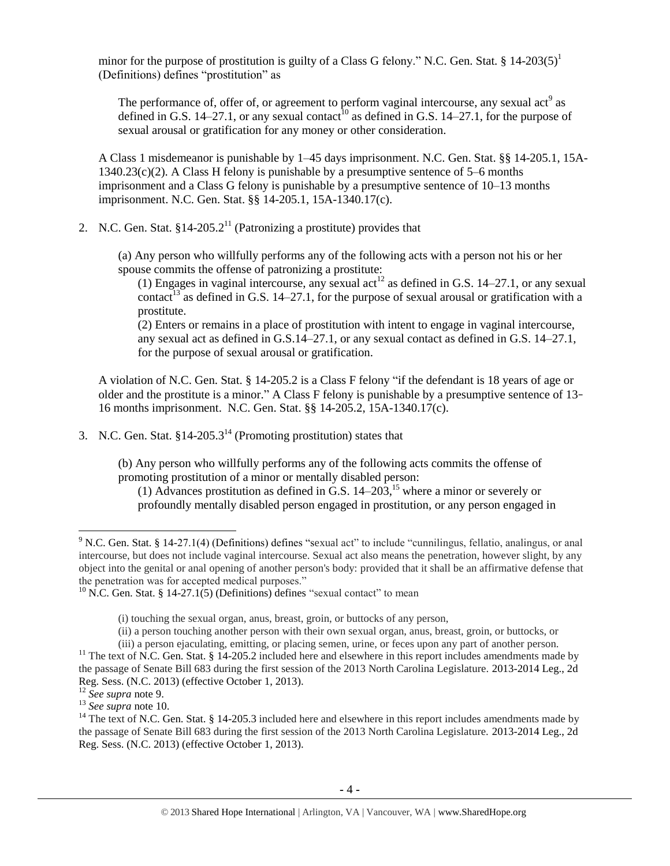minor for the purpose of prostitution is guilty of a Class G felony." N.C. Gen. Stat.  $\S 14{\text -}203(5)^1$ (Definitions) defines "prostitution" as

<span id="page-3-1"></span><span id="page-3-0"></span>The performance of, offer of, or agreement to perform vaginal intercourse, any sexual act<sup>9</sup> as defined in G.S. 14–27.1, or any sexual contact<sup>10</sup> as defined in G.S. 14–27.1, for the purpose of sexual arousal or gratification for any money or other consideration.

A Class 1 misdemeanor is punishable by 1–45 days imprisonment. N.C. Gen. Stat. §§ 14-205.1, 15A- $1340.23(c)(2)$ . A Class H felony is punishable by a presumptive sentence of 5–6 months imprisonment and a Class G felony is punishable by a presumptive sentence of 10–13 months imprisonment. N.C. Gen. Stat. §§ 14-205.1, 15A-1340.17(c).

2. N.C. Gen. Stat.  $§14-205.2<sup>11</sup>$  (Patronizing a prostitute) provides that

(a) Any person who willfully performs any of the following acts with a person not his or her spouse commits the offense of patronizing a prostitute:

<span id="page-3-2"></span>(1) Engages in vaginal intercourse, any sexual act<sup>12</sup> as defined in G.S. 14–27.1, or any sexual contact<sup>13</sup> as defined in G.S. 14–27.1, for the purpose of sexual arousal or gratification with a prostitute.

(2) Enters or remains in a place of prostitution with intent to engage in vaginal intercourse, any sexual act as defined in G.S.14–27.1, or any sexual contact as defined in G.S. 14–27.1, for the purpose of sexual arousal or gratification.

A violation of N.C. Gen. Stat. § 14-205.2 is a Class F felony "if the defendant is 18 years of age or older and the prostitute is a minor." A Class F felony is punishable by a presumptive sentence of 13– 16 months imprisonment. N.C. Gen. Stat. §§ 14-205.2, 15A-1340.17(c).

3. N.C. Gen. Stat.  $§14-205.3^{14}$  (Promoting prostitution) states that

(b) Any person who willfully performs any of the following acts commits the offense of promoting prostitution of a minor or mentally disabled person:

<span id="page-3-4"></span><span id="page-3-3"></span>(1) Advances prostitution as defined in G.S.  $14-203$ ,<sup>15</sup> where a minor or severely or profoundly mentally disabled person engaged in prostitution, or any person engaged in

 $\overline{a}$ 

<sup>9</sup> N.C. Gen. Stat. § 14-27.1(4) (Definitions) defines "sexual act" to include "cunnilingus, fellatio, analingus, or anal intercourse, but does not include vaginal intercourse. Sexual act also means the penetration, however slight, by any object into the genital or anal opening of another person's body: provided that it shall be an affirmative defense that the penetration was for accepted medical purposes."

 $10$  N.C. Gen. Stat. § 14-27.1(5) (Definitions) defines "sexual contact" to mean

<sup>(</sup>i) touching the sexual organ, anus, breast, groin, or buttocks of any person,

<sup>(</sup>ii) a person touching another person with their own sexual organ, anus, breast, groin, or buttocks, or

<sup>(</sup>iii) a person ejaculating, emitting, or placing semen, urine, or feces upon any part of another person.  $11$  The text of N.C. Gen. Stat. § 14-205.2 included here and elsewhere in this report includes amendments made by the passage of Senate Bill 683 during the first session of the 2013 North Carolina Legislature. 2013-2014 Leg., 2d

Reg. Sess. (N.C. 2013) (effective October 1, 2013).

<sup>12</sup> *See supra* note [9.](#page-3-0)

<sup>13</sup> *See supra* note [10.](#page-3-1)

<sup>&</sup>lt;sup>14</sup> The text of N.C. Gen. Stat. § 14-205.3 included here and elsewhere in this report includes amendments made by the passage of Senate Bill 683 during the first session of the 2013 North Carolina Legislature. 2013-2014 Leg., 2d Reg. Sess. (N.C. 2013) (effective October 1, 2013).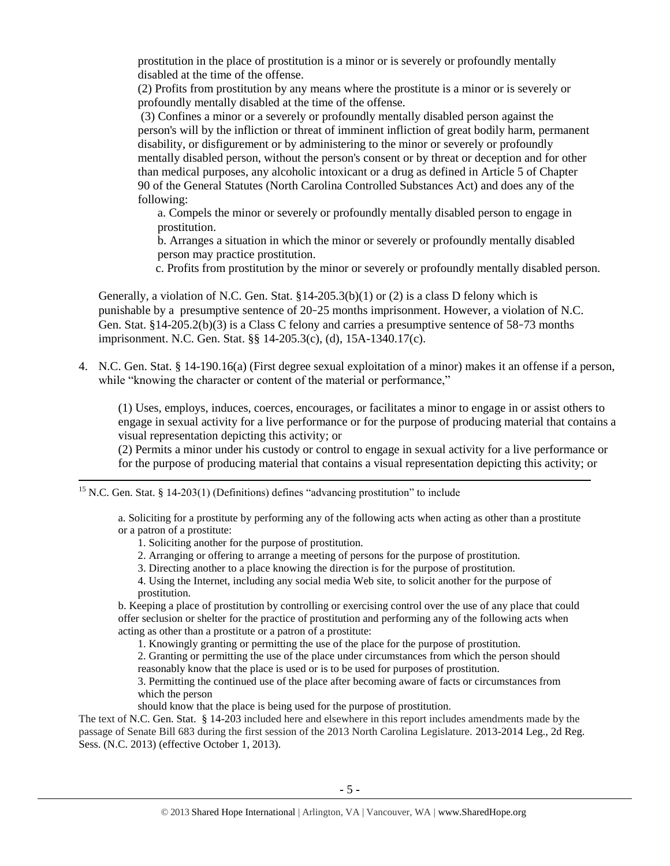prostitution in the place of prostitution is a minor or is severely or profoundly mentally disabled at the time of the offense.

(2) Profits from prostitution by any means where the prostitute is a minor or is severely or profoundly mentally disabled at the time of the offense.

(3) Confines a minor or a severely or profoundly mentally disabled person against the person's will by the infliction or threat of imminent infliction of great bodily harm, permanent disability, or disfigurement or by administering to the minor or severely or profoundly mentally disabled person, without the person's consent or by threat or deception and for other than medical purposes, any alcoholic intoxicant or a drug as defined in Article 5 of Chapter 90 of the General Statutes (North Carolina Controlled Substances Act) and does any of the following:

a. Compels the minor or severely or profoundly mentally disabled person to engage in prostitution.

b. Arranges a situation in which the minor or severely or profoundly mentally disabled person may practice prostitution.

c. Profits from prostitution by the minor or severely or profoundly mentally disabled person.

Generally, a violation of N.C. Gen. Stat.  $\S 14-205.3(b)(1)$  or (2) is a class D felony which is punishable by a presumptive sentence of 20–25 months imprisonment. However, a violation of N.C. Gen. Stat. §14-205.2(b)(3) is a Class C felony and carries a presumptive sentence of 58–73 months imprisonment. N.C. Gen. Stat. §§ 14-205.3(c), (d), 15A-1340.17(c).

4. N.C. Gen. Stat. § 14-190.16(a) (First degree sexual exploitation of a minor) makes it an offense if a person, while "knowing the character or content of the material or performance,"

(1) Uses, employs, induces, coerces, encourages, or facilitates a minor to engage in or assist others to engage in sexual activity for a live performance or for the purpose of producing material that contains a visual representation depicting this activity; or

(2) Permits a minor under his custody or control to engage in sexual activity for a live performance or for the purpose of producing material that contains a visual representation depicting this activity; or

<sup>15</sup> N.C. Gen. Stat. § 14-203(1) (Definitions) defines "advancing prostitution" to include

a. Soliciting for a prostitute by performing any of the following acts when acting as other than a prostitute or a patron of a prostitute:

1. Soliciting another for the purpose of prostitution.

 $\overline{\phantom{a}}$ 

- 2. Arranging or offering to arrange a meeting of persons for the purpose of prostitution.
- 3. Directing another to a place knowing the direction is for the purpose of prostitution.

4. Using the Internet, including any social media Web site, to solicit another for the purpose of prostitution.

b. Keeping a place of prostitution by controlling or exercising control over the use of any place that could offer seclusion or shelter for the practice of prostitution and performing any of the following acts when acting as other than a prostitute or a patron of a prostitute:

1. Knowingly granting or permitting the use of the place for the purpose of prostitution.

2. Granting or permitting the use of the place under circumstances from which the person should reasonably know that the place is used or is to be used for purposes of prostitution.

3. Permitting the continued use of the place after becoming aware of facts or circumstances from which the person

should know that the place is being used for the purpose of prostitution.

The text of N.C. Gen. Stat. § 14-203 included here and elsewhere in this report includes amendments made by the passage of Senate Bill 683 during the first session of the 2013 North Carolina Legislature. 2013-2014 Leg., 2d Reg. Sess. (N.C. 2013) (effective October 1, 2013).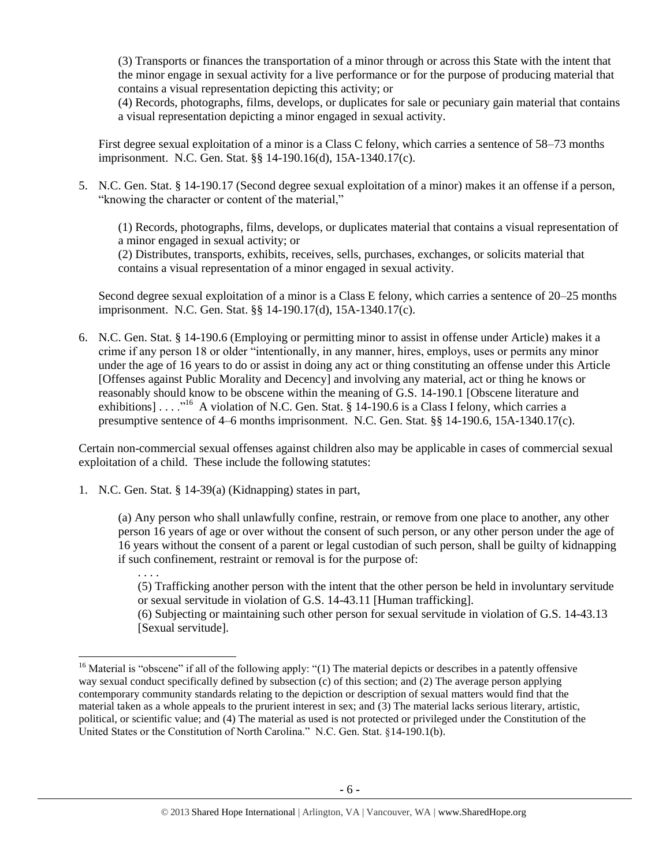(3) Transports or finances the transportation of a minor through or across this State with the intent that the minor engage in sexual activity for a live performance or for the purpose of producing material that contains a visual representation depicting this activity; or

(4) Records, photographs, films, develops, or duplicates for sale or pecuniary gain material that contains a visual representation depicting a minor engaged in sexual activity.

First degree sexual exploitation of a minor is a Class C felony, which carries a sentence of 58–73 months imprisonment. N.C. Gen. Stat. §§ 14-190.16(d), 15A-1340.17(c).

5. N.C. Gen. Stat. § 14-190.17 (Second degree sexual exploitation of a minor) makes it an offense if a person, "knowing the character or content of the material,"

(1) Records, photographs, films, develops, or duplicates material that contains a visual representation of a minor engaged in sexual activity; or

(2) Distributes, transports, exhibits, receives, sells, purchases, exchanges, or solicits material that contains a visual representation of a minor engaged in sexual activity.

Second degree sexual exploitation of a minor is a Class E felony, which carries a sentence of 20–25 months imprisonment. N.C. Gen. Stat. §§ 14-190.17(d), 15A-1340.17(c).

6. N.C. Gen. Stat. § 14-190.6 (Employing or permitting minor to assist in offense under Article) makes it a crime if any person 18 or older "intentionally, in any manner, hires, employs, uses or permits any minor under the age of 16 years to do or assist in doing any act or thing constituting an offense under this Article [Offenses against Public Morality and Decency] and involving any material, act or thing he knows or reasonably should know to be obscene within the meaning of G.S. 14-190.1 [Obscene literature and exhibitions] . . . . "<sup>16</sup> A violation of N.C. Gen. Stat. § 14-190.6 is a Class I felony, which carries a presumptive sentence of 4–6 months imprisonment. N.C. Gen. Stat. §§ 14-190.6, 15A-1340.17(c).

Certain non-commercial sexual offenses against children also may be applicable in cases of commercial sexual exploitation of a child. These include the following statutes:

1. N.C. Gen. Stat. § 14-39(a) (Kidnapping) states in part,

 $\overline{\phantom{a}}$ 

(a) Any person who shall unlawfully confine, restrain, or remove from one place to another, any other person 16 years of age or over without the consent of such person, or any other person under the age of 16 years without the consent of a parent or legal custodian of such person, shall be guilty of kidnapping if such confinement, restraint or removal is for the purpose of:

. . . . (5) Trafficking another person with the intent that the other person be held in involuntary servitude or sexual servitude in violation of G.S. 14-43.11 [Human trafficking].

(6) Subjecting or maintaining such other person for sexual servitude in violation of G.S. 14-43.13 [Sexual servitude].

<sup>&</sup>lt;sup>16</sup> Material is "obscene" if all of the following apply: "(1) The material depicts or describes in a patently offensive way sexual conduct specifically defined by subsection (c) of this section; and (2) The average person applying contemporary community standards relating to the depiction or description of sexual matters would find that the material taken as a whole appeals to the prurient interest in sex; and (3) The material lacks serious literary, artistic, political, or scientific value; and (4) The material as used is not protected or privileged under the Constitution of the United States or the Constitution of North Carolina." N.C. Gen. Stat. §14-190.1(b).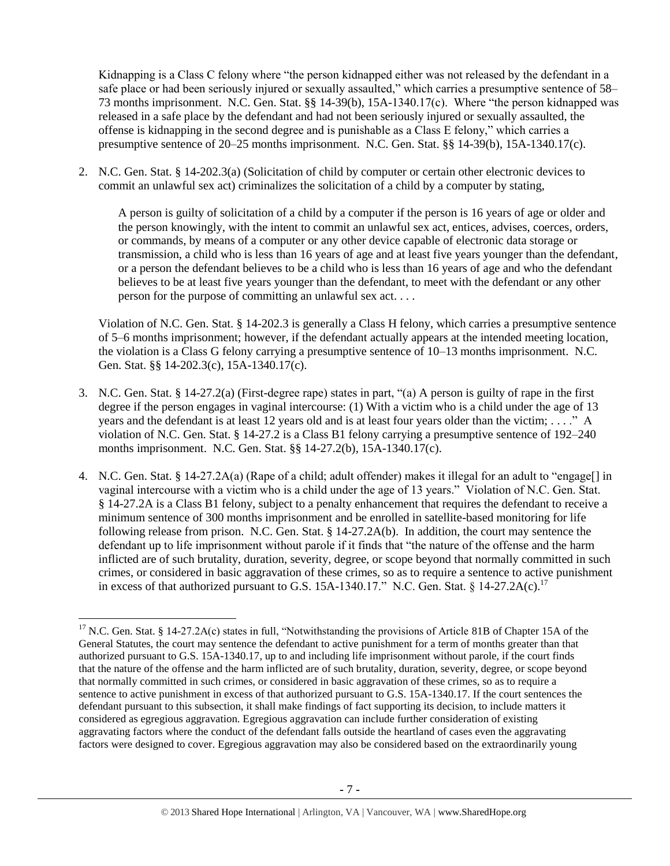Kidnapping is a Class C felony where "the person kidnapped either was not released by the defendant in a safe place or had been seriously injured or sexually assaulted," which carries a presumptive sentence of 58– 73 months imprisonment. N.C. Gen. Stat. §§ 14-39(b), 15A-1340.17(c). Where "the person kidnapped was released in a safe place by the defendant and had not been seriously injured or sexually assaulted, the offense is kidnapping in the second degree and is punishable as a Class E felony," which carries a presumptive sentence of 20–25 months imprisonment. N.C. Gen. Stat. §§ 14-39(b), 15A-1340.17(c).

2. N.C. Gen. Stat. § 14-202.3(a) (Solicitation of child by computer or certain other electronic devices to commit an unlawful sex act) criminalizes the solicitation of a child by a computer by stating,

A person is guilty of solicitation of a child by a computer if the person is 16 years of age or older and the person knowingly, with the intent to commit an unlawful sex act, entices, advises, coerces, orders, or commands, by means of a computer or any other device capable of electronic data storage or transmission, a child who is less than 16 years of age and at least five years younger than the defendant, or a person the defendant believes to be a child who is less than 16 years of age and who the defendant believes to be at least five years younger than the defendant, to meet with the defendant or any other person for the purpose of committing an unlawful sex act. . . .

Violation of N.C. Gen. Stat. § 14-202.3 is generally a Class H felony, which carries a presumptive sentence of 5–6 months imprisonment; however, if the defendant actually appears at the intended meeting location, the violation is a Class G felony carrying a presumptive sentence of 10–13 months imprisonment. N.C. Gen. Stat. §§ 14-202.3(c), 15A-1340.17(c).

- 3. N.C. Gen. Stat. § 14-27.2(a) (First-degree rape) states in part, "(a) A person is guilty of rape in the first degree if the person engages in vaginal intercourse: (1) With a victim who is a child under the age of 13 years and the defendant is at least 12 years old and is at least four years older than the victim; . . . ." A violation of N.C. Gen. Stat. § 14-27.2 is a Class B1 felony carrying a presumptive sentence of 192–240 months imprisonment. N.C. Gen. Stat. §§ 14-27.2(b), 15A-1340.17(c).
- 4. N.C. Gen. Stat. § 14-27.2A(a) (Rape of a child; adult offender) makes it illegal for an adult to "engage[] in vaginal intercourse with a victim who is a child under the age of 13 years." Violation of N.C. Gen. Stat. § 14-27.2A is a Class B1 felony, subject to a penalty enhancement that requires the defendant to receive a minimum sentence of 300 months imprisonment and be enrolled in satellite-based monitoring for life following release from prison. N.C. Gen. Stat. § 14-27.2A(b). In addition, the court may sentence the defendant up to life imprisonment without parole if it finds that "the nature of the offense and the harm inflicted are of such brutality, duration, severity, degree, or scope beyond that normally committed in such crimes, or considered in basic aggravation of these crimes, so as to require a sentence to active punishment in excess of that authorized pursuant to G.S. 15A-1340.17." N.C. Gen. Stat. § 14-27.2A(c).<sup>17</sup>

 $\overline{\phantom{a}}$ 

<sup>&</sup>lt;sup>17</sup> N.C. Gen. Stat. § 14-27.2A(c) states in full, "Notwithstanding the provisions of Article 81B of Chapter 15A of the General Statutes, the court may sentence the defendant to active punishment for a term of months greater than that authorized pursuant to G.S. 15A-1340.17, up to and including life imprisonment without parole, if the court finds that the nature of the offense and the harm inflicted are of such brutality, duration, severity, degree, or scope beyond that normally committed in such crimes, or considered in basic aggravation of these crimes, so as to require a sentence to active punishment in excess of that authorized pursuant to G.S. 15A-1340.17. If the court sentences the defendant pursuant to this subsection, it shall make findings of fact supporting its decision, to include matters it considered as egregious aggravation. Egregious aggravation can include further consideration of existing aggravating factors where the conduct of the defendant falls outside the heartland of cases even the aggravating factors were designed to cover. Egregious aggravation may also be considered based on the extraordinarily young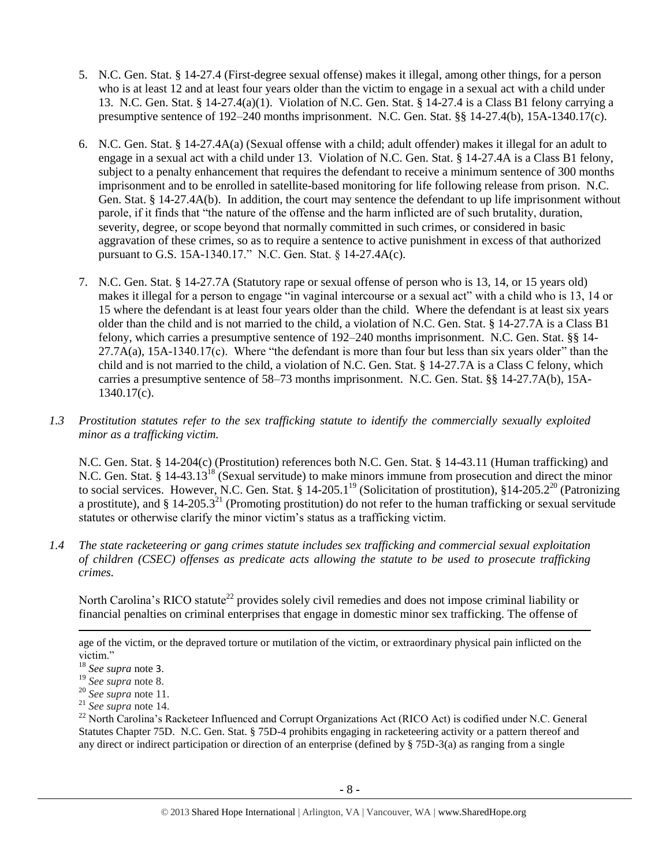- 5. N.C. Gen. Stat. § 14-27.4 (First-degree sexual offense) makes it illegal, among other things, for a person who is at least 12 and at least four years older than the victim to engage in a sexual act with a child under 13. N.C. Gen. Stat. § 14-27.4(a)(1). Violation of N.C. Gen. Stat. § 14-27.4 is a Class B1 felony carrying a presumptive sentence of 192–240 months imprisonment. N.C. Gen. Stat. §§ 14-27.4(b), 15A-1340.17(c).
- 6. N.C. Gen. Stat. § 14-27.4A(a) (Sexual offense with a child; adult offender) makes it illegal for an adult to engage in a sexual act with a child under 13. Violation of N.C. Gen. Stat. § 14-27.4A is a Class B1 felony, subject to a penalty enhancement that requires the defendant to receive a minimum sentence of 300 months imprisonment and to be enrolled in satellite-based monitoring for life following release from prison. N.C. Gen. Stat. § 14-27.4A(b). In addition, the court may sentence the defendant to up life imprisonment without parole, if it finds that "the nature of the offense and the harm inflicted are of such brutality, duration, severity, degree, or scope beyond that normally committed in such crimes, or considered in basic aggravation of these crimes, so as to require a sentence to active punishment in excess of that authorized pursuant to G.S. 15A-1340.17." N.C. Gen. Stat. § 14-27.4A(c).
- 7. N.C. Gen. Stat. § 14-27.7A (Statutory rape or sexual offense of person who is 13, 14, or 15 years old) makes it illegal for a person to engage "in vaginal intercourse or a sexual act" with a child who is 13, 14 or 15 where the defendant is at least four years older than the child. Where the defendant is at least six years older than the child and is not married to the child, a violation of N.C. Gen. Stat. § 14-27.7A is a Class B1 felony, which carries a presumptive sentence of 192–240 months imprisonment. N.C. Gen. Stat. §§ 14-  $27.7A(a)$ ,  $15A-1340.17(c)$ . Where "the defendant is more than four but less than six years older" than the child and is not married to the child, a violation of N.C. Gen. Stat. § 14-27.7A is a Class C felony, which carries a presumptive sentence of 58–73 months imprisonment. N.C. Gen. Stat. §§ 14-27.7A(b), 15A-1340.17(c).
- *1.3 Prostitution statutes refer to the sex trafficking statute to identify the commercially sexually exploited minor as a trafficking victim.*

N.C. Gen. Stat. § 14-204(c) (Prostitution) references both N.C. Gen. Stat. § 14-43.11 (Human trafficking) and N.C. Gen. Stat. § 14-43.13<sup>18</sup> (Sexual servitude) to make minors immune from prosecution and direct the minor to social services. However, N.C. Gen. Stat.  $\frac{1}{8}$  14-205.1<sup>19</sup> (Solicitation of prostitution),  $\frac{1}{8}$ 14-205.2<sup>20</sup> (Patronizing a prostitute), and  $\S 14$ -205.3<sup>21</sup> (Promoting prostitution) do not refer to the human trafficking or sexual servitude statutes or otherwise clarify the minor victim's status as a trafficking victim.

*1.4 The state racketeering or gang crimes statute includes sex trafficking and commercial sexual exploitation of children (CSEC) offenses as predicate acts allowing the statute to be used to prosecute trafficking crimes.* 

North Carolina's RICO statute<sup>22</sup> provides solely civil remedies and does not impose criminal liability or financial penalties on criminal enterprises that engage in domestic minor sex trafficking. The offense of

age of the victim, or the depraved torture or mutilation of the victim, or extraordinary physical pain inflicted on the victim."

 $\overline{\phantom{a}}$ 

<sup>18</sup> *See supra* note [3](#page-1-0).

<sup>19</sup> *See supra* note [8.](#page-2-0)

<sup>20</sup> *See supra* note [11.](#page-3-2)

<sup>21</sup> *See supra* note [14.](#page-3-3)

<sup>&</sup>lt;sup>22</sup> North Carolina's Racketeer Influenced and Corrupt Organizations Act (RICO Act) is codified under N.C. General Statutes Chapter 75D. N.C. Gen. Stat. § 75D-4 prohibits engaging in racketeering activity or a pattern thereof and any direct or indirect participation or direction of an enterprise (defined by § 75D-3(a) as ranging from a single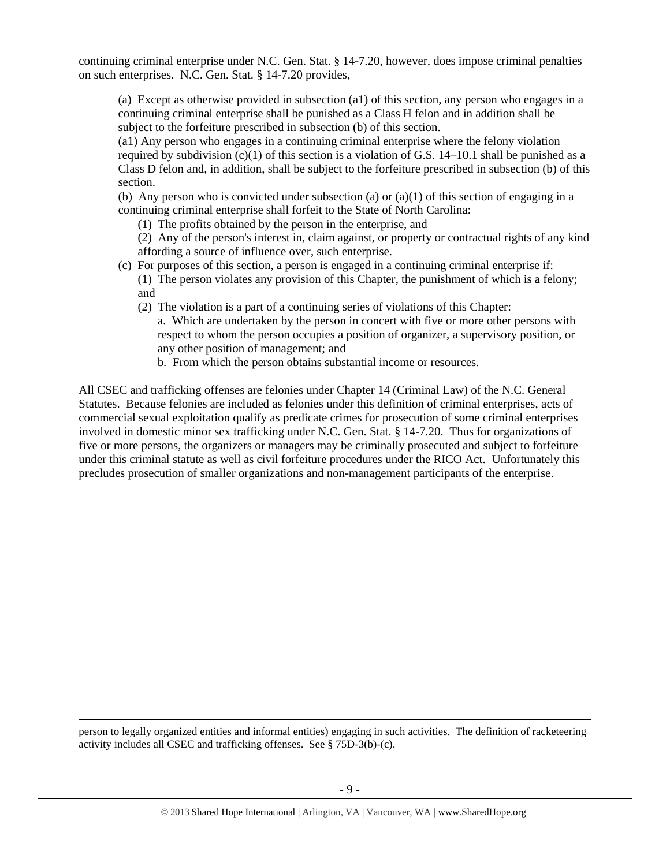continuing criminal enterprise under N.C. Gen. Stat. § 14-7.20, however, does impose criminal penalties on such enterprises. N.C. Gen. Stat. § 14-7.20 provides,

(a) Except as otherwise provided in subsection (a1) of this section, any person who engages in a continuing criminal enterprise shall be punished as a Class H felon and in addition shall be subject to the forfeiture prescribed in subsection (b) of this section.

(a1) Any person who engages in a continuing criminal enterprise where the felony violation required by subdivision  $(c)(1)$  of this section is a violation of G.S. 14–10.1 shall be punished as a Class D felon and, in addition, shall be subject to the forfeiture prescribed in subsection (b) of this section.

(b) Any person who is convicted under subsection (a) or  $(a)(1)$  of this section of engaging in a continuing criminal enterprise shall forfeit to the State of North Carolina:

(1) The profits obtained by the person in the enterprise, and

(2) Any of the person's interest in, claim against, or property or contractual rights of any kind affording a source of influence over, such enterprise.

- (c) For purposes of this section, a person is engaged in a continuing criminal enterprise if:
	- (1) The person violates any provision of this Chapter, the punishment of which is a felony; and
	- (2) The violation is a part of a continuing series of violations of this Chapter:
		- a. Which are undertaken by the person in concert with five or more other persons with respect to whom the person occupies a position of organizer, a supervisory position, or any other position of management; and
		- b. From which the person obtains substantial income or resources.

All CSEC and trafficking offenses are felonies under Chapter 14 (Criminal Law) of the N.C. General Statutes. Because felonies are included as felonies under this definition of criminal enterprises, acts of commercial sexual exploitation qualify as predicate crimes for prosecution of some criminal enterprises involved in domestic minor sex trafficking under N.C. Gen. Stat. § 14-7.20. Thus for organizations of five or more persons, the organizers or managers may be criminally prosecuted and subject to forfeiture under this criminal statute as well as civil forfeiture procedures under the RICO Act. Unfortunately this precludes prosecution of smaller organizations and non-management participants of the enterprise.

person to legally organized entities and informal entities) engaging in such activities. The definition of racketeering activity includes all CSEC and trafficking offenses. See § 75D-3(b)-(c).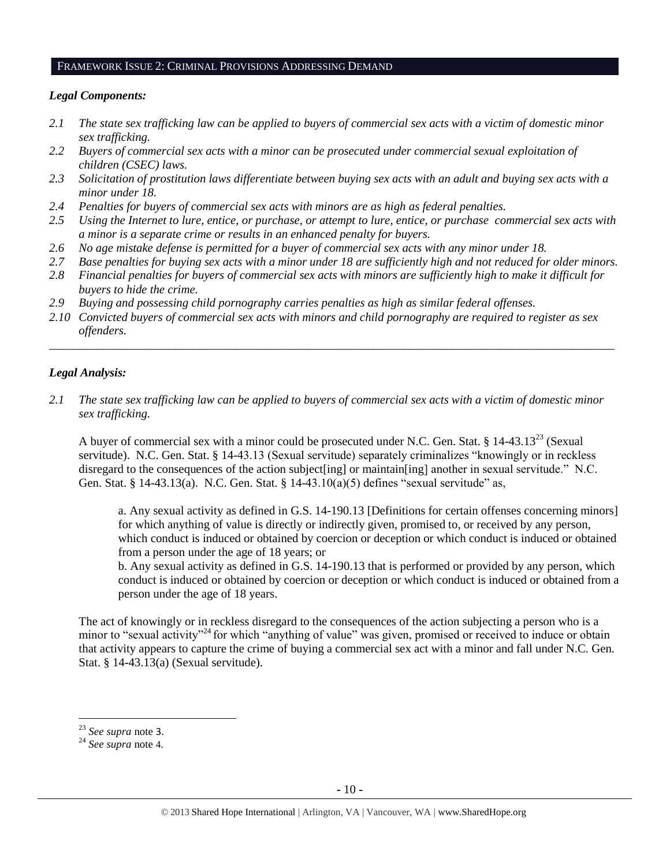#### FRAMEWORK ISSUE 2: CRIMINAL PROVISIONS ADDRESSING DEMAND

#### *Legal Components:*

- *2.1 The state sex trafficking law can be applied to buyers of commercial sex acts with a victim of domestic minor sex trafficking.*
- *2.2 Buyers of commercial sex acts with a minor can be prosecuted under commercial sexual exploitation of children (CSEC) laws.*
- *2.3 Solicitation of prostitution laws differentiate between buying sex acts with an adult and buying sex acts with a minor under 18.*
- *2.4 Penalties for buyers of commercial sex acts with minors are as high as federal penalties.*
- *2.5 Using the Internet to lure, entice, or purchase, or attempt to lure, entice, or purchase commercial sex acts with a minor is a separate crime or results in an enhanced penalty for buyers.*
- *2.6 No age mistake defense is permitted for a buyer of commercial sex acts with any minor under 18.*
- *2.7 Base penalties for buying sex acts with a minor under 18 are sufficiently high and not reduced for older minors.*
- *2.8 Financial penalties for buyers of commercial sex acts with minors are sufficiently high to make it difficult for buyers to hide the crime.*
- *2.9 Buying and possessing child pornography carries penalties as high as similar federal offenses.*
- *2.10 Convicted buyers of commercial sex acts with minors and child pornography are required to register as sex offenders.*

\_\_\_\_\_\_\_\_\_\_\_\_\_\_\_\_\_\_\_\_\_\_\_\_\_\_\_\_\_\_\_\_\_\_\_\_\_\_\_\_\_\_\_\_\_\_\_\_\_\_\_\_\_\_\_\_\_\_\_\_\_\_\_\_\_\_\_\_\_\_\_\_\_\_\_\_\_\_\_\_\_\_\_\_\_\_\_\_\_\_\_\_\_\_

#### *Legal Analysis:*

*2.1 The state sex trafficking law can be applied to buyers of commercial sex acts with a victim of domestic minor sex trafficking.* 

A buyer of commercial sex with a minor could be prosecuted under N.C. Gen. Stat. § 14-43.13<sup>23</sup> (Sexual servitude). N.C. Gen. Stat. § 14-43.13 (Sexual servitude) separately criminalizes "knowingly or in reckless disregard to the consequences of the action subject[ing] or maintain[ing] another in sexual servitude." N.C. Gen. Stat. § 14-43.13(a). N.C. Gen. Stat. § 14-43.10(a)(5) defines "sexual servitude" as,

a. Any sexual activity as defined in G.S. 14-190.13 [Definitions for certain offenses concerning minors] for which anything of value is directly or indirectly given, promised to, or received by any person, which conduct is induced or obtained by coercion or deception or which conduct is induced or obtained from a person under the age of 18 years; or

b. Any sexual activity as defined in G.S. 14-190.13 that is performed or provided by any person, which conduct is induced or obtained by coercion or deception or which conduct is induced or obtained from a person under the age of 18 years.

The act of knowingly or in reckless disregard to the consequences of the action subjecting a person who is a minor to "sexual activity"<sup>24</sup> for which "anything of value" was given, promised or received to induce or obtain that activity appears to capture the crime of buying a commercial sex act with a minor and fall under N.C. Gen. Stat. § 14-43.13(a) (Sexual servitude).

<sup>23</sup> *See supra* note [3](#page-1-0).

<sup>24</sup> *See supra* note [4](#page-1-1).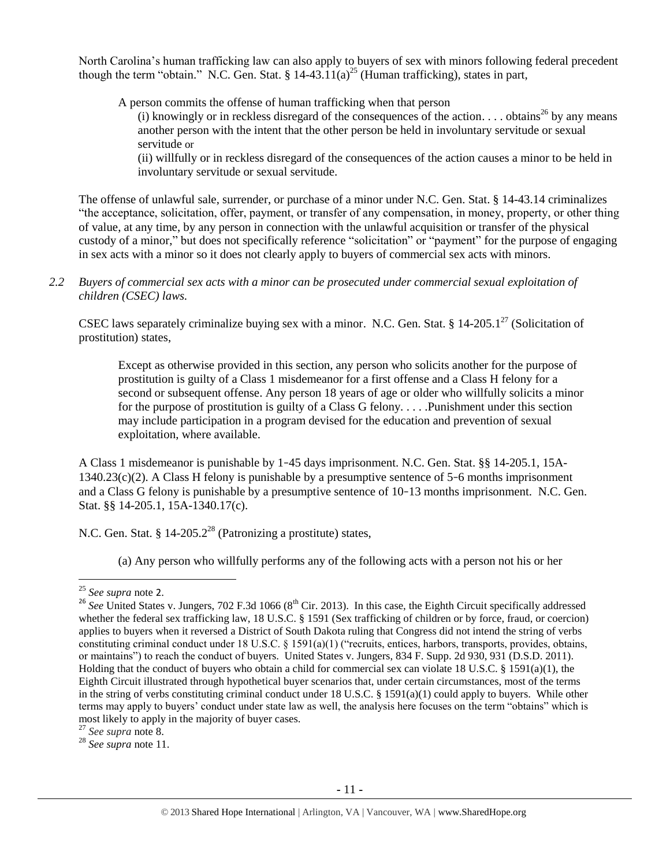North Carolina's human trafficking law can also apply to buyers of sex with minors following federal precedent though the term "obtain." N.C. Gen. Stat. § 14-43.11(a)<sup>25</sup> (Human trafficking), states in part,

A person commits the offense of human trafficking when that person

(i) knowingly or in reckless disregard of the consequences of the action. . . . obtains<sup>26</sup> by any means another person with the intent that the other person be held in involuntary servitude or sexual servitude or

(ii) willfully or in reckless disregard of the consequences of the action causes a minor to be held in involuntary servitude or sexual servitude.

The offense of unlawful sale, surrender, or purchase of a minor under N.C. Gen. Stat. § 14-43.14 criminalizes "the acceptance, solicitation, offer, payment, or transfer of any compensation, in money, property, or other thing of value, at any time, by any person in connection with the unlawful acquisition or transfer of the physical custody of a minor," but does not specifically reference "solicitation" or "payment" for the purpose of engaging in sex acts with a minor so it does not clearly apply to buyers of commercial sex acts with minors.

*2.2 Buyers of commercial sex acts with a minor can be prosecuted under commercial sexual exploitation of children (CSEC) laws.*

CSEC laws separately criminalize buying sex with a minor. N.C. Gen. Stat. § 14-205.1<sup>27</sup> (Solicitation of prostitution) states,

Except as otherwise provided in this section, any person who solicits another for the purpose of prostitution is guilty of a Class 1 misdemeanor for a first offense and a Class H felony for a second or subsequent offense. Any person 18 years of age or older who willfully solicits a minor for the purpose of prostitution is guilty of a Class G felony. . . . .Punishment under this section may include participation in a program devised for the education and prevention of sexual exploitation, where available.

A Class 1 misdemeanor is punishable by 1–45 days imprisonment. N.C. Gen. Stat. §§ 14-205.1, 15A-1340.23(c)(2). A Class H felony is punishable by a presumptive sentence of 5–6 months imprisonment and a Class G felony is punishable by a presumptive sentence of 10–13 months imprisonment. N.C. Gen. Stat. §§ 14-205.1, 15A-1340.17(c).

N.C. Gen. Stat. § 14-205.2<sup>28</sup> (Patronizing a prostitute) states,

(a) Any person who willfully performs any of the following acts with a person not his or her

 $\overline{a}$ 

<sup>25</sup> *See supra* note [2](#page-0-0).

 $^{26}$  *See* United States v. Jungers, 702 F.3d 1066 ( $8^{th}$  Cir. 2013). In this case, the Eighth Circuit specifically addressed whether the federal sex trafficking law, 18 U.S.C. § 1591 (Sex trafficking of children or by force, fraud, or coercion) applies to buyers when it reversed a District of South Dakota ruling that Congress did not intend the string of verbs constituting criminal conduct under 18 U.S.C. § 1591(a)(1) ("recruits, entices, harbors, transports, provides, obtains, or maintains") to reach the conduct of buyers. United States v. Jungers, 834 F. Supp. 2d 930, 931 (D.S.D. 2011). Holding that the conduct of buyers who obtain a child for commercial sex can violate 18 U.S.C. § 1591(a)(1), the Eighth Circuit illustrated through hypothetical buyer scenarios that, under certain circumstances, most of the terms in the string of verbs constituting criminal conduct under 18 U.S.C. § 1591(a)(1) could apply to buyers. While other terms may apply to buyers' conduct under state law as well, the analysis here focuses on the term "obtains" which is most likely to apply in the majority of buyer cases.

<sup>27</sup> *See supra* note [8.](#page-2-0)

<sup>28</sup> *See supra* note [11.](#page-3-2)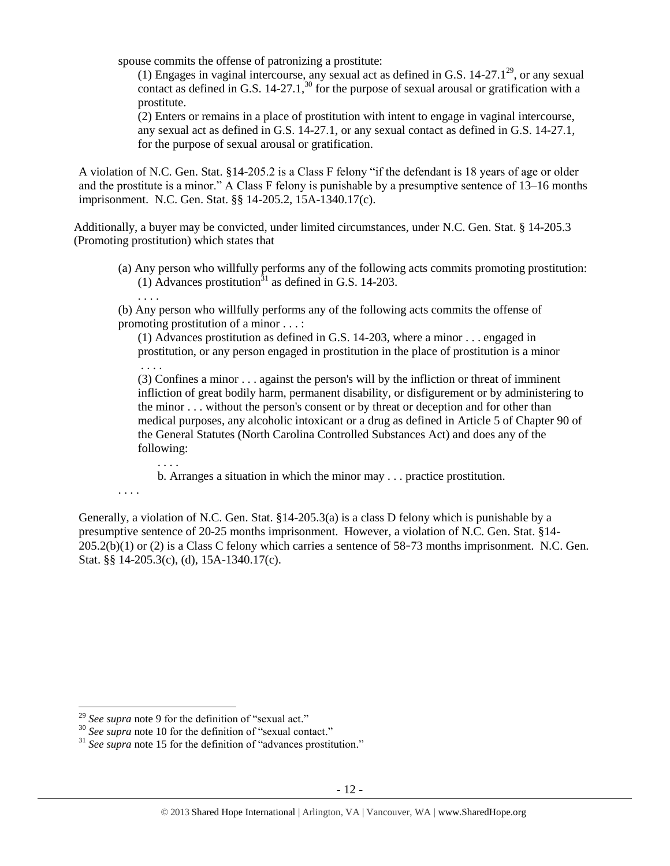spouse commits the offense of patronizing a prostitute:

(1) Engages in vaginal intercourse, any sexual act as defined in G.S. 14-27.1<sup>29</sup>, or any sexual contact as defined in G.S.  $14-27.1$ ,<sup>30</sup> for the purpose of sexual arousal or gratification with a prostitute.

(2) Enters or remains in a place of prostitution with intent to engage in vaginal intercourse, any sexual act as defined in G.S. 14-27.1, or any sexual contact as defined in G.S. 14-27.1, for the purpose of sexual arousal or gratification.

A violation of N.C. Gen. Stat. §14-205.2 is a Class F felony "if the defendant is 18 years of age or older and the prostitute is a minor." A Class F felony is punishable by a presumptive sentence of 13–16 months imprisonment. N.C. Gen. Stat. §§ 14-205.2, 15A-1340.17(c).

Additionally, a buyer may be convicted, under limited circumstances, under N.C. Gen. Stat. § 14-205.3 (Promoting prostitution) which states that

- (a) Any person who willfully performs any of the following acts commits promoting prostitution: (1) Advances prostitution<sup> $31$ </sup> as defined in G.S. 14-203.
- (b) Any person who willfully performs any of the following acts commits the offense of promoting prostitution of a minor . . . :

(1) Advances prostitution as defined in G.S. 14-203, where a minor . . . engaged in prostitution, or any person engaged in prostitution in the place of prostitution is a minor

. . . . (3) Confines a minor . . . against the person's will by the infliction or threat of imminent infliction of great bodily harm, permanent disability, or disfigurement or by administering to the minor . . . without the person's consent or by threat or deception and for other than medical purposes, any alcoholic intoxicant or a drug as defined in Article 5 of Chapter 90 of the General Statutes (North Carolina Controlled Substances Act) and does any of the following:

b. Arranges a situation in which the minor may . . . practice prostitution.

. . . .

 $\overline{\phantom{a}}$ 

. . . .

. . . .

Generally, a violation of N.C. Gen. Stat. §14-205.3(a) is a class D felony which is punishable by a presumptive sentence of 20-25 months imprisonment. However, a violation of N.C. Gen. Stat. §14- 205.2(b)(1) or (2) is a Class C felony which carries a sentence of 58–73 months imprisonment. N.C. Gen. Stat. §§ 14-205.3(c), (d), 15A-1340.17(c).

<sup>29</sup> *See supra* note [9](#page-3-0) for the definition of "sexual act."

<sup>&</sup>lt;sup>30</sup> See supra note [10](#page-3-1) for the definition of "sexual contact."

<sup>&</sup>lt;sup>31</sup> See supra note [15](#page-3-4) for the definition of "advances prostitution."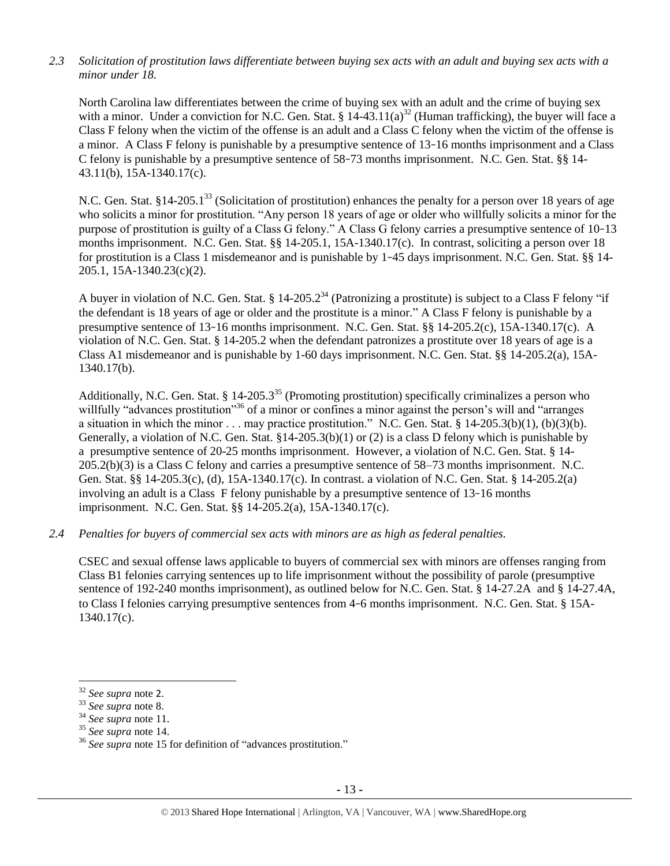# *2.3 Solicitation of prostitution laws differentiate between buying sex acts with an adult and buying sex acts with a minor under 18.*

North Carolina law differentiates between the crime of buying sex with an adult and the crime of buying sex with a minor. Under a conviction for N.C. Gen. Stat. §  $14-43.11(a)^{32}$  (Human trafficking), the buyer will face a Class F felony when the victim of the offense is an adult and a Class C felony when the victim of the offense is a minor. A Class F felony is punishable by a presumptive sentence of 13–16 months imprisonment and a Class C felony is punishable by a presumptive sentence of 58–73 months imprisonment. N.C. Gen. Stat. §§ 14- 43.11(b), 15A-1340.17(c).

N.C. Gen. Stat. §14-205.1<sup>33</sup> (Solicitation of prostitution) enhances the penalty for a person over 18 years of age who solicits a minor for prostitution. "Any person 18 years of age or older who willfully solicits a minor for the purpose of prostitution is guilty of a Class G felony." A Class G felony carries a presumptive sentence of 10–13 months imprisonment. N.C. Gen. Stat. §§ 14-205.1, 15A-1340.17(c). In contrast, soliciting a person over 18 for prostitution is a Class 1 misdemeanor and is punishable by 1–45 days imprisonment. N.C. Gen. Stat. §§ 14- 205.1, 15A-1340.23(c)(2).

A buyer in violation of N.C. Gen. Stat. § 14-205.2<sup>34</sup> (Patronizing a prostitute) is subject to a Class F felony "if the defendant is 18 years of age or older and the prostitute is a minor." A Class F felony is punishable by a presumptive sentence of 13–16 months imprisonment. N.C. Gen. Stat. §§ 14-205.2(c), 15A-1340.17(c). A violation of N.C. Gen. Stat. § 14-205.2 when the defendant patronizes a prostitute over 18 years of age is a Class A1 misdemeanor and is punishable by 1-60 days imprisonment. N.C. Gen. Stat. §§ 14-205.2(a), 15A-1340.17(b).

Additionally, N.C. Gen. Stat. § 14-205.3<sup>35</sup> (Promoting prostitution) specifically criminalizes a person who willfully "advances prostitution"<sup>36</sup> of a minor or confines a minor against the person's will and "arranges" a situation in which the minor . . . may practice prostitution." N.C. Gen. Stat. §  $14-205.3(b)(1)$ , (b)(3)(b). Generally, a violation of N.C. Gen. Stat. §14-205.3(b)(1) or (2) is a class D felony which is punishable by a presumptive sentence of 20-25 months imprisonment. However, a violation of N.C. Gen. Stat. § 14- 205.2(b)(3) is a Class C felony and carries a presumptive sentence of 58–73 months imprisonment. N.C. Gen. Stat. §§ 14-205.3(c), (d), 15A-1340.17(c). In contrast. a violation of N.C. Gen. Stat. § 14-205.2(a) involving an adult is a Class F felony punishable by a presumptive sentence of 13–16 months imprisonment. N.C. Gen. Stat. §§ 14-205.2(a), 15A-1340.17(c).

#### *2.4 Penalties for buyers of commercial sex acts with minors are as high as federal penalties.*

CSEC and sexual offense laws applicable to buyers of commercial sex with minors are offenses ranging from Class B1 felonies carrying sentences up to life imprisonment without the possibility of parole (presumptive sentence of 192-240 months imprisonment), as outlined below for N.C. Gen. Stat. § 14-27.2A and § 14-27.4A, to Class I felonies carrying presumptive sentences from 4–6 months imprisonment. N.C. Gen. Stat. § 15A-1340.17(c).

 $\overline{a}$ 

<sup>32</sup> *See supra* note [2](#page-0-0).

<sup>33</sup> *See supra* note [8.](#page-2-0)

<sup>34</sup> *See supra* note [11.](#page-3-2)

<sup>35</sup> *See supra* note [14.](#page-3-3)

<sup>36</sup> *See supra* note [15](#page-3-4) for definition of "advances prostitution."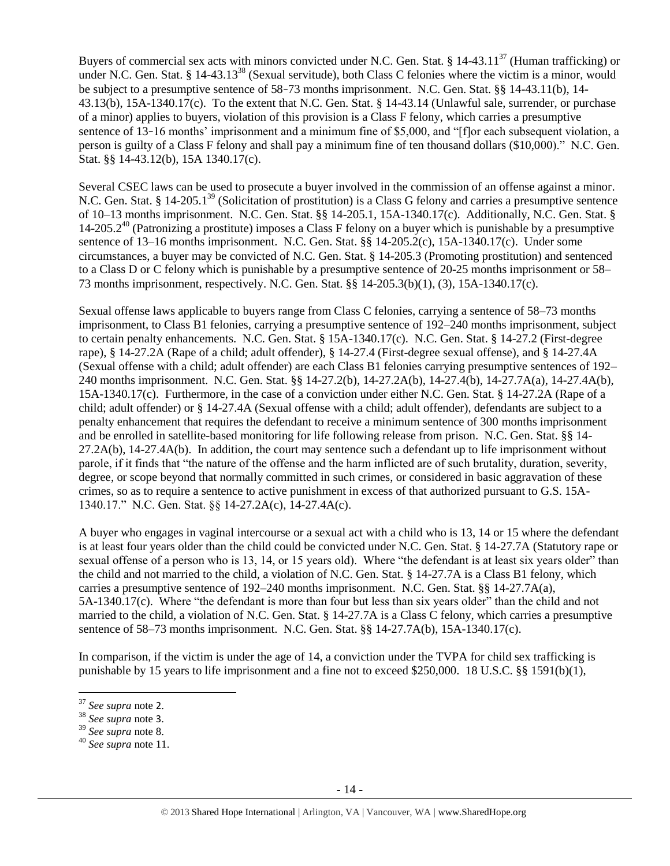Buyers of commercial sex acts with minors convicted under N.C. Gen. Stat. § 14-43.11<sup>37</sup> (Human trafficking) or under N.C. Gen. Stat. § 14-43.13<sup>38</sup> (Sexual servitude), both Class C felonies where the victim is a minor, would be subject to a presumptive sentence of 58–73 months imprisonment. N.C. Gen. Stat. §§ 14-43.11(b), 14- 43.13(b), 15A-1340.17(c). To the extent that N.C. Gen. Stat. § 14-43.14 (Unlawful sale, surrender, or purchase of a minor) applies to buyers, violation of this provision is a Class F felony, which carries a presumptive sentence of 13–16 months' imprisonment and a minimum fine of \$5,000, and "[f]or each subsequent violation, a person is guilty of a Class F felony and shall pay a minimum fine of ten thousand dollars (\$10,000)." N.C. Gen. Stat. §§ 14-43.12(b), 15A 1340.17(c).

Several CSEC laws can be used to prosecute a buyer involved in the commission of an offense against a minor. N.C. Gen. Stat. § 14-205.1<sup>39</sup> (Solicitation of prostitution) is a Class G felony and carries a presumptive sentence of 10–13 months imprisonment. N.C. Gen. Stat. §§ 14-205.1, 15A-1340.17(c). Additionally, N.C. Gen. Stat. §  $14-205.2^{40}$  (Patronizing a prostitute) imposes a Class F felony on a buyer which is punishable by a presumptive sentence of 13–16 months imprisonment. N.C. Gen. Stat. §§ 14-205.2(c), 15A-1340.17(c). Under some circumstances, a buyer may be convicted of N.C. Gen. Stat. § 14-205.3 (Promoting prostitution) and sentenced to a Class D or C felony which is punishable by a presumptive sentence of 20-25 months imprisonment or 58– 73 months imprisonment, respectively. N.C. Gen. Stat. §§ 14-205.3(b)(1), (3), 15A-1340.17(c).

Sexual offense laws applicable to buyers range from Class C felonies, carrying a sentence of 58–73 months imprisonment, to Class B1 felonies, carrying a presumptive sentence of 192–240 months imprisonment, subject to certain penalty enhancements. N.C. Gen. Stat. § 15A-1340.17(c). N.C. Gen. Stat. § 14-27.2 (First-degree rape), § 14-27.2A (Rape of a child; adult offender), § 14-27.4 (First-degree sexual offense), and § 14-27.4A (Sexual offense with a child; adult offender) are each Class B1 felonies carrying presumptive sentences of 192– 240 months imprisonment. N.C. Gen. Stat. §§ 14-27.2(b), 14-27.2A(b), 14-27.4(b), 14-27.7A(a), 14-27.4A(b), 15A-1340.17(c). Furthermore, in the case of a conviction under either N.C. Gen. Stat. § 14-27.2A (Rape of a child; adult offender) or § 14-27.4A (Sexual offense with a child; adult offender), defendants are subject to a penalty enhancement that requires the defendant to receive a minimum sentence of 300 months imprisonment and be enrolled in satellite-based monitoring for life following release from prison. N.C. Gen. Stat. §§ 14- 27.2A(b), 14-27.4A(b). In addition, the court may sentence such a defendant up to life imprisonment without parole, if it finds that "the nature of the offense and the harm inflicted are of such brutality, duration, severity, degree, or scope beyond that normally committed in such crimes, or considered in basic aggravation of these crimes, so as to require a sentence to active punishment in excess of that authorized pursuant to G.S. 15A-1340.17." N.C. Gen. Stat. §§ 14-27.2A(c), 14-27.4A(c).

A buyer who engages in vaginal intercourse or a sexual act with a child who is 13, 14 or 15 where the defendant is at least four years older than the child could be convicted under N.C. Gen. Stat. § 14-27.7A (Statutory rape or sexual offense of a person who is 13, 14, or 15 years old). Where "the defendant is at least six years older" than the child and not married to the child, a violation of N.C. Gen. Stat. § 14-27.7A is a Class B1 felony, which carries a presumptive sentence of 192–240 months imprisonment. N.C. Gen. Stat. §§ 14-27.7A(a), 5A-1340.17(c). Where "the defendant is more than four but less than six years older" than the child and not married to the child, a violation of N.C. Gen. Stat. § 14-27.7A is a Class C felony, which carries a presumptive sentence of 58–73 months imprisonment. N.C. Gen. Stat. §§ 14-27.7A(b), 15A-1340.17(c).

In comparison, if the victim is under the age of 14, a conviction under the TVPA for child sex trafficking is punishable by 15 years to life imprisonment and a fine not to exceed \$250,000. 18 U.S.C. §§ 1591(b)(1),

 $\overline{\phantom{a}}$ 

<sup>37</sup> *See supra* note [2](#page-0-0).

<sup>38</sup> *See supra* note [3](#page-1-0).

<sup>39</sup> *See supra* note [8.](#page-2-0)

<sup>40</sup> *See supra* note [11.](#page-3-2)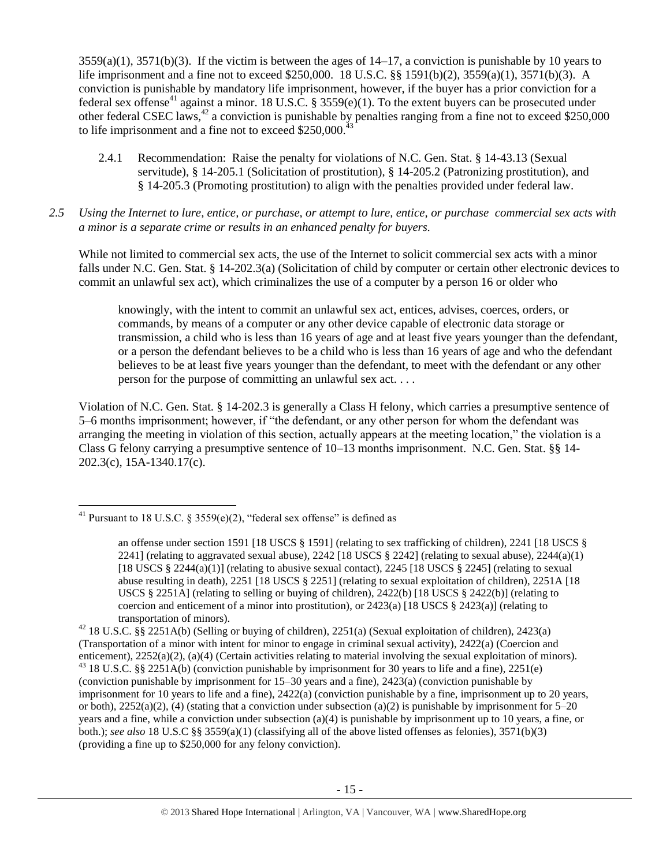$3559(a)(1)$ ,  $3571(b)(3)$ . If the victim is between the ages of  $14-17$ , a conviction is punishable by 10 years to life imprisonment and a fine not to exceed \$250,000. 18 U.S.C. §§ 1591(b)(2), 3559(a)(1), 3571(b)(3). A conviction is punishable by mandatory life imprisonment, however, if the buyer has a prior conviction for a federal sex offense<sup>41</sup> against a minor. 18 U.S.C. § 3559(e)(1). To the extent buyers can be prosecuted under other federal CSEC laws,<sup>42</sup> a conviction is punishable by penalties ranging from a fine not to exceed \$250,000 to life imprisonment and a fine not to exceed \$250,000.<sup>4</sup>

- <span id="page-14-0"></span>2.4.1 Recommendation: Raise the penalty for violations of N.C. Gen. Stat. § 14-43.13 (Sexual servitude), § 14-205.1 (Solicitation of prostitution), § 14-205.2 (Patronizing prostitution), and § 14-205.3 (Promoting prostitution) to align with the penalties provided under federal law.
- *2.5 Using the Internet to lure, entice, or purchase, or attempt to lure, entice, or purchase commercial sex acts with a minor is a separate crime or results in an enhanced penalty for buyers.*

While not limited to commercial sex acts, the use of the Internet to solicit commercial sex acts with a minor falls under N.C. Gen. Stat. § 14-202.3(a) (Solicitation of child by computer or certain other electronic devices to commit an unlawful sex act), which criminalizes the use of a computer by a person 16 or older who

knowingly, with the intent to commit an unlawful sex act, entices, advises, coerces, orders, or commands, by means of a computer or any other device capable of electronic data storage or transmission, a child who is less than 16 years of age and at least five years younger than the defendant, or a person the defendant believes to be a child who is less than 16 years of age and who the defendant believes to be at least five years younger than the defendant, to meet with the defendant or any other person for the purpose of committing an unlawful sex act. . . .

Violation of N.C. Gen. Stat. § 14-202.3 is generally a Class H felony, which carries a presumptive sentence of 5–6 months imprisonment; however, if "the defendant, or any other person for whom the defendant was arranging the meeting in violation of this section, actually appears at the meeting location," the violation is a Class G felony carrying a presumptive sentence of 10–13 months imprisonment. N.C. Gen. Stat. §§ 14- 202.3(c), 15A-1340.17(c).

 $\overline{\phantom{a}}$ <sup>41</sup> Pursuant to 18 U.S.C. § 3559(e)(2), "federal sex offense" is defined as

an offense under section 1591 [18 USCS § 1591] (relating to sex trafficking of children), 2241 [18 USCS § 2241] (relating to aggravated sexual abuse),  $2242$  [18 USCS § 2242] (relating to sexual abuse),  $2244(a)(1)$ [18 USCS § 2244(a)(1)] (relating to abusive sexual contact), 2245 [18 USCS § 2245] (relating to sexual abuse resulting in death), 2251 [18 USCS § 2251] (relating to sexual exploitation of children), 2251A [18 USCS § 2251A] (relating to selling or buying of children),  $2422(b)$  [18 USCS § 2422(b)] (relating to coercion and enticement of a minor into prostitution), or  $2423(a)$  [18 USCS § 2423(a)] (relating to transportation of minors).

<sup>&</sup>lt;sup>42</sup> 18 U.S.C. §§ 2251A(b) (Selling or buying of children), 2251(a) (Sexual exploitation of children), 2423(a) (Transportation of a minor with intent for minor to engage in criminal sexual activity), 2422(a) (Coercion and enticement), 2252(a)(2), (a)(4) (Certain activities relating to material involving the sexual exploitation of minors).  $43$  18 U.S.C. §§ 2251A(b) (conviction punishable by imprisonment for 30 years to life and a fine), 2251(e) (conviction punishable by imprisonment for 15–30 years and a fine), 2423(a) (conviction punishable by imprisonment for 10 years to life and a fine), 2422(a) (conviction punishable by a fine, imprisonment up to 20 years, or both),  $2252(a)(2)$ , (4) (stating that a conviction under subsection (a)(2) is punishable by imprisonment for 5–20 years and a fine, while a conviction under subsection (a)(4) is punishable by imprisonment up to 10 years, a fine, or both.); *see also* 18 U.S.C §§ 3559(a)(1) (classifying all of the above listed offenses as felonies), 3571(b)(3) (providing a fine up to \$250,000 for any felony conviction).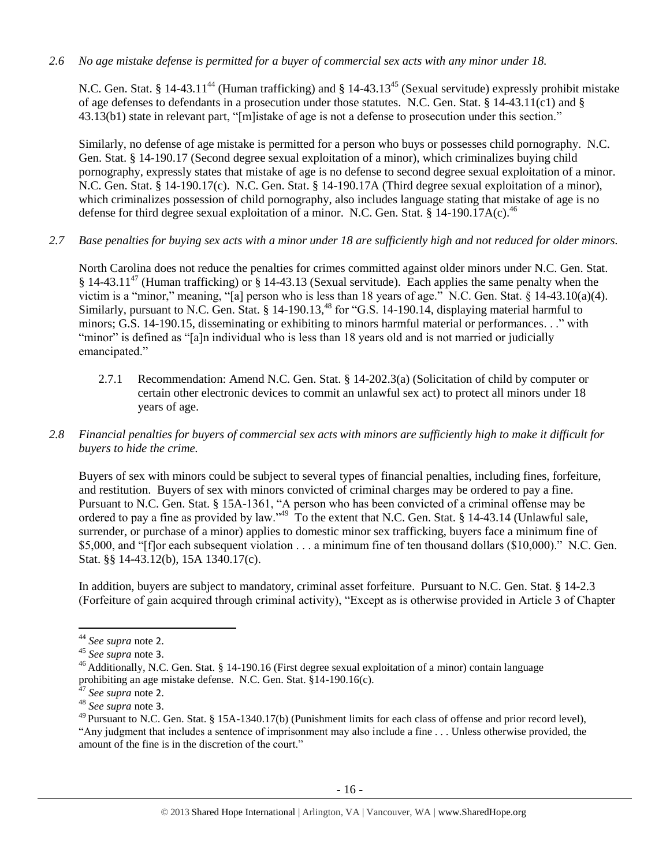*2.6 No age mistake defense is permitted for a buyer of commercial sex acts with any minor under 18.*

N.C. Gen. Stat. § 14-43.11<sup>44</sup> (Human trafficking) and § 14-43.13<sup>45</sup> (Sexual servitude) expressly prohibit mistake of age defenses to defendants in a prosecution under those statutes. N.C. Gen. Stat. § 14-43.11(c1) and § 43.13(b1) state in relevant part, "[m]istake of age is not a defense to prosecution under this section."

Similarly, no defense of age mistake is permitted for a person who buys or possesses child pornography. N.C. Gen. Stat. § 14-190.17 (Second degree sexual exploitation of a minor), which criminalizes buying child pornography, expressly states that mistake of age is no defense to second degree sexual exploitation of a minor. N.C. Gen. Stat. § 14-190.17(c). N.C. Gen. Stat. § 14-190.17A (Third degree sexual exploitation of a minor), which criminalizes possession of child pornography, also includes language stating that mistake of age is no defense for third degree sexual exploitation of a minor. N.C. Gen. Stat. § 14-190.17A(c).<sup>46</sup>

*2.7 Base penalties for buying sex acts with a minor under 18 are sufficiently high and not reduced for older minors.*

North Carolina does not reduce the penalties for crimes committed against older minors under N.C. Gen. Stat. § 14-43.11<sup>47</sup> (Human trafficking) or § 14-43.13 (Sexual servitude). Each applies the same penalty when the victim is a "minor," meaning, "[a] person who is less than 18 years of age." N.C. Gen. Stat. § 14-43.10(a)(4). Similarly, pursuant to N.C. Gen. Stat. § 14-190.13,<sup>48</sup> for "G.S. 14-190.14, displaying material harmful to minors; G.S. 14-190.15, disseminating or exhibiting to minors harmful material or performances. . ." with "minor" is defined as "[a]n individual who is less than 18 years old and is not married or judicially emancipated."

- 2.7.1 Recommendation: Amend N.C. Gen. Stat. § 14-202.3(a) (Solicitation of child by computer or certain other electronic devices to commit an unlawful sex act) to protect all minors under 18 years of age.
- *2.8 Financial penalties for buyers of commercial sex acts with minors are sufficiently high to make it difficult for buyers to hide the crime.*

Buyers of sex with minors could be subject to several types of financial penalties, including fines, forfeiture, and restitution. Buyers of sex with minors convicted of criminal charges may be ordered to pay a fine. Pursuant to N.C. Gen. Stat. § 15A-1361, "A person who has been convicted of a criminal offense may be ordered to pay a fine as provided by law."<sup>49</sup> To the extent that N.C. Gen. Stat. § 14-43.14 (Unlawful sale, surrender, or purchase of a minor) applies to domestic minor sex trafficking, buyers face a minimum fine of \$5,000, and "[f]or each subsequent violation . . . a minimum fine of ten thousand dollars (\$10,000)." N.C. Gen. Stat. §§ 14-43.12(b), 15A 1340.17(c).

In addition, buyers are subject to mandatory, criminal asset forfeiture. Pursuant to N.C. Gen. Stat. § 14-2.3 (Forfeiture of gain acquired through criminal activity), "Except as is otherwise provided in Article 3 of Chapter

 $\overline{\phantom{a}}$ 

<sup>44</sup> *See supra* note [2](#page-0-0).

<sup>45</sup> *See supra* note [3](#page-1-0).

<sup>&</sup>lt;sup>46</sup> Additionally, N.C. Gen. Stat. § 14-190.16 (First degree sexual exploitation of a minor) contain language prohibiting an age mistake defense. N.C. Gen. Stat. §14-190.16(c).

<sup>47</sup> *See supra* note [2](#page-0-0).

<sup>48</sup> *See supra* note [3](#page-1-0).

 $^{49}$  Pursuant to N.C. Gen. Stat. § 15A-1340.17(b) (Punishment limits for each class of offense and prior record level), "Any judgment that includes a sentence of imprisonment may also include a fine . . . Unless otherwise provided, the amount of the fine is in the discretion of the court."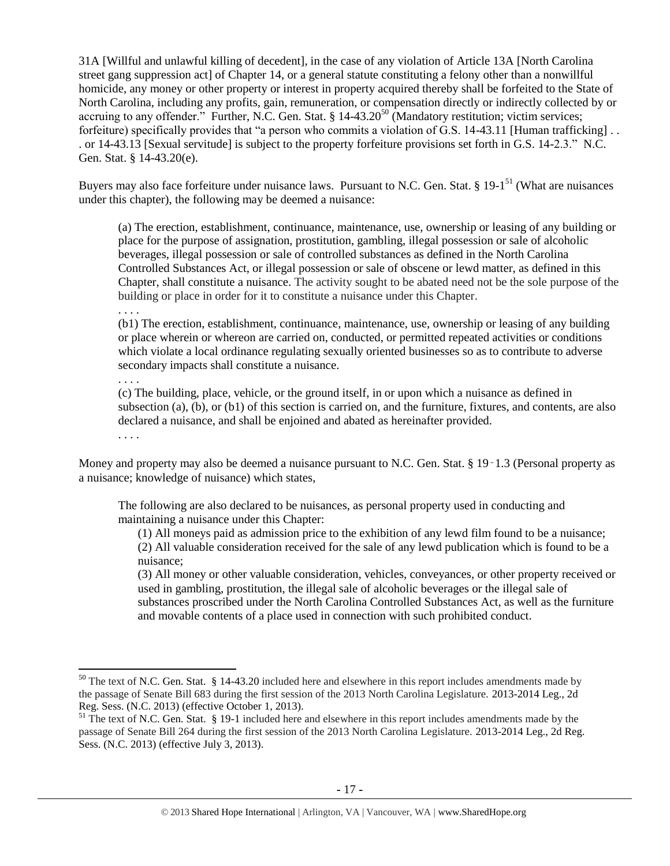31A [Willful and unlawful killing of decedent], in the case of any violation of Article 13A [North Carolina street gang suppression act] of Chapter 14, or a general statute constituting a felony other than a nonwillful homicide, any money or other property or interest in property acquired thereby shall be forfeited to the State of North Carolina, including any profits, gain, remuneration, or compensation directly or indirectly collected by or accruing to any offender." Further, N.C. Gen. Stat. § 14-43.20<sup>50</sup> (Mandatory restitution; victim services; forfeiture) specifically provides that "a person who commits a violation of G.S. 14-43.11 [Human trafficking] . . . or 14-43.13 [Sexual servitude] is subject to the property forfeiture provisions set forth in G.S. 14-2.3." N.C. Gen. Stat. § 14-43.20(e).

Buyers may also face forfeiture under nuisance laws. Pursuant to N.C. Gen. Stat. § 19-1<sup>51</sup> (What are nuisances under this chapter), the following may be deemed a nuisance:

<span id="page-16-1"></span><span id="page-16-0"></span>(a) The erection, establishment, continuance, maintenance, use, ownership or leasing of any building or place for the purpose of assignation, prostitution, gambling, illegal possession or sale of alcoholic beverages, illegal possession or sale of controlled substances as defined in the North Carolina Controlled Substances Act, or illegal possession or sale of obscene or lewd matter, as defined in this Chapter, shall constitute a nuisance. The activity sought to be abated need not be the sole purpose of the building or place in order for it to constitute a nuisance under this Chapter.

. . . .

(b1) The erection, establishment, continuance, maintenance, use, ownership or leasing of any building or place wherein or whereon are carried on, conducted, or permitted repeated activities or conditions which violate a local ordinance regulating sexually oriented businesses so as to contribute to adverse secondary impacts shall constitute a nuisance.

. . . .

(c) The building, place, vehicle, or the ground itself, in or upon which a nuisance as defined in subsection (a), (b), or (b1) of this section is carried on, and the furniture, fixtures, and contents, are also declared a nuisance, and shall be enjoined and abated as hereinafter provided.

. . . .

l

Money and property may also be deemed a nuisance pursuant to N.C. Gen. Stat. § 19-1.3 (Personal property as a nuisance; knowledge of nuisance) which states,

The following are also declared to be nuisances, as personal property used in conducting and maintaining a nuisance under this Chapter:

(1) All moneys paid as admission price to the exhibition of any lewd film found to be a nuisance; (2) All valuable consideration received for the sale of any lewd publication which is found to be a nuisance;

(3) All money or other valuable consideration, vehicles, conveyances, or other property received or used in gambling, prostitution, the illegal sale of alcoholic beverages or the illegal sale of substances proscribed under the North Carolina Controlled Substances Act, as well as the furniture and movable contents of a place used in connection with such prohibited conduct.

 $50$  The text of N.C. Gen. Stat. § 14-43.20 included here and elsewhere in this report includes amendments made by the passage of Senate Bill 683 during the first session of the 2013 North Carolina Legislature. 2013-2014 Leg., 2d Reg. Sess. (N.C. 2013) (effective October 1, 2013).

<sup>&</sup>lt;sup>51</sup> The text of N.C. Gen. Stat. § 19-1 included here and elsewhere in this report includes amendments made by the passage of Senate Bill 264 during the first session of the 2013 North Carolina Legislature. 2013-2014 Leg., 2d Reg. Sess. (N.C. 2013) (effective July 3, 2013).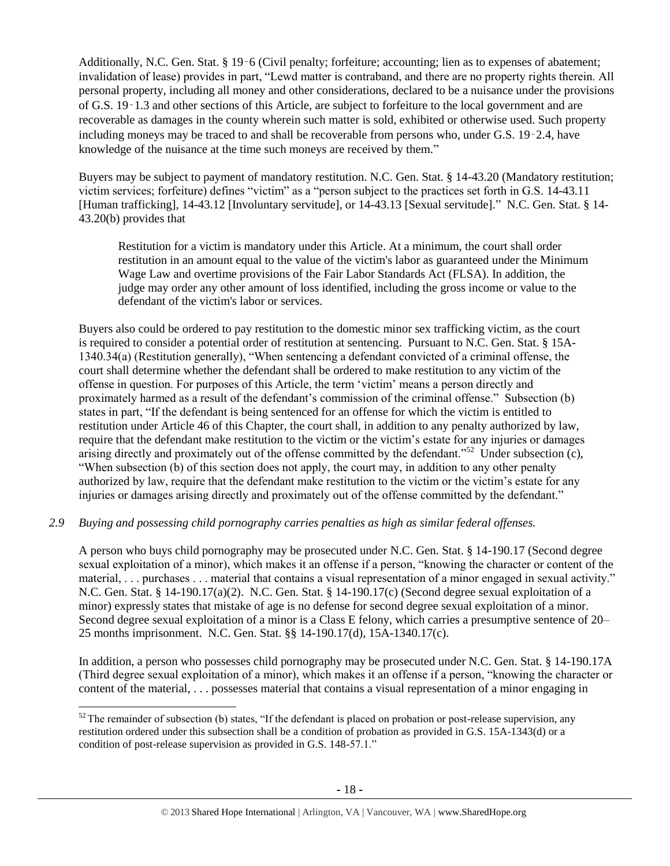Additionally, N.C. Gen. Stat. § 19‑6 (Civil penalty; forfeiture; accounting; lien as to expenses of abatement; invalidation of lease) provides in part, "Lewd matter is contraband, and there are no property rights therein. All personal property, including all money and other considerations, declared to be a nuisance under the provisions of G.S. 19‑1.3 and other sections of this Article, are subject to forfeiture to the local government and are recoverable as damages in the county wherein such matter is sold, exhibited or otherwise used. Such property including moneys may be traced to and shall be recoverable from persons who, under G.S. 19‑2.4, have knowledge of the nuisance at the time such moneys are received by them."

Buyers may be subject to payment of mandatory restitution. N.C. Gen. Stat. § 14-43.20 (Mandatory restitution; victim services; forfeiture) defines "victim" as a "person subject to the practices set forth in G.S. 14-43.11 [Human trafficking], 14-43.12 [Involuntary servitude], or 14-43.13 [Sexual servitude]." N.C. Gen. Stat. § 14- 43.20(b) provides that

Restitution for a victim is mandatory under this Article. At a minimum, the court shall order restitution in an amount equal to the value of the victim's labor as guaranteed under the Minimum Wage Law and overtime provisions of the Fair Labor Standards Act (FLSA). In addition, the judge may order any other amount of loss identified, including the gross income or value to the defendant of the victim's labor or services.

Buyers also could be ordered to pay restitution to the domestic minor sex trafficking victim, as the court is required to consider a potential order of restitution at sentencing. Pursuant to N.C. Gen. Stat. § 15A-1340.34(a) (Restitution generally), "When sentencing a defendant convicted of a criminal offense, the court shall determine whether the defendant shall be ordered to make restitution to any victim of the offense in question. For purposes of this Article, the term 'victim' means a person directly and proximately harmed as a result of the defendant's commission of the criminal offense." Subsection (b) states in part, "If the defendant is being sentenced for an offense for which the victim is entitled to restitution under Article 46 of this Chapter, the court shall, in addition to any penalty authorized by law, require that the defendant make restitution to the victim or the victim's estate for any injuries or damages arising directly and proximately out of the offense committed by the defendant."<sup>52</sup> Under subsection  $(c)$ , "When subsection (b) of this section does not apply, the court may, in addition to any other penalty authorized by law, require that the defendant make restitution to the victim or the victim's estate for any injuries or damages arising directly and proximately out of the offense committed by the defendant."

# *2.9 Buying and possessing child pornography carries penalties as high as similar federal offenses.*

A person who buys child pornography may be prosecuted under N.C. Gen. Stat. § 14-190.17 (Second degree sexual exploitation of a minor), which makes it an offense if a person, "knowing the character or content of the material, . . . purchases . . . material that contains a visual representation of a minor engaged in sexual activity." N.C. Gen. Stat. § 14-190.17(a)(2). N.C. Gen. Stat. § 14-190.17(c) (Second degree sexual exploitation of a minor) expressly states that mistake of age is no defense for second degree sexual exploitation of a minor. Second degree sexual exploitation of a minor is a Class E felony, which carries a presumptive sentence of 20– 25 months imprisonment. N.C. Gen. Stat. §§ 14-190.17(d), 15A-1340.17(c).

In addition, a person who possesses child pornography may be prosecuted under N.C. Gen. Stat. § 14-190.17A (Third degree sexual exploitation of a minor), which makes it an offense if a person, "knowing the character or content of the material, . . . possesses material that contains a visual representation of a minor engaging in

 $\overline{\phantom{a}}$  $52$  The remainder of subsection (b) states, "If the defendant is placed on probation or post-release supervision, any restitution ordered under this subsection shall be a condition of probation as provided in G.S. 15A-1343(d) or a condition of post-release supervision as provided in G.S. 148-57.1."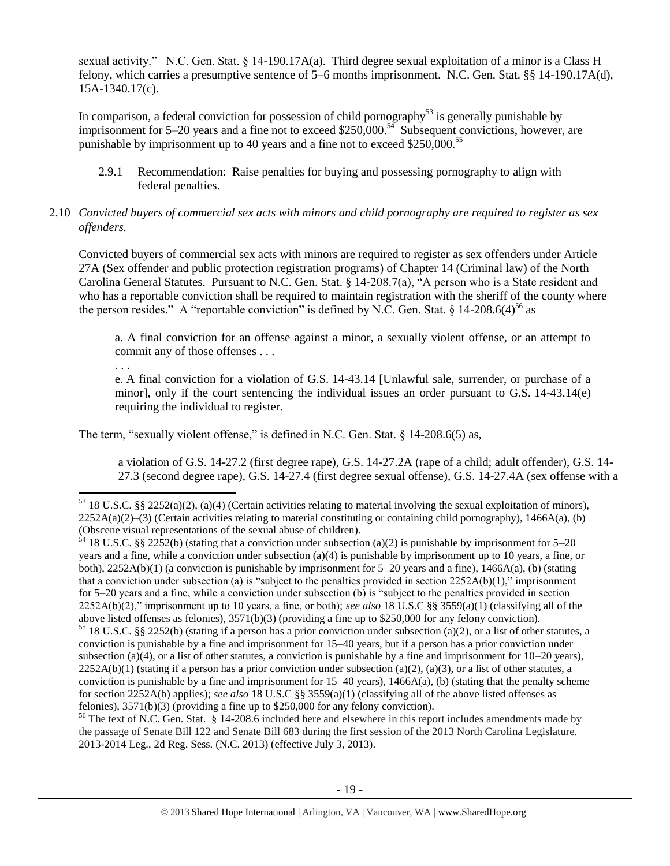sexual activity." N.C. Gen. Stat. § 14-190.17A(a). Third degree sexual exploitation of a minor is a Class H felony, which carries a presumptive sentence of 5–6 months imprisonment. N.C. Gen. Stat. §§ 14-190.17A(d), 15A-1340.17(c).

In comparison, a federal conviction for possession of child pornography<sup>53</sup> is generally punishable by imprisonment for 5–20 years and a fine not to exceed \$250,000.<sup>54</sup> Subsequent convictions, however, are punishable by imprisonment up to 40 years and a fine not to exceed \$250,000.<sup>55</sup>

- 2.9.1 Recommendation: Raise penalties for buying and possessing pornography to align with federal penalties.
- 2.10 *Convicted buyers of commercial sex acts with minors and child pornography are required to register as sex offenders.*

Convicted buyers of commercial sex acts with minors are required to register as sex offenders under Article 27A (Sex offender and public protection registration programs) of Chapter 14 (Criminal law) of the North Carolina General Statutes. Pursuant to N.C. Gen. Stat. § 14-208.7(a), "A person who is a State resident and who has a reportable conviction shall be required to maintain registration with the sheriff of the county where the person resides." A "reportable conviction" is defined by N.C. Gen. Stat.  $\S$  14-208.6(4)<sup>56</sup> as

<span id="page-18-0"></span>a. A final conviction for an offense against a minor, a sexually violent offense, or an attempt to commit any of those offenses . . .

. . .

 $\overline{a}$ 

e. A final conviction for a violation of G.S. 14-43.14 [Unlawful sale, surrender, or purchase of a minor], only if the court sentencing the individual issues an order pursuant to G.S. 14-43.14(e) requiring the individual to register.

The term, "sexually violent offense," is defined in N.C. Gen. Stat. § 14-208.6(5) as,

a violation of G.S. 14-27.2 (first degree rape), G.S. 14-27.2A (rape of a child; adult offender), G.S. 14- 27.3 (second degree rape), G.S. 14-27.4 (first degree sexual offense), G.S. 14-27.4A (sex offense with a

 $54$  18 U.S.C. §§ 2252(b) (stating that a conviction under subsection (a)(2) is punishable by imprisonment for 5–20 years and a fine, while a conviction under subsection (a)(4) is punishable by imprisonment up to 10 years, a fine, or both),  $2252A(b)(1)$  (a conviction is punishable by imprisonment for 5–20 years and a fine),  $1466A(a)$ , (b) (stating that a conviction under subsection (a) is "subject to the penalties provided in section  $2252A(b)(1)$ ," imprisonment for 5–20 years and a fine, while a conviction under subsection (b) is "subject to the penalties provided in section 2252A(b)(2)," imprisonment up to 10 years, a fine, or both); *see also* 18 U.S.C §§ 3559(a)(1) (classifying all of the above listed offenses as felonies), 3571(b)(3) (providing a fine up to \$250,000 for any felony conviction).

<sup>56</sup> The text of N.C. Gen. Stat. § 14-208.6 included here and elsewhere in this report includes amendments made by the passage of Senate Bill 122 and Senate Bill 683 during the first session of the 2013 North Carolina Legislature. 2013-2014 Leg., 2d Reg. Sess. (N.C. 2013) (effective July 3, 2013).

<sup>53</sup> 18 U.S.C. §§ 2252(a)(2), (a)(4) (Certain activities relating to material involving the sexual exploitation of minors),  $2252A(a)(2)$ –(3) (Certain activities relating to material constituting or containing child pornography), 1466A(a), (b) (Obscene visual representations of the sexual abuse of children).

<sup>&</sup>lt;sup>55</sup> 18 U.S.C. §§ 2252(b) (stating if a person has a prior conviction under subsection (a)(2), or a list of other statutes, a conviction is punishable by a fine and imprisonment for 15–40 years, but if a person has a prior conviction under subsection (a)(4), or a list of other statutes, a conviction is punishable by a fine and imprisonment for  $10-20$  years),  $2252A(b)(1)$  (stating if a person has a prior conviction under subsection (a)(2), (a)(3), or a list of other statutes, a conviction is punishable by a fine and imprisonment for  $15-40$  years),  $1466A(a)$ , (b) (stating that the penalty scheme for section 2252A(b) applies); *see also* 18 U.S.C §§ 3559(a)(1) (classifying all of the above listed offenses as felonies), 3571(b)(3) (providing a fine up to \$250,000 for any felony conviction).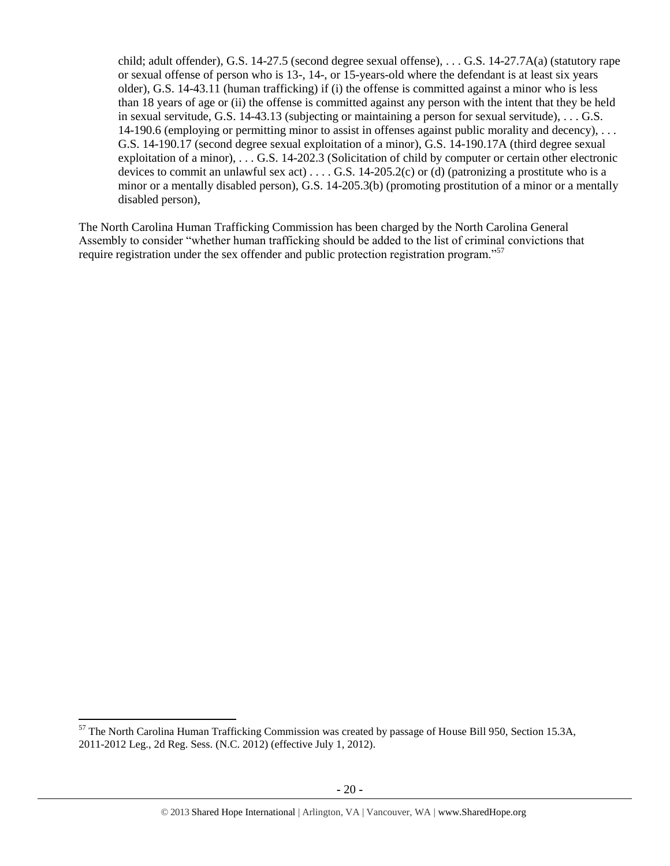child; adult offender), G.S. 14-27.5 (second degree sexual offense), . . . G.S. 14-27.7A(a) (statutory rape or sexual offense of person who is 13-, 14-, or 15-years-old where the defendant is at least six years older), G.S. 14-43.11 (human trafficking) if (i) the offense is committed against a minor who is less than 18 years of age or (ii) the offense is committed against any person with the intent that they be held in sexual servitude, G.S. 14-43.13 (subjecting or maintaining a person for sexual servitude), . . . G.S. 14-190.6 (employing or permitting minor to assist in offenses against public morality and decency), . . . G.S. 14-190.17 (second degree sexual exploitation of a minor), G.S. 14-190.17A (third degree sexual exploitation of a minor), . . . G.S. 14-202.3 (Solicitation of child by computer or certain other electronic devices to commit an unlawful sex act)  $\dots$  G.S. 14-205.2(c) or (d) (patronizing a prostitute who is a minor or a mentally disabled person), G.S. 14-205.3(b) (promoting prostitution of a minor or a mentally disabled person),

The North Carolina Human Trafficking Commission has been charged by the North Carolina General Assembly to consider "whether human trafficking should be added to the list of criminal convictions that require registration under the sex offender and public protection registration program."<sup>57</sup>

<sup>&</sup>lt;sup>57</sup> The North Carolina Human Trafficking Commission was created by passage of House Bill 950, Section 15.3A, 2011-2012 Leg., 2d Reg. Sess. (N.C. 2012) (effective July 1, 2012).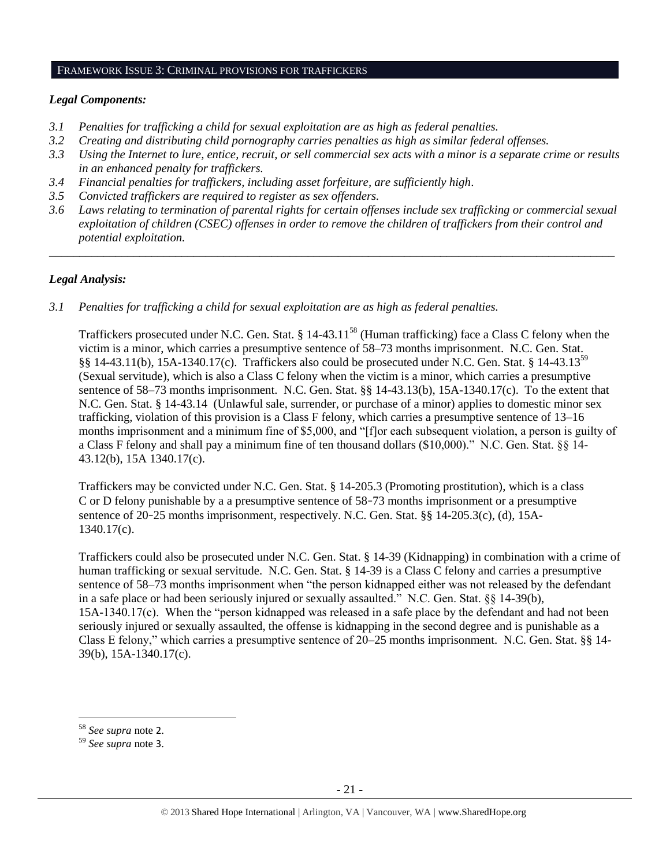#### FRAMEWORK ISSUE 3: CRIMINAL PROVISIONS FOR TRAFFICKERS

#### *Legal Components:*

- *3.1 Penalties for trafficking a child for sexual exploitation are as high as federal penalties.*
- *3.2 Creating and distributing child pornography carries penalties as high as similar federal offenses.*
- *3.3 Using the Internet to lure, entice, recruit, or sell commercial sex acts with a minor is a separate crime or results in an enhanced penalty for traffickers.*
- *3.4 Financial penalties for traffickers, including asset forfeiture, are sufficiently high*.
- *3.5 Convicted traffickers are required to register as sex offenders.*
- *3.6 Laws relating to termination of parental rights for certain offenses include sex trafficking or commercial sexual exploitation of children (CSEC) offenses in order to remove the children of traffickers from their control and potential exploitation.*

*\_\_\_\_\_\_\_\_\_\_\_\_\_\_\_\_\_\_\_\_\_\_\_\_\_\_\_\_\_\_\_\_\_\_\_\_\_\_\_\_\_\_\_\_\_\_\_\_\_\_\_\_\_\_\_\_\_\_\_\_\_\_\_\_\_\_\_\_\_\_\_\_\_\_\_\_\_\_\_\_\_\_\_\_\_\_\_\_\_\_\_\_\_\_*

## *Legal Analysis:*

*3.1 Penalties for trafficking a child for sexual exploitation are as high as federal penalties.* 

Traffickers prosecuted under N.C. Gen. Stat. § 14-43.11<sup>58</sup> (Human trafficking) face a Class C felony when the victim is a minor, which carries a presumptive sentence of 58–73 months imprisonment. N.C. Gen. Stat. §§ 14-43.11(b), 15A-1340.17(c). Traffickers also could be prosecuted under N.C. Gen. Stat. § 14-43.13<sup>59</sup> (Sexual servitude), which is also a Class C felony when the victim is a minor, which carries a presumptive sentence of 58–73 months imprisonment. N.C. Gen. Stat. §§ 14-43.13(b), 15A-1340.17(c). To the extent that N.C. Gen. Stat. § 14-43.14 (Unlawful sale, surrender, or purchase of a minor) applies to domestic minor sex trafficking, violation of this provision is a Class F felony, which carries a presumptive sentence of 13–16 months imprisonment and a minimum fine of \$5,000, and "[f]or each subsequent violation, a person is guilty of a Class F felony and shall pay a minimum fine of ten thousand dollars (\$10,000)." N.C. Gen. Stat. §§ 14- 43.12(b), 15A 1340.17(c).

Traffickers may be convicted under N.C. Gen. Stat. § 14-205.3 (Promoting prostitution), which is a class C or D felony punishable by a a presumptive sentence of 58–73 months imprisonment or a presumptive sentence of 20–25 months imprisonment, respectively. N.C. Gen. Stat. §§ 14-205.3(c), (d), 15A-1340.17(c).

Traffickers could also be prosecuted under N.C. Gen. Stat. § 14-39 (Kidnapping) in combination with a crime of human trafficking or sexual servitude. N.C. Gen. Stat. § 14-39 is a Class C felony and carries a presumptive sentence of 58–73 months imprisonment when "the person kidnapped either was not released by the defendant in a safe place or had been seriously injured or sexually assaulted." N.C. Gen. Stat. §§ 14-39(b), 15A-1340.17(c). When the "person kidnapped was released in a safe place by the defendant and had not been seriously injured or sexually assaulted, the offense is kidnapping in the second degree and is punishable as a Class E felony," which carries a presumptive sentence of 20–25 months imprisonment. N.C. Gen. Stat. §§ 14- 39(b), 15A-1340.17(c).

<sup>58</sup> *See supra* note [2](#page-0-0).

<sup>59</sup> *See supra* note [3](#page-1-0).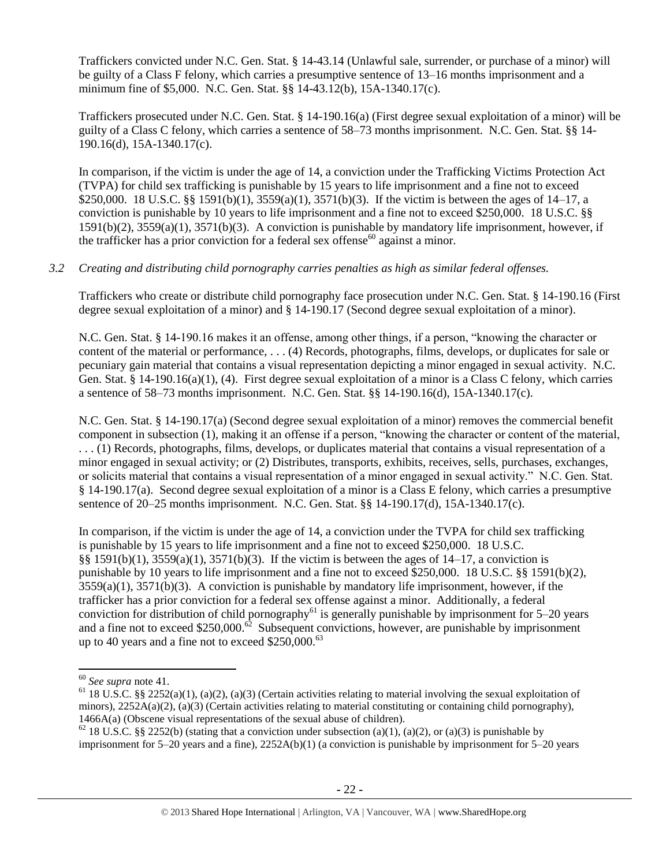Traffickers convicted under N.C. Gen. Stat. § 14-43.14 (Unlawful sale, surrender, or purchase of a minor) will be guilty of a Class F felony, which carries a presumptive sentence of 13–16 months imprisonment and a minimum fine of \$5,000. N.C. Gen. Stat. §§ 14-43.12(b), 15A-1340.17(c).

Traffickers prosecuted under N.C. Gen. Stat. § 14-190.16(a) (First degree sexual exploitation of a minor) will be guilty of a Class C felony, which carries a sentence of 58–73 months imprisonment. N.C. Gen. Stat. §§ 14- 190.16(d), 15A-1340.17(c).

In comparison, if the victim is under the age of 14, a conviction under the Trafficking Victims Protection Act (TVPA) for child sex trafficking is punishable by 15 years to life imprisonment and a fine not to exceed \$250,000. 18 U.S.C. §§ 1591(b)(1), 3559(a)(1), 3571(b)(3). If the victim is between the ages of 14–17, a conviction is punishable by 10 years to life imprisonment and a fine not to exceed \$250,000. 18 U.S.C. §§ 1591(b)(2), 3559(a)(1), 3571(b)(3). A conviction is punishable by mandatory life imprisonment, however, if the trafficker has a prior conviction for a federal sex offense<sup>60</sup> against a minor.

# *3.2 Creating and distributing child pornography carries penalties as high as similar federal offenses.*

Traffickers who create or distribute child pornography face prosecution under N.C. Gen. Stat. § 14-190.16 (First degree sexual exploitation of a minor) and § 14-190.17 (Second degree sexual exploitation of a minor).

N.C. Gen. Stat. § 14-190.16 makes it an offense, among other things, if a person, "knowing the character or content of the material or performance, . . . (4) Records, photographs, films, develops, or duplicates for sale or pecuniary gain material that contains a visual representation depicting a minor engaged in sexual activity. N.C. Gen. Stat. § 14-190.16(a)(1), (4). First degree sexual exploitation of a minor is a Class C felony, which carries a sentence of 58–73 months imprisonment. N.C. Gen. Stat. §§ 14-190.16(d), 15A-1340.17(c).

N.C. Gen. Stat. § 14-190.17(a) (Second degree sexual exploitation of a minor) removes the commercial benefit component in subsection (1), making it an offense if a person, "knowing the character or content of the material, . . . (1) Records, photographs, films, develops, or duplicates material that contains a visual representation of a minor engaged in sexual activity; or (2) Distributes, transports, exhibits, receives, sells, purchases, exchanges, or solicits material that contains a visual representation of a minor engaged in sexual activity." N.C. Gen. Stat. § 14-190.17(a). Second degree sexual exploitation of a minor is a Class E felony, which carries a presumptive sentence of 20–25 months imprisonment. N.C. Gen. Stat. §§ 14-190.17(d), 15A-1340.17(c).

In comparison, if the victim is under the age of 14, a conviction under the TVPA for child sex trafficking is punishable by 15 years to life imprisonment and a fine not to exceed \$250,000. 18 U.S.C. §§ 1591(b)(1), 3559(a)(1), 3571(b)(3). If the victim is between the ages of 14–17, a conviction is punishable by 10 years to life imprisonment and a fine not to exceed \$250,000. 18 U.S.C. §§ 1591(b)(2),  $3559(a)(1)$ ,  $3571(b)(3)$ . A conviction is punishable by mandatory life imprisonment, however, if the trafficker has a prior conviction for a federal sex offense against a minor. Additionally, a federal conviction for distribution of child pornography<sup>61</sup> is generally punishable by imprisonment for  $5-20$  years and a fine not to exceed \$250,000.<sup>62</sup> Subsequent convictions, however, are punishable by imprisonment up to 40 years and a fine not to exceed \$250,000.<sup>63</sup>

<sup>60</sup> *See supra* note [41.](#page-14-0) 

<sup>&</sup>lt;sup>61</sup> 18 U.S.C. §§ 2252(a)(1), (a)(2), (a)(3) (Certain activities relating to material involving the sexual exploitation of minors),  $2252A(a)(2)$ ,  $(a)(3)$  (Certain activities relating to material constituting or containing child pornography), 1466A(a) (Obscene visual representations of the sexual abuse of children).

<sup>&</sup>lt;sup>62</sup> 18 U.S.C. §§ 2252(b) (stating that a conviction under subsection (a)(1), (a)(2), or (a)(3) is punishable by imprisonment for 5–20 years and a fine), 2252A(b)(1) (a conviction is punishable by imprisonment for 5–20 years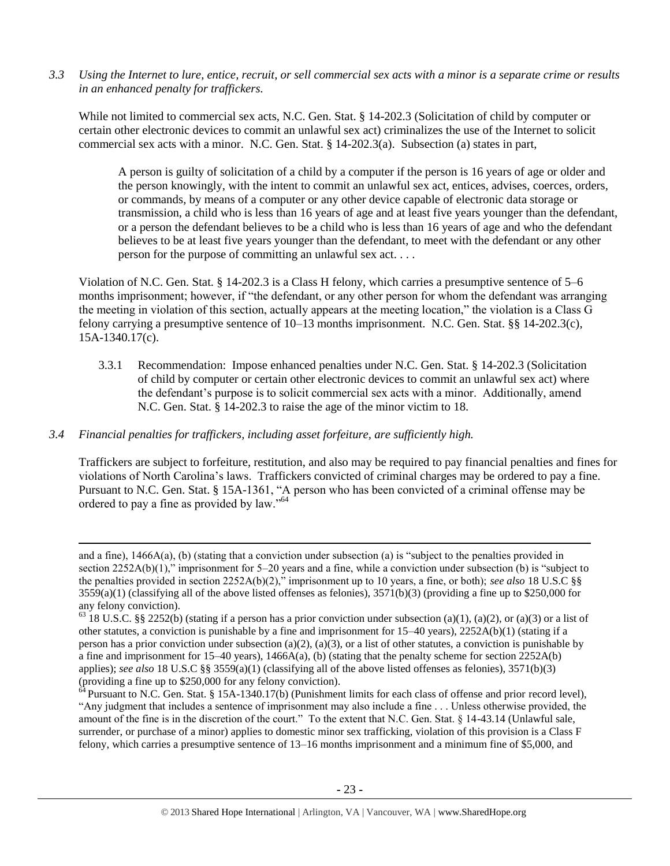*3.3 Using the Internet to lure, entice, recruit, or sell commercial sex acts with a minor is a separate crime or results in an enhanced penalty for traffickers.* 

While not limited to commercial sex acts, N.C. Gen. Stat. § 14-202.3 (Solicitation of child by computer or certain other electronic devices to commit an unlawful sex act) criminalizes the use of the Internet to solicit commercial sex acts with a minor. N.C. Gen. Stat. § 14-202.3(a). Subsection (a) states in part,

A person is guilty of solicitation of a child by a computer if the person is 16 years of age or older and the person knowingly, with the intent to commit an unlawful sex act, entices, advises, coerces, orders, or commands, by means of a computer or any other device capable of electronic data storage or transmission, a child who is less than 16 years of age and at least five years younger than the defendant, or a person the defendant believes to be a child who is less than 16 years of age and who the defendant believes to be at least five years younger than the defendant, to meet with the defendant or any other person for the purpose of committing an unlawful sex act. . . .

Violation of N.C. Gen. Stat. § 14-202.3 is a Class H felony, which carries a presumptive sentence of 5–6 months imprisonment; however, if "the defendant, or any other person for whom the defendant was arranging the meeting in violation of this section, actually appears at the meeting location," the violation is a Class G felony carrying a presumptive sentence of 10–13 months imprisonment. N.C. Gen. Stat. §§ 14-202.3(c), 15A-1340.17(c).

3.3.1 Recommendation: Impose enhanced penalties under N.C. Gen. Stat. § 14-202.3 (Solicitation of child by computer or certain other electronic devices to commit an unlawful sex act) where the defendant's purpose is to solicit commercial sex acts with a minor. Additionally, amend N.C. Gen. Stat. § 14-202.3 to raise the age of the minor victim to 18.

#### *3.4 Financial penalties for traffickers, including asset forfeiture, are sufficiently high.*

 $\overline{\phantom{a}}$ 

Traffickers are subject to forfeiture, restitution, and also may be required to pay financial penalties and fines for violations of North Carolina's laws. Traffickers convicted of criminal charges may be ordered to pay a fine. Pursuant to N.C. Gen. Stat. § 15A-1361, "A person who has been convicted of a criminal offense may be ordered to pay a fine as provided by law."<sup>64</sup>

and a fine),  $1466A(a)$ , (b) (stating that a conviction under subsection (a) is "subject to the penalties provided in section 2252A(b)(1)," imprisonment for 5–20 years and a fine, while a conviction under subsection (b) is "subject to the penalties provided in section 2252A(b)(2)," imprisonment up to 10 years, a fine, or both); *see also* 18 U.S.C §§  $3559(a)(1)$  (classifying all of the above listed offenses as felonies),  $3571(b)(3)$  (providing a fine up to \$250,000 for any felony conviction).

 $63$  18 U.S.C. §§ 2252(b) (stating if a person has a prior conviction under subsection (a)(1), (a)(2), or (a)(3) or a list of other statutes, a conviction is punishable by a fine and imprisonment for 15–40 years), 2252A(b)(1) (stating if a person has a prior conviction under subsection (a)(2), (a)(3), or a list of other statutes, a conviction is punishable by a fine and imprisonment for 15–40 years), 1466A(a), (b) (stating that the penalty scheme for section 2252A(b) applies); *see also* 18 U.S.C §§ 3559(a)(1) (classifying all of the above listed offenses as felonies), 3571(b)(3) (providing a fine up to \$250,000 for any felony conviction).

<sup>&</sup>lt;sup>4</sup> Pursuant to N.C. Gen. Stat. § 15A-1340.17(b) (Punishment limits for each class of offense and prior record level), "Any judgment that includes a sentence of imprisonment may also include a fine . . . Unless otherwise provided, the amount of the fine is in the discretion of the court." To the extent that N.C. Gen. Stat. § 14-43.14 (Unlawful sale, surrender, or purchase of a minor) applies to domestic minor sex trafficking, violation of this provision is a Class F felony, which carries a presumptive sentence of 13–16 months imprisonment and a minimum fine of \$5,000, and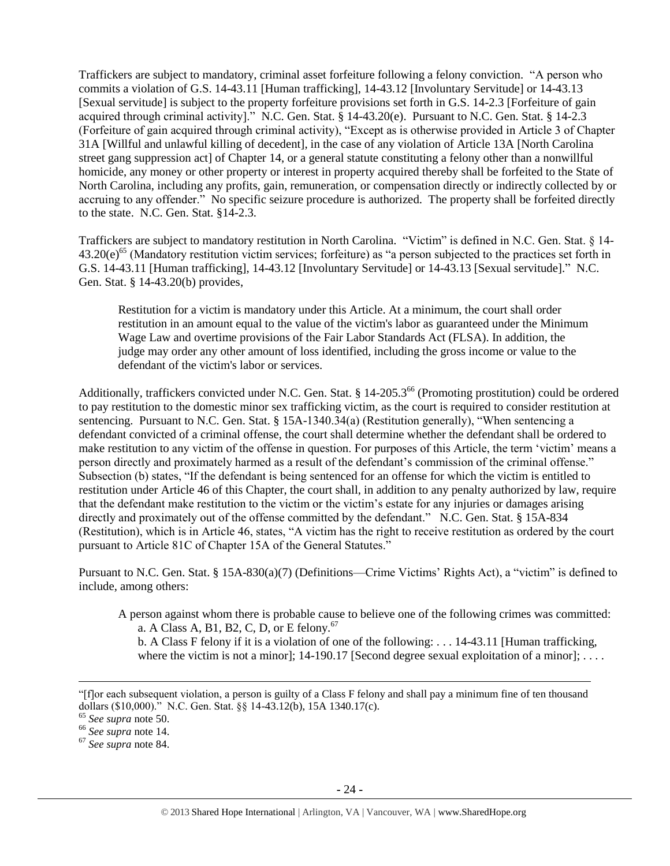Traffickers are subject to mandatory, criminal asset forfeiture following a felony conviction. "A person who commits a violation of G.S. 14-43.11 [Human trafficking], 14-43.12 [Involuntary Servitude] or 14-43.13 [Sexual servitude] is subject to the property forfeiture provisions set forth in G.S. 14-2.3 [Forfeiture of gain acquired through criminal activity]." N.C. Gen. Stat. § 14-43.20(e). Pursuant to N.C. Gen. Stat. § 14-2.3 (Forfeiture of gain acquired through criminal activity), "Except as is otherwise provided in Article 3 of Chapter 31A [Willful and unlawful killing of decedent], in the case of any violation of Article 13A [North Carolina street gang suppression act] of Chapter 14, or a general statute constituting a felony other than a nonwillful homicide, any money or other property or interest in property acquired thereby shall be forfeited to the State of North Carolina, including any profits, gain, remuneration, or compensation directly or indirectly collected by or accruing to any offender." No specific seizure procedure is authorized. The property shall be forfeited directly to the state. N.C. Gen. Stat. §14-2.3.

Traffickers are subject to mandatory restitution in North Carolina. "Victim" is defined in N.C. Gen. Stat. § 14-  $43.20(e)^{65}$  (Mandatory restitution victim services; forfeiture) as "a person subjected to the practices set forth in G.S. 14-43.11 [Human trafficking], 14-43.12 [Involuntary Servitude] or 14-43.13 [Sexual servitude]." N.C. Gen. Stat. § 14-43.20(b) provides,

Restitution for a victim is mandatory under this Article. At a minimum, the court shall order restitution in an amount equal to the value of the victim's labor as guaranteed under the Minimum Wage Law and overtime provisions of the Fair Labor Standards Act (FLSA). In addition, the judge may order any other amount of loss identified, including the gross income or value to the defendant of the victim's labor or services.

Additionally, traffickers convicted under N.C. Gen. Stat. § 14-205.3<sup>66</sup> (Promoting prostitution) could be ordered to pay restitution to the domestic minor sex trafficking victim, as the court is required to consider restitution at sentencing. Pursuant to N.C. Gen. Stat. § 15A-1340.34(a) (Restitution generally), "When sentencing a defendant convicted of a criminal offense, the court shall determine whether the defendant shall be ordered to make restitution to any victim of the offense in question. For purposes of this Article, the term 'victim' means a person directly and proximately harmed as a result of the defendant's commission of the criminal offense." Subsection (b) states, "If the defendant is being sentenced for an offense for which the victim is entitled to restitution under Article 46 of this Chapter, the court shall, in addition to any penalty authorized by law, require that the defendant make restitution to the victim or the victim's estate for any injuries or damages arising directly and proximately out of the offense committed by the defendant." N.C. Gen. Stat. § 15A-834 (Restitution), which is in Article 46, states, "A victim has the right to receive restitution as ordered by the court pursuant to Article 81C of Chapter 15A of the General Statutes."

Pursuant to N.C. Gen. Stat. § 15A-830(a)(7) (Definitions—Crime Victims' Rights Act), a "victim" is defined to include, among others:

A person against whom there is probable cause to believe one of the following crimes was committed: a. A Class A, B1, B2, C, D, or E felony.<sup>67</sup>

b. A Class F felony if it is a violation of one of the following: . . . 14-43.11 [Human trafficking, where the victim is not a minor]; 14-190.17 [Second degree sexual exploitation of a minor];  $\dots$ .

 $\overline{a}$ 

<sup>&</sup>quot;[f]or each subsequent violation, a person is guilty of a Class F felony and shall pay a minimum fine of ten thousand dollars (\$10,000)." N.C. Gen. Stat. §§ 14-43.12(b), 15A 1340.17(c).

<sup>65</sup> *See supra* note [50.](#page-16-0)

<sup>66</sup> *See supra* note [14.](#page-3-3)

<sup>67</sup> *See supra* note [84.](#page-34-0)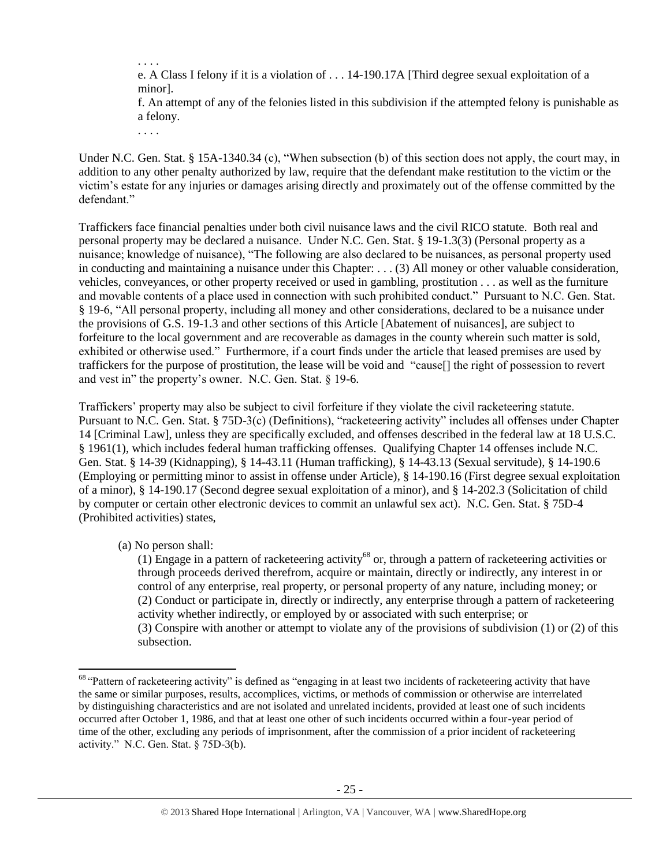e. A Class I felony if it is a violation of . . . 14-190.17A [Third degree sexual exploitation of a minor].

f. An attempt of any of the felonies listed in this subdivision if the attempted felony is punishable as a felony.

. . . .

. . . .

Under N.C. Gen. Stat. § 15A-1340.34 (c), "When subsection (b) of this section does not apply, the court may, in addition to any other penalty authorized by law, require that the defendant make restitution to the victim or the victim's estate for any injuries or damages arising directly and proximately out of the offense committed by the defendant."

Traffickers face financial penalties under both civil nuisance laws and the civil RICO statute. Both real and personal property may be declared a nuisance. Under N.C. Gen. Stat. § 19-1.3(3) (Personal property as a nuisance; knowledge of nuisance), "The following are also declared to be nuisances, as personal property used in conducting and maintaining a nuisance under this Chapter: . . . (3) All money or other valuable consideration, vehicles, conveyances, or other property received or used in gambling, prostitution . . . as well as the furniture and movable contents of a place used in connection with such prohibited conduct." Pursuant to N.C. Gen. Stat. § 19-6, "All personal property, including all money and other considerations, declared to be a nuisance under the provisions of G.S. 19-1.3 and other sections of this Article [Abatement of nuisances], are subject to forfeiture to the local government and are recoverable as damages in the county wherein such matter is sold, exhibited or otherwise used." Furthermore, if a court finds under the article that leased premises are used by traffickers for the purpose of prostitution, the lease will be void and "cause[] the right of possession to revert and vest in" the property's owner. N.C. Gen. Stat. § 19-6.

Traffickers' property may also be subject to civil forfeiture if they violate the civil racketeering statute. Pursuant to N.C. Gen. Stat. § 75D-3(c) (Definitions), "racketeering activity" includes all offenses under Chapter 14 [Criminal Law], unless they are specifically excluded, and offenses described in the federal law at 18 U.S.C. § 1961(1), which includes federal human trafficking offenses. Qualifying Chapter 14 offenses include N.C. Gen. Stat. § 14-39 (Kidnapping), § 14-43.11 (Human trafficking), § 14-43.13 (Sexual servitude), § 14-190.6 (Employing or permitting minor to assist in offense under Article), § 14-190.16 (First degree sexual exploitation of a minor), § 14-190.17 (Second degree sexual exploitation of a minor), and § 14-202.3 (Solicitation of child by computer or certain other electronic devices to commit an unlawful sex act). N.C. Gen. Stat. § 75D-4 (Prohibited activities) states,

(a) No person shall:

l

<span id="page-24-0"></span>(1) Engage in a pattern of racketeering activity<sup>68</sup> or, through a pattern of racketeering activities or through proceeds derived therefrom, acquire or maintain, directly or indirectly, any interest in or control of any enterprise, real property, or personal property of any nature, including money; or (2) Conduct or participate in, directly or indirectly, any enterprise through a pattern of racketeering activity whether indirectly, or employed by or associated with such enterprise; or (3) Conspire with another or attempt to violate any of the provisions of subdivision (1) or (2) of this subsection.

<sup>&</sup>lt;sup>68</sup> "Pattern of racketeering activity" is defined as "engaging in at least two incidents of racketeering activity that have the same or similar purposes, results, accomplices, victims, or methods of commission or otherwise are interrelated by distinguishing characteristics and are not isolated and unrelated incidents, provided at least one of such incidents occurred after October 1, 1986, and that at least one other of such incidents occurred within a four-year period of time of the other, excluding any periods of imprisonment, after the commission of a prior incident of racketeering activity." N.C. Gen. Stat. § 75D-3(b).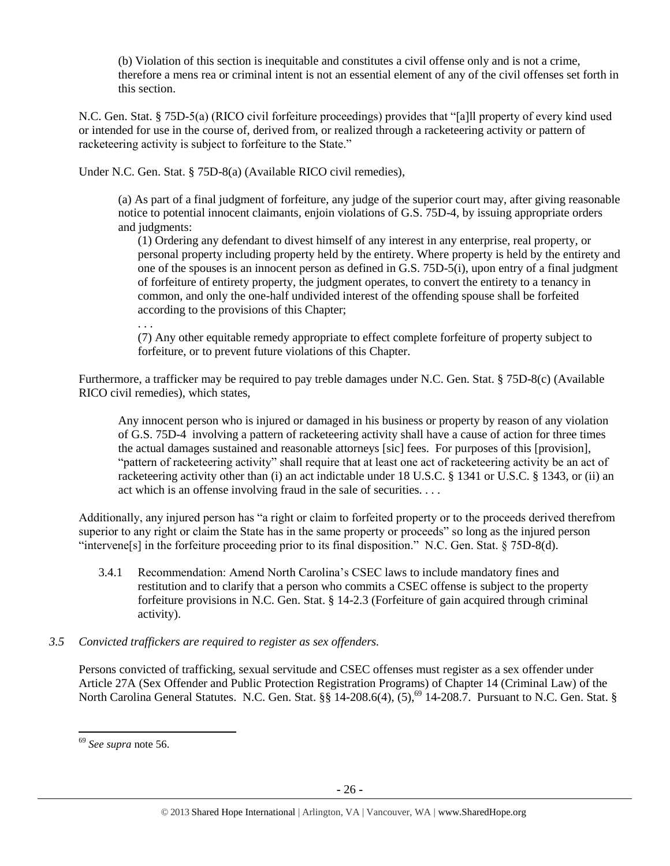(b) Violation of this section is inequitable and constitutes a civil offense only and is not a crime, therefore a mens rea or criminal intent is not an essential element of any of the civil offenses set forth in this section.

N.C. Gen. Stat. § 75D-5(a) (RICO civil forfeiture proceedings) provides that "[a]ll property of every kind used or intended for use in the course of, derived from, or realized through a racketeering activity or pattern of racketeering activity is subject to forfeiture to the State."

Under N.C. Gen. Stat. § 75D-8(a) (Available RICO civil remedies),

(a) As part of a final judgment of forfeiture, any judge of the superior court may, after giving reasonable notice to potential innocent claimants, enjoin violations of G.S. 75D-4, by issuing appropriate orders and judgments:

(1) Ordering any defendant to divest himself of any interest in any enterprise, real property, or personal property including property held by the entirety. Where property is held by the entirety and one of the spouses is an innocent person as defined in G.S. 75D-5(i), upon entry of a final judgment of forfeiture of entirety property, the judgment operates, to convert the entirety to a tenancy in common, and only the one-half undivided interest of the offending spouse shall be forfeited according to the provisions of this Chapter;

. . .

(7) Any other equitable remedy appropriate to effect complete forfeiture of property subject to forfeiture, or to prevent future violations of this Chapter.

Furthermore, a trafficker may be required to pay treble damages under N.C. Gen. Stat. § 75D-8(c) (Available RICO civil remedies), which states,

Any innocent person who is injured or damaged in his business or property by reason of any violation of G.S. 75D-4 involving a pattern of racketeering activity shall have a cause of action for three times the actual damages sustained and reasonable attorneys [sic] fees. For purposes of this [provision], "pattern of racketeering activity" shall require that at least one act of racketeering activity be an act of racketeering activity other than (i) an act indictable under 18 U.S.C. § 1341 or U.S.C. § 1343, or (ii) an act which is an offense involving fraud in the sale of securities. . . .

Additionally, any injured person has "a right or claim to forfeited property or to the proceeds derived therefrom superior to any right or claim the State has in the same property or proceeds" so long as the injured person "intervene[s] in the forfeiture proceeding prior to its final disposition." N.C. Gen. Stat. § 75D-8(d).

3.4.1 Recommendation: Amend North Carolina's CSEC laws to include mandatory fines and restitution and to clarify that a person who commits a CSEC offense is subject to the property forfeiture provisions in N.C. Gen. Stat. § 14-2.3 (Forfeiture of gain acquired through criminal activity).

# *3.5 Convicted traffickers are required to register as sex offenders.*

Persons convicted of trafficking, sexual servitude and CSEC offenses must register as a sex offender under Article 27A (Sex Offender and Public Protection Registration Programs) of Chapter 14 (Criminal Law) of the North Carolina General Statutes. N.C. Gen. Stat. §§ 14-208.6(4), (5),<sup>69</sup> 14-208.7. Pursuant to N.C. Gen. Stat. §

 $\overline{\phantom{a}}$ <sup>69</sup> *See supra* note [56.](#page-18-0)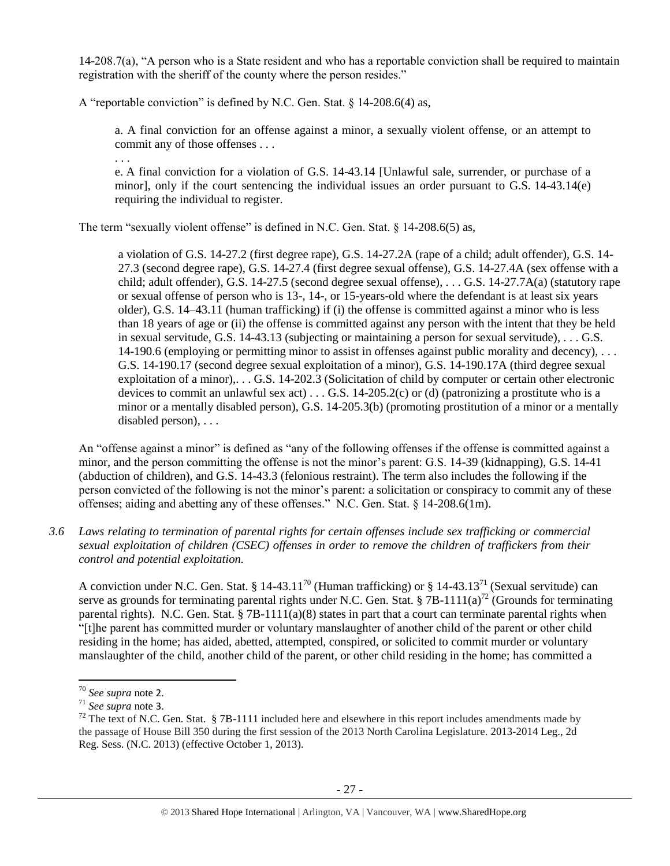14-208.7(a), "A person who is a State resident and who has a reportable conviction shall be required to maintain registration with the sheriff of the county where the person resides."

A "reportable conviction" is defined by N.C. Gen. Stat. § 14-208.6(4) as,

a. A final conviction for an offense against a minor, a sexually violent offense, or an attempt to commit any of those offenses . . .

e. A final conviction for a violation of G.S. 14-43.14 [Unlawful sale, surrender, or purchase of a minor], only if the court sentencing the individual issues an order pursuant to G.S. 14-43.14(e) requiring the individual to register.

The term "sexually violent offense" is defined in N.C. Gen. Stat. § 14-208.6(5) as,

a violation of G.S. 14-27.2 (first degree rape), G.S. 14-27.2A (rape of a child; adult offender), G.S. 14- 27.3 (second degree rape), G.S. 14-27.4 (first degree sexual offense), G.S. 14-27.4A (sex offense with a child; adult offender), G.S. 14-27.5 (second degree sexual offense), . . . G.S. 14-27.7A(a) (statutory rape or sexual offense of person who is 13-, 14-, or 15-years-old where the defendant is at least six years older), G.S. 14–43.11 (human trafficking) if (i) the offense is committed against a minor who is less than 18 years of age or (ii) the offense is committed against any person with the intent that they be held in sexual servitude, G.S. 14-43.13 (subjecting or maintaining a person for sexual servitude), . . . G.S. 14-190.6 (employing or permitting minor to assist in offenses against public morality and decency),  $\dots$ G.S. 14-190.17 (second degree sexual exploitation of a minor), G.S. 14-190.17A (third degree sexual exploitation of a minor),... G.S. 14-202.3 (Solicitation of child by computer or certain other electronic devices to commit an unlawful sex act)  $\dots$  G.S. 14-205.2(c) or (d) (patronizing a prostitute who is a minor or a mentally disabled person), G.S. 14-205.3(b) (promoting prostitution of a minor or a mentally disabled person), . . .

An "offense against a minor" is defined as "any of the following offenses if the offense is committed against a minor, and the person committing the offense is not the minor's parent: G.S. 14-39 (kidnapping), G.S. 14-41 (abduction of children), and G.S. 14-43.3 (felonious restraint). The term also includes the following if the person convicted of the following is not the minor's parent: a solicitation or conspiracy to commit any of these offenses; aiding and abetting any of these offenses." N.C. Gen. Stat. § 14-208.6(1m).

*3.6 Laws relating to termination of parental rights for certain offenses include sex trafficking or commercial sexual exploitation of children (CSEC) offenses in order to remove the children of traffickers from their control and potential exploitation.* 

A conviction under N.C. Gen. Stat. § 14-43.11<sup>70</sup> (Human trafficking) or § 14-43.13<sup>71</sup> (Sexual servitude) can serve as grounds for terminating parental rights under N.C. Gen. Stat. § 7B-1111(a)<sup>72</sup> (Grounds for terminating parental rights). N.C. Gen. Stat. § 7B-111(a)(8) states in part that a court can terminate parental rights when "[t]he parent has committed murder or voluntary manslaughter of another child of the parent or other child residing in the home; has aided, abetted, attempted, conspired, or solicited to commit murder or voluntary manslaughter of the child, another child of the parent, or other child residing in the home; has committed a

l

. . .

<sup>70</sup> *See supra* note [2](#page-0-0).

<sup>71</sup> *See supra* note [3](#page-1-0).

 $72$  The text of N.C. Gen. Stat. § 7B-1111 included here and elsewhere in this report includes amendments made by the passage of House Bill 350 during the first session of the 2013 North Carolina Legislature. 2013-2014 Leg., 2d Reg. Sess. (N.C. 2013) (effective October 1, 2013).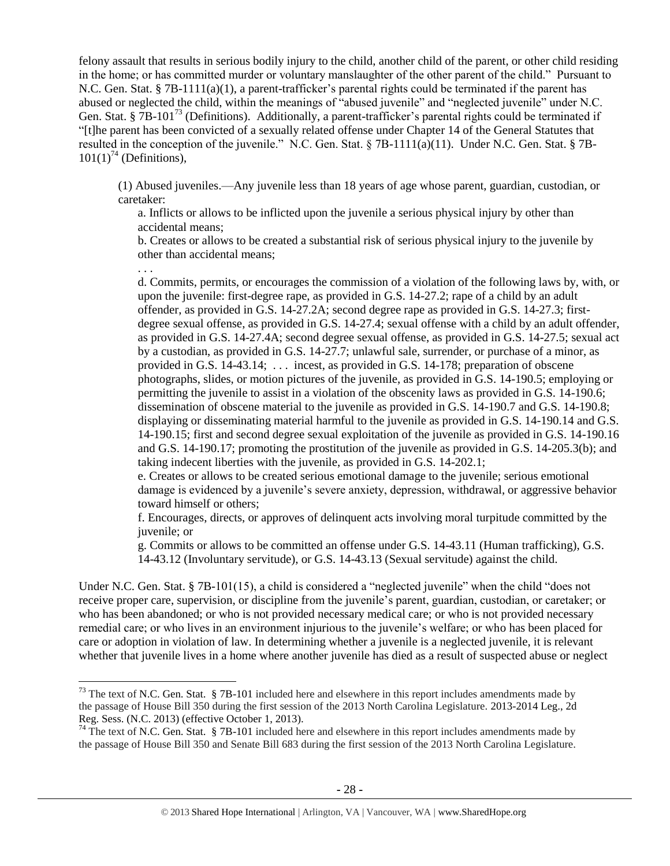felony assault that results in serious bodily injury to the child, another child of the parent, or other child residing in the home; or has committed murder or voluntary manslaughter of the other parent of the child." Pursuant to N.C. Gen. Stat. § 7B-1111(a)(1), a parent-trafficker's parental rights could be terminated if the parent has abused or neglected the child, within the meanings of "abused juvenile" and "neglected juvenile" under N.C. Gen. Stat. § 7B-101<sup>73</sup> (Definitions). Additionally, a parent-trafficker's parental rights could be terminated if "[t]he parent has been convicted of a sexually related offense under Chapter 14 of the General Statutes that resulted in the conception of the juvenile." N.C. Gen. Stat. § 7B-1111(a)(11). Under N.C. Gen. Stat. § 7B- $101(1)^{74}$  (Definitions),

<span id="page-27-0"></span>(1) Abused juveniles.—Any juvenile less than 18 years of age whose parent, guardian, custodian, or caretaker:

a. Inflicts or allows to be inflicted upon the juvenile a serious physical injury by other than accidental means;

. . .

 $\overline{a}$ 

b. Creates or allows to be created a substantial risk of serious physical injury to the juvenile by other than accidental means;

d. Commits, permits, or encourages the commission of a violation of the following laws by, with, or upon the juvenile: first-degree rape, as provided in G.S. 14-27.2; rape of a child by an adult offender, as provided in G.S. 14-27.2A; second degree rape as provided in G.S. 14-27.3; firstdegree sexual offense, as provided in G.S. 14-27.4; sexual offense with a child by an adult offender, as provided in G.S. 14-27.4A; second degree sexual offense, as provided in G.S. 14-27.5; sexual act by a custodian, as provided in G.S. 14-27.7; unlawful sale, surrender, or purchase of a minor, as provided in G.S. 14-43.14; . . . incest, as provided in G.S. 14-178; preparation of obscene photographs, slides, or motion pictures of the juvenile, as provided in G.S. 14-190.5; employing or permitting the juvenile to assist in a violation of the obscenity laws as provided in G.S. 14-190.6; dissemination of obscene material to the juvenile as provided in G.S. 14-190.7 and G.S. 14-190.8; displaying or disseminating material harmful to the juvenile as provided in G.S. 14-190.14 and G.S. 14-190.15; first and second degree sexual exploitation of the juvenile as provided in G.S. 14-190.16 and G.S. 14-190.17; promoting the prostitution of the juvenile as provided in G.S. 14-205.3(b); and taking indecent liberties with the juvenile, as provided in G.S. 14-202.1;

e. Creates or allows to be created serious emotional damage to the juvenile; serious emotional damage is evidenced by a juvenile's severe anxiety, depression, withdrawal, or aggressive behavior toward himself or others;

f. Encourages, directs, or approves of delinquent acts involving moral turpitude committed by the juvenile; or

g. Commits or allows to be committed an offense under G.S. 14-43.11 (Human trafficking), G.S. 14-43.12 (Involuntary servitude), or G.S. 14-43.13 (Sexual servitude) against the child.

Under N.C. Gen. Stat. § 7B-101(15), a child is considered a "neglected juvenile" when the child "does not receive proper care, supervision, or discipline from the juvenile's parent, guardian, custodian, or caretaker; or who has been abandoned; or who is not provided necessary medical care; or who is not provided necessary remedial care; or who lives in an environment injurious to the juvenile's welfare; or who has been placed for care or adoption in violation of law. In determining whether a juvenile is a neglected juvenile, it is relevant whether that juvenile lives in a home where another juvenile has died as a result of suspected abuse or neglect

 $^{73}$  The text of N.C. Gen. Stat. § 7B-101 included here and elsewhere in this report includes amendments made by the passage of House Bill 350 during the first session of the 2013 North Carolina Legislature. 2013-2014 Leg., 2d Reg. Sess. (N.C. 2013) (effective October 1, 2013).

 $74$  The text of N.C. Gen. Stat. § 7B-101 included here and elsewhere in this report includes amendments made by the passage of House Bill 350 and Senate Bill 683 during the first session of the 2013 North Carolina Legislature.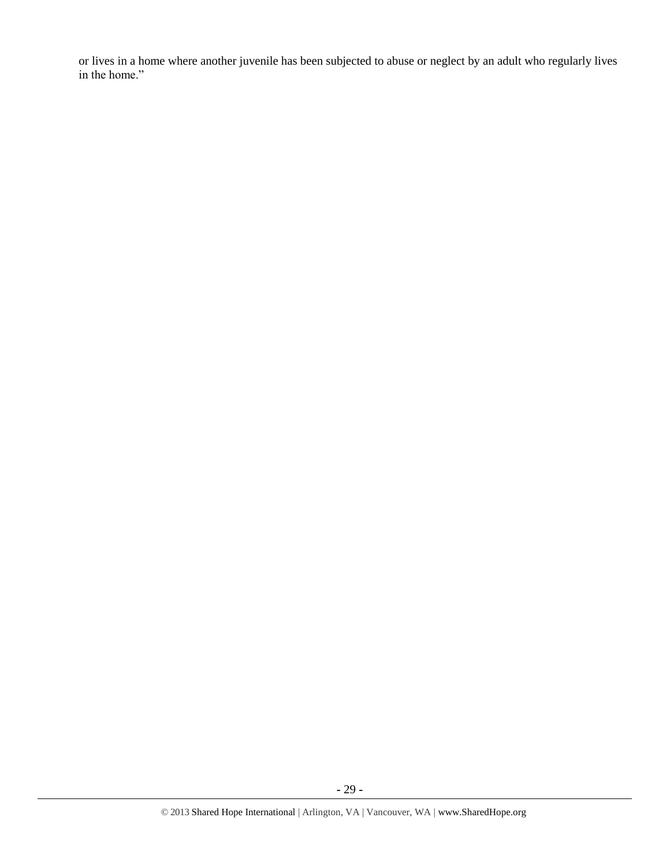or lives in a home where another juvenile has been subjected to abuse or neglect by an adult who regularly lives in the home."

**-** 29 **-**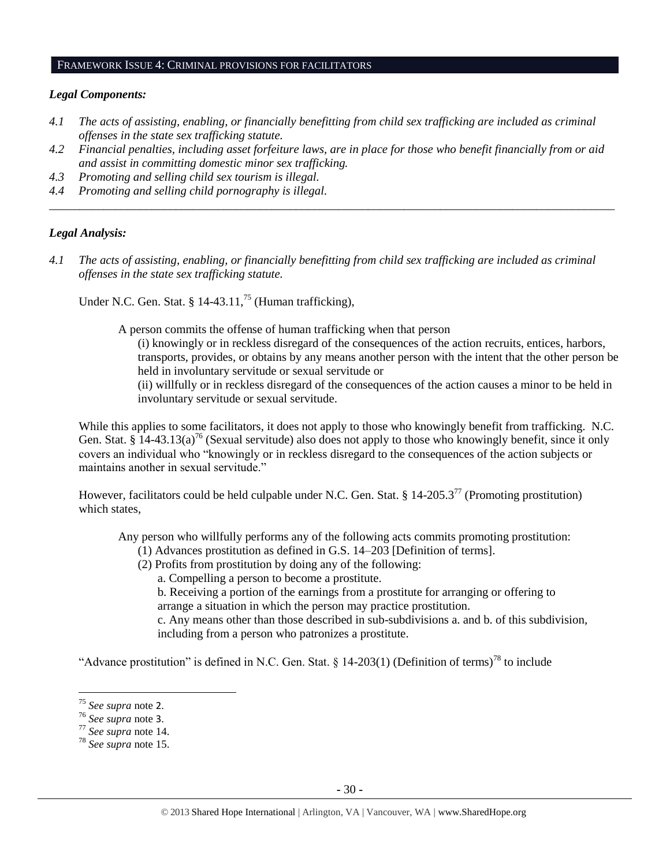#### FRAMEWORK ISSUE 4: CRIMINAL PROVISIONS FOR FACILITATORS

#### *Legal Components:*

- *4.1 The acts of assisting, enabling, or financially benefitting from child sex trafficking are included as criminal offenses in the state sex trafficking statute.*
- *4.2 Financial penalties, including asset forfeiture laws, are in place for those who benefit financially from or aid and assist in committing domestic minor sex trafficking.*

*\_\_\_\_\_\_\_\_\_\_\_\_\_\_\_\_\_\_\_\_\_\_\_\_\_\_\_\_\_\_\_\_\_\_\_\_\_\_\_\_\_\_\_\_\_\_\_\_\_\_\_\_\_\_\_\_\_\_\_\_\_\_\_\_\_\_\_\_\_\_\_\_\_\_\_\_\_\_\_\_\_\_\_\_\_\_\_\_\_\_\_\_\_\_*

- *4.3 Promoting and selling child sex tourism is illegal.*
- *4.4 Promoting and selling child pornography is illegal.*

#### *Legal Analysis:*

*4.1 The acts of assisting, enabling, or financially benefitting from child sex trafficking are included as criminal offenses in the state sex trafficking statute.*

Under N.C. Gen. Stat. § 14-43.11,<sup>75</sup> (Human trafficking),

A person commits the offense of human trafficking when that person

(i) knowingly or in reckless disregard of the consequences of the action recruits, entices, harbors, transports, provides, or obtains by any means another person with the intent that the other person be held in involuntary servitude or sexual servitude or

(ii) willfully or in reckless disregard of the consequences of the action causes a minor to be held in involuntary servitude or sexual servitude.

While this applies to some facilitators, it does not apply to those who knowingly benefit from trafficking. N.C. Gen. Stat. § 14-43.13(a)<sup>76</sup> (Sexual servitude) also does not apply to those who knowingly benefit, since it only covers an individual who "knowingly or in reckless disregard to the consequences of the action subjects or maintains another in sexual servitude."

However, facilitators could be held culpable under N.C. Gen. Stat. § 14-205.3<sup>77</sup> (Promoting prostitution) which states,

Any person who willfully performs any of the following acts commits promoting prostitution:

- (1) Advances prostitution as defined in G.S. 14–203 [Definition of terms].
- (2) Profits from prostitution by doing any of the following:
	- a. Compelling a person to become a prostitute.

b. Receiving a portion of the earnings from a prostitute for arranging or offering to arrange a situation in which the person may practice prostitution.

c. Any means other than those described in sub-subdivisions a. and b. of this subdivision, including from a person who patronizes a prostitute.

"Advance prostitution" is defined in N.C. Gen. Stat. § 14-203(1) (Definition of terms)<sup>78</sup> to include

 $\overline{\phantom{a}}$ 

<sup>75</sup> *See supra* note [2](#page-0-0).

<sup>76</sup> *See supra* note [3](#page-1-0).

<sup>77</sup> *See supra* note [14.](#page-3-3)

<sup>78</sup> *See supra* note [15.](#page-3-4)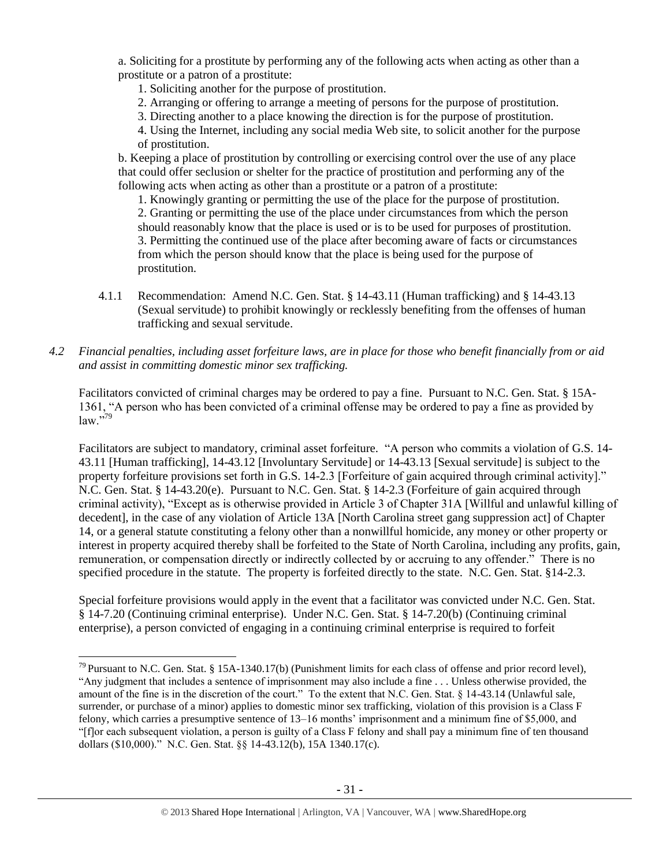a. Soliciting for a prostitute by performing any of the following acts when acting as other than a prostitute or a patron of a prostitute:

1. Soliciting another for the purpose of prostitution.

- 2. Arranging or offering to arrange a meeting of persons for the purpose of prostitution.
- 3. Directing another to a place knowing the direction is for the purpose of prostitution.

4. Using the Internet, including any social media Web site, to solicit another for the purpose of prostitution.

b. Keeping a place of prostitution by controlling or exercising control over the use of any place that could offer seclusion or shelter for the practice of prostitution and performing any of the following acts when acting as other than a prostitute or a patron of a prostitute:

1. Knowingly granting or permitting the use of the place for the purpose of prostitution. 2. Granting or permitting the use of the place under circumstances from which the person should reasonably know that the place is used or is to be used for purposes of prostitution. 3. Permitting the continued use of the place after becoming aware of facts or circumstances from which the person should know that the place is being used for the purpose of prostitution.

- 4.1.1 Recommendation: Amend N.C. Gen. Stat. § 14-43.11 (Human trafficking) and § 14-43.13 (Sexual servitude) to prohibit knowingly or recklessly benefiting from the offenses of human trafficking and sexual servitude.
- *4.2 Financial penalties, including asset forfeiture laws, are in place for those who benefit financially from or aid and assist in committing domestic minor sex trafficking.*

Facilitators convicted of criminal charges may be ordered to pay a fine. Pursuant to N.C. Gen. Stat. § 15A-1361, "A person who has been convicted of a criminal offense may be ordered to pay a fine as provided by  $law.$ "79

Facilitators are subject to mandatory, criminal asset forfeiture. "A person who commits a violation of G.S. 14- 43.11 [Human trafficking], 14-43.12 [Involuntary Servitude] or 14-43.13 [Sexual servitude] is subject to the property forfeiture provisions set forth in G.S. 14-2.3 [Forfeiture of gain acquired through criminal activity]." N.C. Gen. Stat. § 14-43.20(e). Pursuant to N.C. Gen. Stat. § 14-2.3 (Forfeiture of gain acquired through criminal activity), "Except as is otherwise provided in Article 3 of Chapter 31A [Willful and unlawful killing of decedent], in the case of any violation of Article 13A [North Carolina street gang suppression act] of Chapter 14, or a general statute constituting a felony other than a nonwillful homicide, any money or other property or interest in property acquired thereby shall be forfeited to the State of North Carolina, including any profits, gain, remuneration, or compensation directly or indirectly collected by or accruing to any offender." There is no specified procedure in the statute. The property is forfeited directly to the state. N.C. Gen. Stat. §14-2.3.

Special forfeiture provisions would apply in the event that a facilitator was convicted under N.C. Gen. Stat. § 14-7.20 (Continuing criminal enterprise). Under N.C. Gen. Stat. § 14-7.20(b) (Continuing criminal enterprise), a person convicted of engaging in a continuing criminal enterprise is required to forfeit

 $\overline{\phantom{a}}$ 

 $^{79}$  Pursuant to N.C. Gen. Stat. § 15A-1340.17(b) (Punishment limits for each class of offense and prior record level), "Any judgment that includes a sentence of imprisonment may also include a fine . . . Unless otherwise provided, the amount of the fine is in the discretion of the court." To the extent that N.C. Gen. Stat. § 14-43.14 (Unlawful sale, surrender, or purchase of a minor) applies to domestic minor sex trafficking, violation of this provision is a Class F felony, which carries a presumptive sentence of 13–16 months' imprisonment and a minimum fine of \$5,000, and "[f]or each subsequent violation, a person is guilty of a Class F felony and shall pay a minimum fine of ten thousand dollars (\$10,000)." N.C. Gen. Stat. §§ 14-43.12(b), 15A 1340.17(c).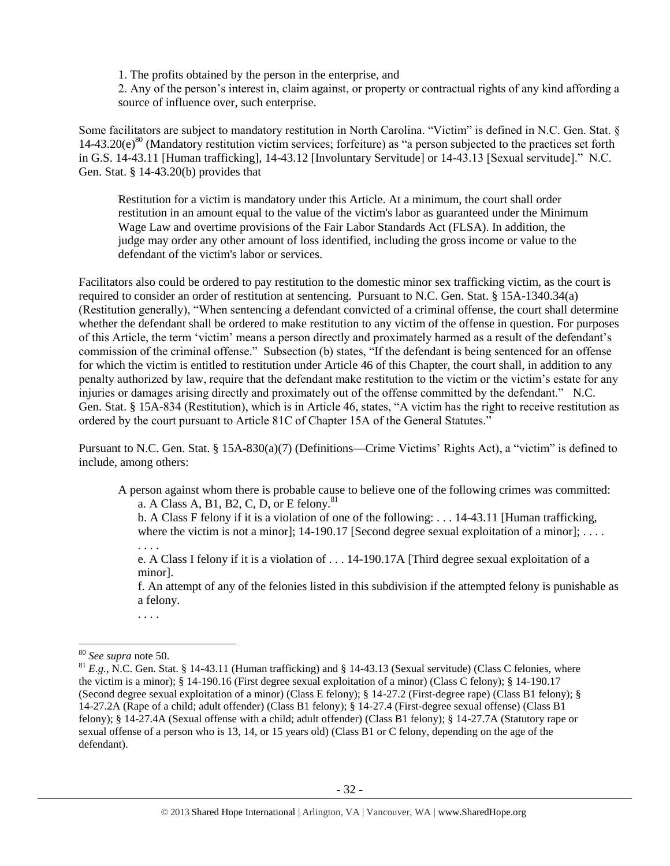1. The profits obtained by the person in the enterprise, and

2. Any of the person's interest in, claim against, or property or contractual rights of any kind affording a source of influence over, such enterprise.

Some facilitators are subject to mandatory restitution in North Carolina. "Victim" is defined in N.C. Gen. Stat. §  $14-43.20(e)^{80}$  (Mandatory restitution victim services; forfeiture) as "a person subjected to the practices set forth in G.S. 14-43.11 [Human trafficking], 14-43.12 [Involuntary Servitude] or 14-43.13 [Sexual servitude]." N.C. Gen. Stat. § 14-43.20(b) provides that

Restitution for a victim is mandatory under this Article. At a minimum, the court shall order restitution in an amount equal to the value of the victim's labor as guaranteed under the Minimum Wage Law and overtime provisions of the Fair Labor Standards Act (FLSA). In addition, the judge may order any other amount of loss identified, including the gross income or value to the defendant of the victim's labor or services.

Facilitators also could be ordered to pay restitution to the domestic minor sex trafficking victim, as the court is required to consider an order of restitution at sentencing. Pursuant to N.C. Gen. Stat. § 15A-1340.34(a) (Restitution generally), "When sentencing a defendant convicted of a criminal offense, the court shall determine whether the defendant shall be ordered to make restitution to any victim of the offense in question. For purposes of this Article, the term 'victim' means a person directly and proximately harmed as a result of the defendant's commission of the criminal offense." Subsection (b) states, "If the defendant is being sentenced for an offense for which the victim is entitled to restitution under Article 46 of this Chapter, the court shall, in addition to any penalty authorized by law, require that the defendant make restitution to the victim or the victim's estate for any injuries or damages arising directly and proximately out of the offense committed by the defendant." N.C. Gen. Stat. § 15A-834 (Restitution), which is in Article 46, states, "A victim has the right to receive restitution as ordered by the court pursuant to Article 81C of Chapter 15A of the General Statutes."

Pursuant to N.C. Gen. Stat. § 15A-830(a)(7) (Definitions—Crime Victims' Rights Act), a "victim" is defined to include, among others:

A person against whom there is probable cause to believe one of the following crimes was committed: a. A Class A, B1, B2, C, D, or E felony.<sup>81</sup>

<span id="page-31-0"></span>b. A Class F felony if it is a violation of one of the following: . . . 14-43.11 [Human trafficking, where the victim is not a minor];  $14-190.17$  [Second degree sexual exploitation of a minor]; ...

e. A Class I felony if it is a violation of . . . 14-190.17A [Third degree sexual exploitation of a minor].

f. An attempt of any of the felonies listed in this subdivision if the attempted felony is punishable as a felony.

. . . .

. . . .

 $\overline{a}$ 

<sup>80</sup> *See supra* note [50.](#page-16-0)

 $81 E.g., N.C.$  Gen. Stat. § 14-43.11 (Human trafficking) and § 14-43.13 (Sexual servitude) (Class C felonies, where the victim is a minor); § 14-190.16 (First degree sexual exploitation of a minor) (Class C felony); § 14-190.17 (Second degree sexual exploitation of a minor) (Class E felony); § 14-27.2 (First-degree rape) (Class B1 felony); § 14-27.2A (Rape of a child; adult offender) (Class B1 felony); § 14-27.4 (First-degree sexual offense) (Class B1 felony); § 14-27.4A (Sexual offense with a child; adult offender) (Class B1 felony); § 14-27.7A (Statutory rape or sexual offense of a person who is 13, 14, or 15 years old) (Class B1 or C felony, depending on the age of the defendant).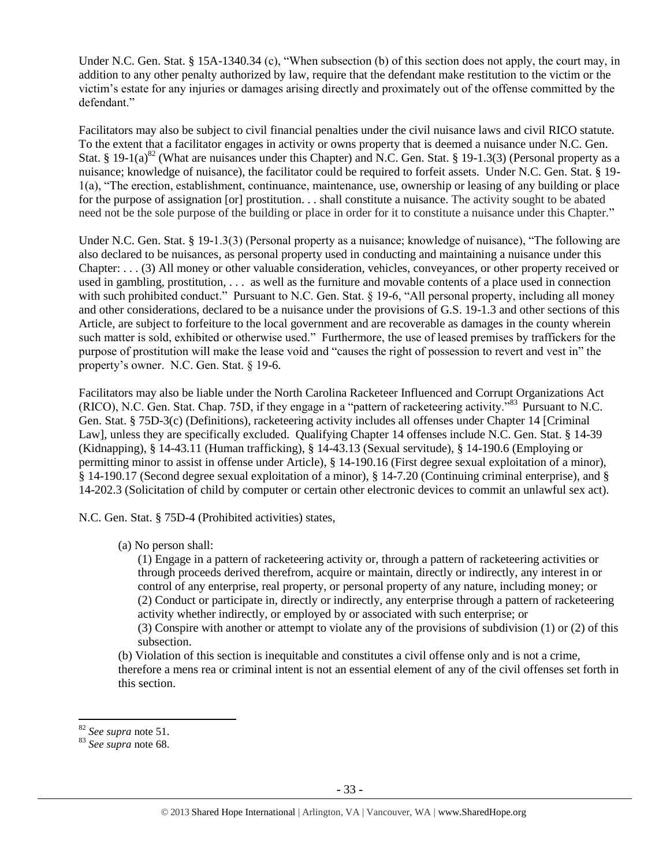Under N.C. Gen. Stat. § 15A-1340.34 (c), "When subsection (b) of this section does not apply, the court may, in addition to any other penalty authorized by law, require that the defendant make restitution to the victim or the victim's estate for any injuries or damages arising directly and proximately out of the offense committed by the defendant."

Facilitators may also be subject to civil financial penalties under the civil nuisance laws and civil RICO statute. To the extent that a facilitator engages in activity or owns property that is deemed a nuisance under N.C. Gen. Stat. § 19-1(a)<sup>82</sup> (What are nuisances under this Chapter) and N.C. Gen. Stat. § 19-1.3(3) (Personal property as a nuisance; knowledge of nuisance), the facilitator could be required to forfeit assets. Under N.C. Gen. Stat. § 19- 1(a), "The erection, establishment, continuance, maintenance, use, ownership or leasing of any building or place for the purpose of assignation [or] prostitution. . . shall constitute a nuisance. The activity sought to be abated need not be the sole purpose of the building or place in order for it to constitute a nuisance under this Chapter."

Under N.C. Gen. Stat. § 19-1.3(3) (Personal property as a nuisance; knowledge of nuisance), "The following are also declared to be nuisances, as personal property used in conducting and maintaining a nuisance under this Chapter: . . . (3) All money or other valuable consideration, vehicles, conveyances, or other property received or used in gambling, prostitution, . . . as well as the furniture and movable contents of a place used in connection with such prohibited conduct." Pursuant to N.C. Gen. Stat. § 19-6, "All personal property, including all money and other considerations, declared to be a nuisance under the provisions of G.S. 19-1.3 and other sections of this Article, are subject to forfeiture to the local government and are recoverable as damages in the county wherein such matter is sold, exhibited or otherwise used." Furthermore, the use of leased premises by traffickers for the purpose of prostitution will make the lease void and "causes the right of possession to revert and vest in" the property's owner. N.C. Gen. Stat. § 19-6.

Facilitators may also be liable under the North Carolina Racketeer Influenced and Corrupt Organizations Act (RICO), N.C. Gen. Stat. Chap. 75D, if they engage in a "pattern of racketeering activity."<sup>83</sup> Pursuant to N.C. Gen. Stat. § 75D-3(c) (Definitions), racketeering activity includes all offenses under Chapter 14 [Criminal Law], unless they are specifically excluded. Qualifying Chapter 14 offenses include N.C. Gen. Stat. § 14-39 (Kidnapping), § 14-43.11 (Human trafficking), § 14-43.13 (Sexual servitude), § 14-190.6 (Employing or permitting minor to assist in offense under Article), § 14-190.16 (First degree sexual exploitation of a minor), § 14-190.17 (Second degree sexual exploitation of a minor), § 14-7.20 (Continuing criminal enterprise), and § 14-202.3 (Solicitation of child by computer or certain other electronic devices to commit an unlawful sex act).

N.C. Gen. Stat. § 75D-4 (Prohibited activities) states,

(a) No person shall:

(1) Engage in a pattern of racketeering activity or, through a pattern of racketeering activities or through proceeds derived therefrom, acquire or maintain, directly or indirectly, any interest in or control of any enterprise, real property, or personal property of any nature, including money; or (2) Conduct or participate in, directly or indirectly, any enterprise through a pattern of racketeering activity whether indirectly, or employed by or associated with such enterprise; or (3) Conspire with another or attempt to violate any of the provisions of subdivision (1) or (2) of this

subsection.

(b) Violation of this section is inequitable and constitutes a civil offense only and is not a crime, therefore a mens rea or criminal intent is not an essential element of any of the civil offenses set forth in this section.

<sup>82</sup> *See supra* note [51.](#page-16-1)

<sup>83</sup> *See supra* note [68.](#page-24-0)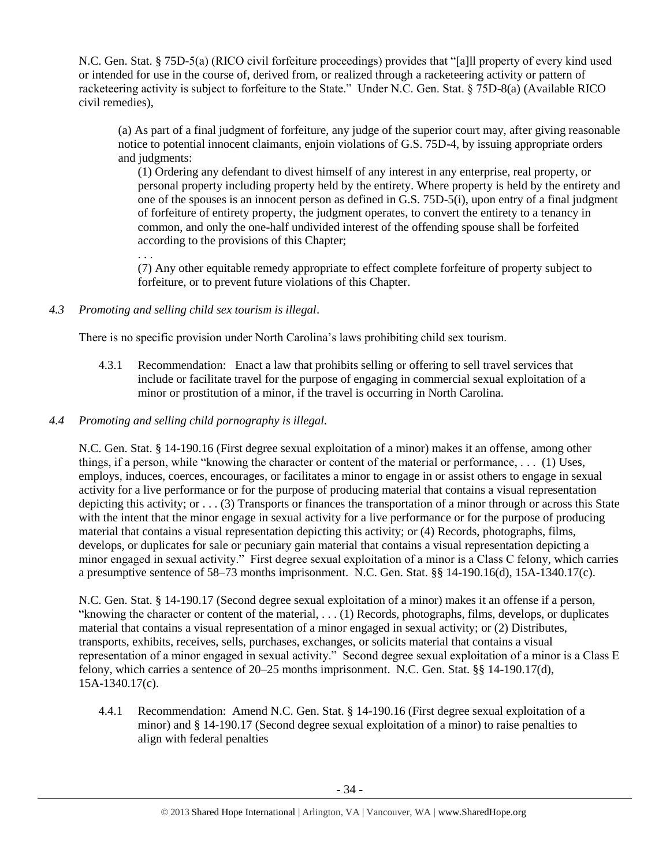N.C. Gen. Stat. § 75D-5(a) (RICO civil forfeiture proceedings) provides that "[a]ll property of every kind used or intended for use in the course of, derived from, or realized through a racketeering activity or pattern of racketeering activity is subject to forfeiture to the State." Under N.C. Gen. Stat. § 75D-8(a) (Available RICO civil remedies),

(a) As part of a final judgment of forfeiture, any judge of the superior court may, after giving reasonable notice to potential innocent claimants, enjoin violations of G.S. 75D-4, by issuing appropriate orders and judgments:

(1) Ordering any defendant to divest himself of any interest in any enterprise, real property, or personal property including property held by the entirety. Where property is held by the entirety and one of the spouses is an innocent person as defined in G.S. 75D-5(i), upon entry of a final judgment of forfeiture of entirety property, the judgment operates, to convert the entirety to a tenancy in common, and only the one-half undivided interest of the offending spouse shall be forfeited according to the provisions of this Chapter;

. . .

(7) Any other equitable remedy appropriate to effect complete forfeiture of property subject to forfeiture, or to prevent future violations of this Chapter.

*4.3 Promoting and selling child sex tourism is illegal*.

There is no specific provision under North Carolina's laws prohibiting child sex tourism.

- 4.3.1 Recommendation: Enact a law that prohibits selling or offering to sell travel services that include or facilitate travel for the purpose of engaging in commercial sexual exploitation of a minor or prostitution of a minor, if the travel is occurring in North Carolina.
- *4.4 Promoting and selling child pornography is illegal.*

N.C. Gen. Stat. § 14-190.16 (First degree sexual exploitation of a minor) makes it an offense, among other things, if a person, while "knowing the character or content of the material or performance, . . . (1) Uses, employs, induces, coerces, encourages, or facilitates a minor to engage in or assist others to engage in sexual activity for a live performance or for the purpose of producing material that contains a visual representation depicting this activity; or . . . (3) Transports or finances the transportation of a minor through or across this State with the intent that the minor engage in sexual activity for a live performance or for the purpose of producing material that contains a visual representation depicting this activity; or (4) Records, photographs, films, develops, or duplicates for sale or pecuniary gain material that contains a visual representation depicting a minor engaged in sexual activity." First degree sexual exploitation of a minor is a Class C felony, which carries a presumptive sentence of 58–73 months imprisonment. N.C. Gen. Stat. §§ 14-190.16(d), 15A-1340.17(c).

N.C. Gen. Stat. § 14-190.17 (Second degree sexual exploitation of a minor) makes it an offense if a person, "knowing the character or content of the material, . . . (1) Records, photographs, films, develops, or duplicates material that contains a visual representation of a minor engaged in sexual activity; or (2) Distributes, transports, exhibits, receives, sells, purchases, exchanges, or solicits material that contains a visual representation of a minor engaged in sexual activity." Second degree sexual exploitation of a minor is a Class E felony, which carries a sentence of 20–25 months imprisonment. N.C. Gen. Stat. §§ 14-190.17(d), 15A-1340.17(c).

4.4.1 Recommendation: Amend N.C. Gen. Stat. § 14-190.16 (First degree sexual exploitation of a minor) and § 14-190.17 (Second degree sexual exploitation of a minor) to raise penalties to align with federal penalties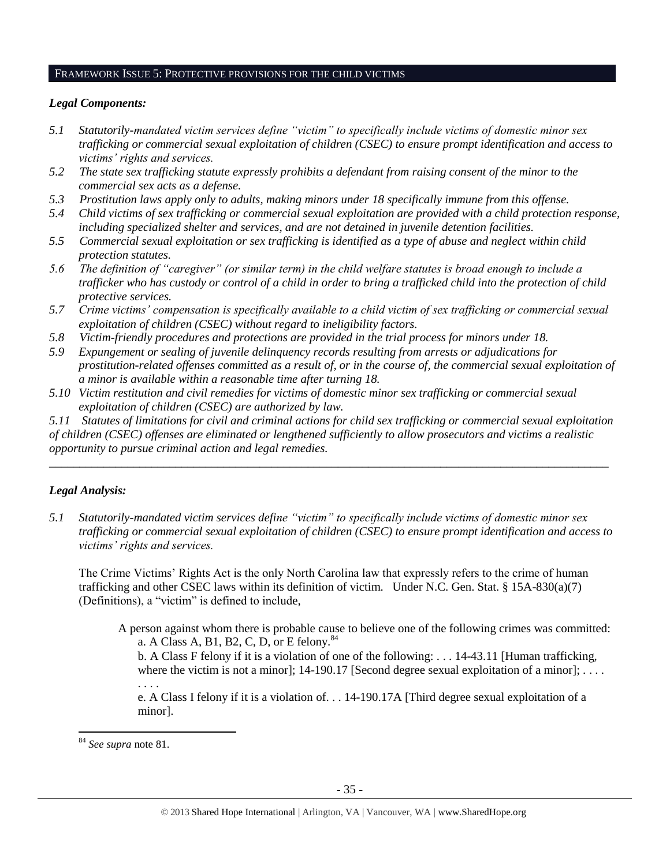#### FRAMEWORK ISSUE 5: PROTECTIVE PROVISIONS FOR THE CHILD VICTIMS

#### *Legal Components:*

- *5.1 Statutorily-mandated victim services define "victim" to specifically include victims of domestic minor sex trafficking or commercial sexual exploitation of children (CSEC) to ensure prompt identification and access to victims' rights and services.*
- *5.2 The state sex trafficking statute expressly prohibits a defendant from raising consent of the minor to the commercial sex acts as a defense.*
- *5.3 Prostitution laws apply only to adults, making minors under 18 specifically immune from this offense.*
- *5.4 Child victims of sex trafficking or commercial sexual exploitation are provided with a child protection response, including specialized shelter and services, and are not detained in juvenile detention facilities.*
- *5.5 Commercial sexual exploitation or sex trafficking is identified as a type of abuse and neglect within child protection statutes.*
- *5.6 The definition of "caregiver" (or similar term) in the child welfare statutes is broad enough to include a trafficker who has custody or control of a child in order to bring a trafficked child into the protection of child protective services.*
- *5.7 Crime victims' compensation is specifically available to a child victim of sex trafficking or commercial sexual exploitation of children (CSEC) without regard to ineligibility factors.*
- *5.8 Victim-friendly procedures and protections are provided in the trial process for minors under 18.*
- *5.9 Expungement or sealing of juvenile delinquency records resulting from arrests or adjudications for prostitution-related offenses committed as a result of, or in the course of, the commercial sexual exploitation of a minor is available within a reasonable time after turning 18.*
- *5.10 Victim restitution and civil remedies for victims of domestic minor sex trafficking or commercial sexual exploitation of children (CSEC) are authorized by law.*

*5.11 Statutes of limitations for civil and criminal actions for child sex trafficking or commercial sexual exploitation of children (CSEC) offenses are eliminated or lengthened sufficiently to allow prosecutors and victims a realistic opportunity to pursue criminal action and legal remedies. \_\_\_\_\_\_\_\_\_\_\_\_\_\_\_\_\_\_\_\_\_\_\_\_\_\_\_\_\_\_\_\_\_\_\_\_\_\_\_\_\_\_\_\_\_\_\_\_\_\_\_\_\_\_\_\_\_\_\_\_\_\_\_\_\_\_\_\_\_\_\_\_\_\_\_\_\_\_\_\_\_\_\_\_\_\_\_\_\_\_\_\_\_*

# *Legal Analysis:*

*5.1 Statutorily-mandated victim services define "victim" to specifically include victims of domestic minor sex trafficking or commercial sexual exploitation of children (CSEC) to ensure prompt identification and access to victims' rights and services.* 

The Crime Victims' Rights Act is the only North Carolina law that expressly refers to the crime of human trafficking and other CSEC laws within its definition of victim. Under N.C. Gen. Stat. § 15A-830(a)(7) (Definitions), a "victim" is defined to include,

A person against whom there is probable cause to believe one of the following crimes was committed: a. A Class A, B1, B2, C, D, or E felony. $84$ 

<span id="page-34-0"></span>b. A Class F felony if it is a violation of one of the following: . . . 14-43.11 [Human trafficking, where the victim is not a minor];  $14-190.17$  [Second degree sexual exploitation of a minor]; ...

e. A Class I felony if it is a violation of. . . 14-190.17A [Third degree sexual exploitation of a minor].

 $\overline{\phantom{a}}$ 

. . . .

<sup>84</sup> *See supra* note [81.](#page-31-0)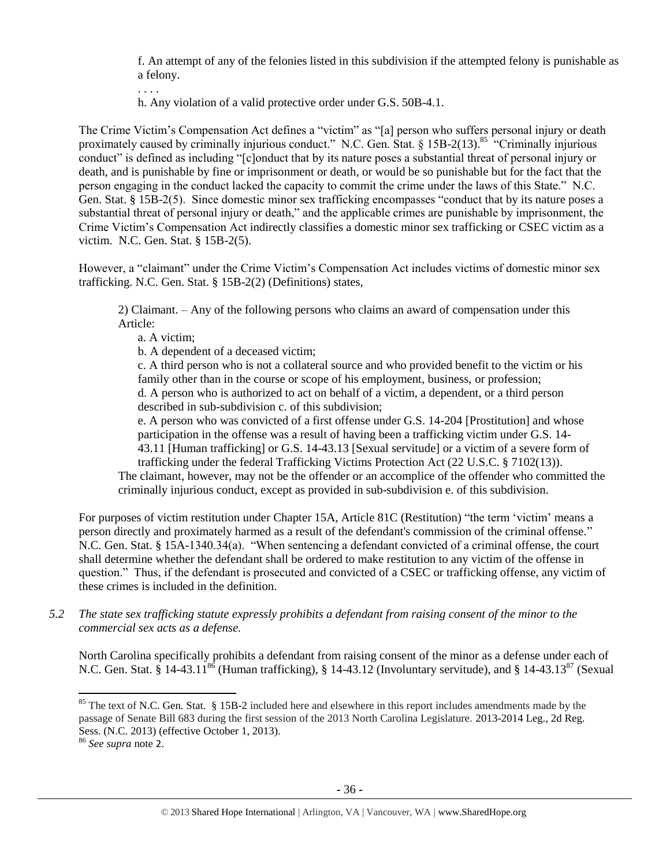f. An attempt of any of the felonies listed in this subdivision if the attempted felony is punishable as a felony.

. . . .

<span id="page-35-0"></span>h. Any violation of a valid protective order under G.S. 50B-4.1.

The Crime Victim's Compensation Act defines a "victim" as "[a] person who suffers personal injury or death proximately caused by criminally injurious conduct." N.C. Gen. Stat. § 15B-2(13).<sup>85</sup> "Criminally injurious conduct" is defined as including "[c]onduct that by its nature poses a substantial threat of personal injury or death, and is punishable by fine or imprisonment or death, or would be so punishable but for the fact that the person engaging in the conduct lacked the capacity to commit the crime under the laws of this State." N.C. Gen. Stat. § 15B-2(5). Since domestic minor sex trafficking encompasses "conduct that by its nature poses a substantial threat of personal injury or death," and the applicable crimes are punishable by imprisonment, the Crime Victim's Compensation Act indirectly classifies a domestic minor sex trafficking or CSEC victim as a victim. N.C. Gen. Stat. § 15B-2(5).

However, a "claimant" under the Crime Victim's Compensation Act includes victims of domestic minor sex trafficking. N.C. Gen. Stat. § 15B-2(2) (Definitions) states,

2) Claimant. – Any of the following persons who claims an award of compensation under this Article:

a. A victim;

b. A dependent of a deceased victim;

c. A third person who is not a collateral source and who provided benefit to the victim or his family other than in the course or scope of his employment, business, or profession; d. A person who is authorized to act on behalf of a victim, a dependent, or a third person described in sub-subdivision c. of this subdivision;

e. A person who was convicted of a first offense under G.S. 14-204 [Prostitution] and whose participation in the offense was a result of having been a trafficking victim under G.S. 14- 43.11 [Human trafficking] or G.S. 14-43.13 [Sexual servitude] or a victim of a severe form of trafficking under the federal Trafficking Victims Protection Act (22 U.S.C. § 7102(13)).

The claimant, however, may not be the offender or an accomplice of the offender who committed the criminally injurious conduct, except as provided in sub-subdivision e. of this subdivision.

For purposes of victim restitution under Chapter 15A, Article 81C (Restitution) "the term 'victim' means a person directly and proximately harmed as a result of the defendant's commission of the criminal offense." N.C. Gen. Stat. § 15A-1340.34(a). "When sentencing a defendant convicted of a criminal offense, the court shall determine whether the defendant shall be ordered to make restitution to any victim of the offense in question." Thus, if the defendant is prosecuted and convicted of a CSEC or trafficking offense, any victim of these crimes is included in the definition.

*5.2 The state sex trafficking statute expressly prohibits a defendant from raising consent of the minor to the commercial sex acts as a defense.*

North Carolina specifically prohibits a defendant from raising consent of the minor as a defense under each of N.C. Gen. Stat.  $\hat{\S}$  14-43.11<sup>86</sup> (Human trafficking),  $\hat{\S}$  14-43.12 (Involuntary servitude), and  $\hat{\S}$  14-43.13<sup>87</sup> (Sexual

 $\overline{\phantom{a}}$ 

 $85$  The text of N.C. Gen. Stat. § 15B-2 included here and elsewhere in this report includes amendments made by the passage of Senate Bill 683 during the first session of the 2013 North Carolina Legislature. 2013-2014 Leg., 2d Reg. Sess. (N.C. 2013) (effective October 1, 2013).

<sup>86</sup> *See supra* note [2](#page-0-0).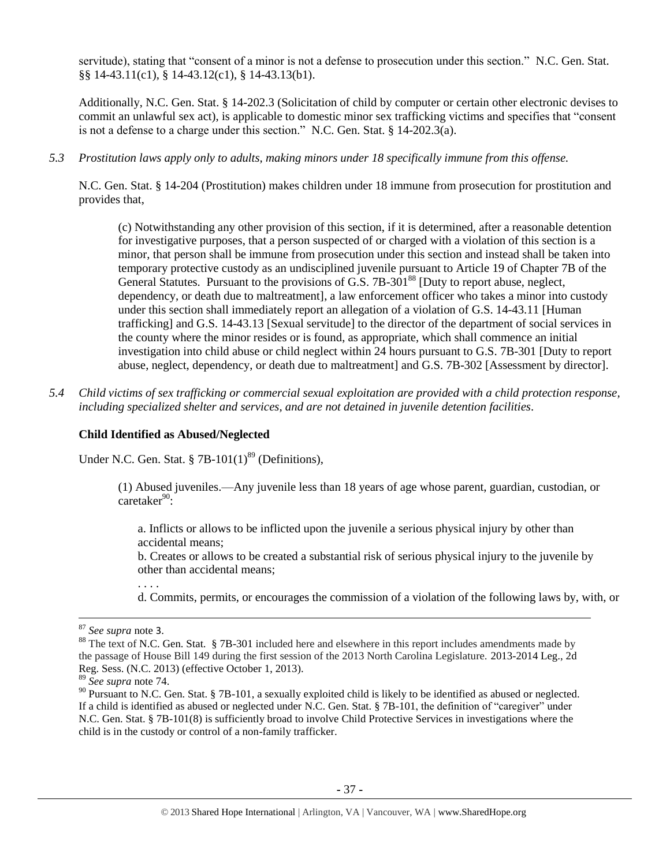servitude), stating that "consent of a minor is not a defense to prosecution under this section." N.C. Gen. Stat. §§ 14-43.11(c1), § 14-43.12(c1), § 14-43.13(b1).

Additionally, N.C. Gen. Stat. § 14-202.3 (Solicitation of child by computer or certain other electronic devises to commit an unlawful sex act), is applicable to domestic minor sex trafficking victims and specifies that "consent is not a defense to a charge under this section." N.C. Gen. Stat. § 14-202.3(a).

*5.3 Prostitution laws apply only to adults, making minors under 18 specifically immune from this offense.*

N.C. Gen. Stat. § 14-204 (Prostitution) makes children under 18 immune from prosecution for prostitution and provides that,

(c) Notwithstanding any other provision of this section, if it is determined, after a reasonable detention for investigative purposes, that a person suspected of or charged with a violation of this section is a minor, that person shall be immune from prosecution under this section and instead shall be taken into temporary protective custody as an undisciplined juvenile pursuant to Article 19 of Chapter 7B of the General Statutes. Pursuant to the provisions of G.S. 7B-301<sup>88</sup> [Duty to report abuse, neglect, dependency, or death due to maltreatment], a law enforcement officer who takes a minor into custody under this section shall immediately report an allegation of a violation of G.S. 14-43.11 [Human trafficking] and G.S. 14-43.13 [Sexual servitude] to the director of the department of social services in the county where the minor resides or is found, as appropriate, which shall commence an initial investigation into child abuse or child neglect within 24 hours pursuant to G.S. 7B-301 [Duty to report abuse, neglect, dependency, or death due to maltreatment] and G.S. 7B-302 [Assessment by director].

*5.4 Child victims of sex trafficking or commercial sexual exploitation are provided with a child protection response, including specialized shelter and services, and are not detained in juvenile detention facilities.*

#### **Child Identified as Abused/Neglected**

Under N.C. Gen. Stat. §  $7B-101(1)^{89}$  (Definitions),

(1) Abused juveniles.—Any juvenile less than 18 years of age whose parent, guardian, custodian, or  $caretaker^{90}$ 

a. Inflicts or allows to be inflicted upon the juvenile a serious physical injury by other than accidental means;

b. Creates or allows to be created a substantial risk of serious physical injury to the juvenile by other than accidental means;

d. Commits, permits, or encourages the commission of a violation of the following laws by, with, or

 $\overline{\phantom{a}}$ 

. . . .

<sup>87</sup> *See supra* note [3](#page-1-0).

<sup>&</sup>lt;sup>88</sup> The text of N.C. Gen. Stat. § 7B-301 included here and elsewhere in this report includes amendments made by the passage of House Bill 149 during the first session of the 2013 North Carolina Legislature. 2013-2014 Leg., 2d Reg. Sess. (N.C. 2013) (effective October 1, 2013).

<sup>89</sup> *See supra* note [74.](#page-27-0)

<sup>90</sup> Pursuant to N.C. Gen. Stat. § 7B-101, a sexually exploited child is likely to be identified as abused or neglected. If a child is identified as abused or neglected under N.C. Gen. Stat. § 7B-101, the definition of "caregiver" under N.C. Gen. Stat. § 7B-101(8) is sufficiently broad to involve Child Protective Services in investigations where the child is in the custody or control of a non-family trafficker.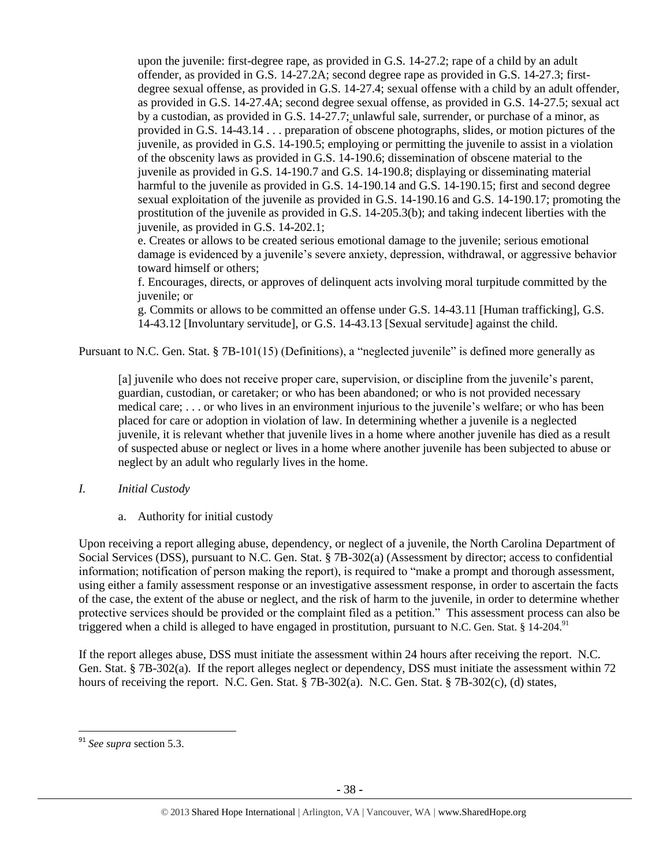upon the juvenile: first-degree rape, as provided in G.S. 14-27.2; rape of a child by an adult offender, as provided in G.S. 14-27.2A; second degree rape as provided in G.S. 14-27.3; firstdegree sexual offense, as provided in G.S. 14-27.4; sexual offense with a child by an adult offender, as provided in G.S. 14-27.4A; second degree sexual offense, as provided in G.S. 14-27.5; sexual act by a custodian, as provided in G.S. 14-27.7; unlawful sale, surrender, or purchase of a minor, as provided in G.S. 14-43.14 . . . preparation of obscene photographs, slides, or motion pictures of the juvenile, as provided in G.S. 14-190.5; employing or permitting the juvenile to assist in a violation of the obscenity laws as provided in G.S. 14-190.6; dissemination of obscene material to the juvenile as provided in G.S. 14-190.7 and G.S. 14-190.8; displaying or disseminating material harmful to the juvenile as provided in G.S. 14-190.14 and G.S. 14-190.15; first and second degree sexual exploitation of the juvenile as provided in G.S. 14-190.16 and G.S. 14-190.17; promoting the prostitution of the juvenile as provided in G.S. 14-205.3(b); and taking indecent liberties with the juvenile, as provided in G.S. 14-202.1;

e. Creates or allows to be created serious emotional damage to the juvenile; serious emotional damage is evidenced by a juvenile's severe anxiety, depression, withdrawal, or aggressive behavior toward himself or others;

f. Encourages, directs, or approves of delinquent acts involving moral turpitude committed by the juvenile; or

g. Commits or allows to be committed an offense under G.S. 14-43.11 [Human trafficking], G.S. 14-43.12 [Involuntary servitude], or G.S. 14-43.13 [Sexual servitude] against the child.

Pursuant to N.C. Gen. Stat. § 7B-101(15) (Definitions), a "neglected juvenile" is defined more generally as

[a] juvenile who does not receive proper care, supervision, or discipline from the juvenile's parent, guardian, custodian, or caretaker; or who has been abandoned; or who is not provided necessary medical care; . . . or who lives in an environment injurious to the juvenile's welfare; or who has been placed for care or adoption in violation of law. In determining whether a juvenile is a neglected juvenile, it is relevant whether that juvenile lives in a home where another juvenile has died as a result of suspected abuse or neglect or lives in a home where another juvenile has been subjected to abuse or neglect by an adult who regularly lives in the home.

- *I. Initial Custody*
	- a. Authority for initial custody

Upon receiving a report alleging abuse, dependency, or neglect of a juvenile, the North Carolina Department of Social Services (DSS), pursuant to N.C. Gen. Stat. § 7B-302(a) (Assessment by director; access to confidential information; notification of person making the report), is required to "make a prompt and thorough assessment, using either a family assessment response or an investigative assessment response, in order to ascertain the facts of the case, the extent of the abuse or neglect, and the risk of harm to the juvenile, in order to determine whether protective services should be provided or the complaint filed as a petition." This assessment process can also be triggered when a child is alleged to have engaged in prostitution, pursuant to N.C. Gen. Stat. § 14-204.<sup>91</sup>

If the report alleges abuse, DSS must initiate the assessment within 24 hours after receiving the report. N.C. Gen. Stat. § 7B-302(a). If the report alleges neglect or dependency, DSS must initiate the assessment within 72 hours of receiving the report. N.C. Gen. Stat. § 7B-302(a). N.C. Gen. Stat. § 7B-302(c), (d) states,

 $\overline{a}$ 

<sup>91</sup> *See supra* section 5.3.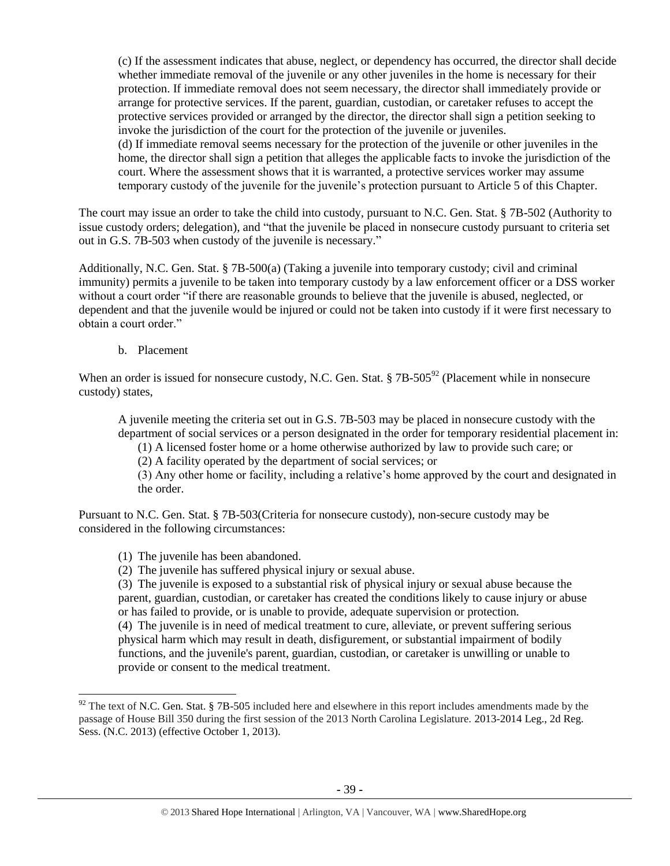(c) If the assessment indicates that abuse, neglect, or dependency has occurred, the director shall decide whether immediate removal of the juvenile or any other juveniles in the home is necessary for their protection. If immediate removal does not seem necessary, the director shall immediately provide or arrange for protective services. If the parent, guardian, custodian, or caretaker refuses to accept the protective services provided or arranged by the director, the director shall sign a petition seeking to invoke the jurisdiction of the court for the protection of the juvenile or juveniles. (d) If immediate removal seems necessary for the protection of the juvenile or other juveniles in the home, the director shall sign a petition that alleges the applicable facts to invoke the jurisdiction of the court. Where the assessment shows that it is warranted, a protective services worker may assume temporary custody of the juvenile for the juvenile's protection pursuant to Article 5 of this Chapter.

The court may issue an order to take the child into custody, pursuant to N.C. Gen. Stat. § 7B-502 (Authority to issue custody orders; delegation), and "that the juvenile be placed in nonsecure custody pursuant to criteria set out in G.S. 7B-503 when custody of the juvenile is necessary."

Additionally, N.C. Gen. Stat. § 7B-500(a) (Taking a juvenile into temporary custody; civil and criminal immunity) permits a juvenile to be taken into temporary custody by a law enforcement officer or a DSS worker without a court order "if there are reasonable grounds to believe that the juvenile is abused, neglected, or dependent and that the juvenile would be injured or could not be taken into custody if it were first necessary to obtain a court order."

b. Placement

 $\overline{\phantom{a}}$ 

When an order is issued for nonsecure custody, N.C. Gen. Stat.  $\S$  7B-505<sup>92</sup> (Placement while in nonsecure custody) states,

A juvenile meeting the criteria set out in G.S. 7B-503 may be placed in nonsecure custody with the department of social services or a person designated in the order for temporary residential placement in:

(1) A licensed foster home or a home otherwise authorized by law to provide such care; or

(2) A facility operated by the department of social services; or

(3) Any other home or facility, including a relative's home approved by the court and designated in the order.

Pursuant to N.C. Gen. Stat. § 7B-503(Criteria for nonsecure custody), non-secure custody may be considered in the following circumstances:

- (1) The juvenile has been abandoned.
- (2) The juvenile has suffered physical injury or sexual abuse.

(3) The juvenile is exposed to a substantial risk of physical injury or sexual abuse because the parent, guardian, custodian, or caretaker has created the conditions likely to cause injury or abuse or has failed to provide, or is unable to provide, adequate supervision or protection.

(4) The juvenile is in need of medical treatment to cure, alleviate, or prevent suffering serious physical harm which may result in death, disfigurement, or substantial impairment of bodily functions, and the juvenile's parent, guardian, custodian, or caretaker is unwilling or unable to provide or consent to the medical treatment.

 $92$  The text of N.C. Gen. Stat. § 7B-505 included here and elsewhere in this report includes amendments made by the passage of House Bill 350 during the first session of the 2013 North Carolina Legislature. 2013-2014 Leg., 2d Reg. Sess. (N.C. 2013) (effective October 1, 2013).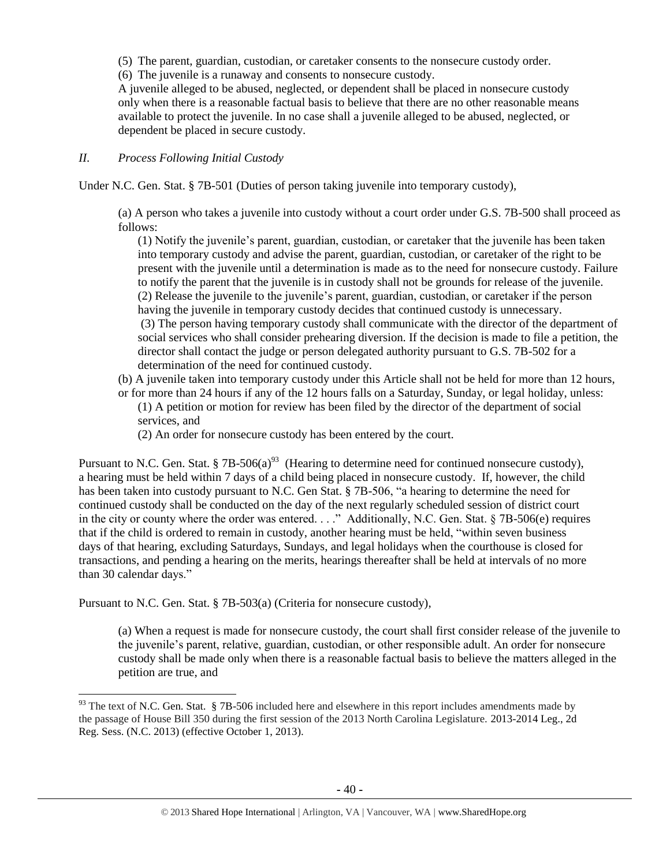(5) The parent, guardian, custodian, or caretaker consents to the nonsecure custody order.

(6) The juvenile is a runaway and consents to nonsecure custody.

A juvenile alleged to be abused, neglected, or dependent shall be placed in nonsecure custody only when there is a reasonable factual basis to believe that there are no other reasonable means available to protect the juvenile. In no case shall a juvenile alleged to be abused, neglected, or dependent be placed in secure custody.

## *II. Process Following Initial Custody*

Under N.C. Gen. Stat. § 7B-501 (Duties of person taking juvenile into temporary custody),

(a) A person who takes a juvenile into custody without a court order under G.S. 7B-500 shall proceed as follows:

(1) Notify the juvenile's parent, guardian, custodian, or caretaker that the juvenile has been taken into temporary custody and advise the parent, guardian, custodian, or caretaker of the right to be present with the juvenile until a determination is made as to the need for nonsecure custody. Failure to notify the parent that the juvenile is in custody shall not be grounds for release of the juvenile. (2) Release the juvenile to the juvenile's parent, guardian, custodian, or caretaker if the person having the juvenile in temporary custody decides that continued custody is unnecessary. (3) The person having temporary custody shall communicate with the director of the department of social services who shall consider prehearing diversion. If the decision is made to file a petition, the director shall contact the judge or person delegated authority pursuant to G.S. 7B-502 for a determination of the need for continued custody.

(b) A juvenile taken into temporary custody under this Article shall not be held for more than 12 hours, or for more than 24 hours if any of the 12 hours falls on a Saturday, Sunday, or legal holiday, unless:

(1) A petition or motion for review has been filed by the director of the department of social services, and

(2) An order for nonsecure custody has been entered by the court.

Pursuant to N.C. Gen. Stat. § 7B-506(a)<sup>93</sup> (Hearing to determine need for continued nonsecure custody), a hearing must be held within 7 days of a child being placed in nonsecure custody. If, however, the child has been taken into custody pursuant to N.C. Gen Stat. § 7B-506, "a hearing to determine the need for continued custody shall be conducted on the day of the next regularly scheduled session of district court in the city or county where the order was entered. . . ." Additionally, N.C. Gen. Stat. § 7B-506(e) requires that if the child is ordered to remain in custody, another hearing must be held, "within seven business days of that hearing, excluding Saturdays, Sundays, and legal holidays when the courthouse is closed for transactions, and pending a hearing on the merits, hearings thereafter shall be held at intervals of no more than 30 calendar days."

Pursuant to N.C. Gen. Stat. § 7B-503(a) (Criteria for nonsecure custody),

 $\overline{\phantom{a}}$ 

(a) When a request is made for nonsecure custody, the court shall first consider release of the juvenile to the juvenile's parent, relative, guardian, custodian, or other responsible adult. An order for nonsecure custody shall be made only when there is a reasonable factual basis to believe the matters alleged in the petition are true, and

 $93$  The text of N.C. Gen. Stat. § 7B-506 included here and elsewhere in this report includes amendments made by the passage of House Bill 350 during the first session of the 2013 North Carolina Legislature. 2013-2014 Leg., 2d Reg. Sess. (N.C. 2013) (effective October 1, 2013).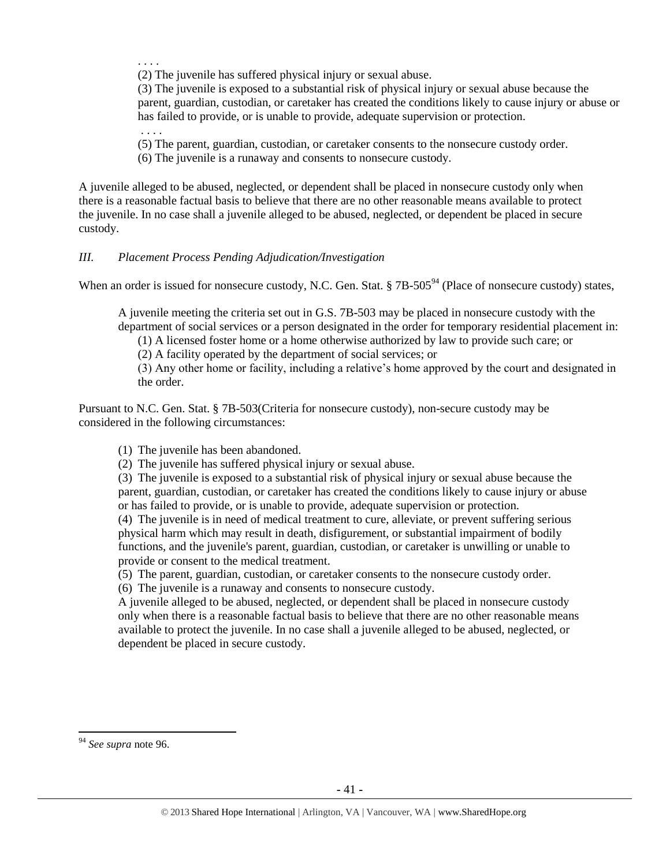. . . .

. . . .

(2) The juvenile has suffered physical injury or sexual abuse.

(3) The juvenile is exposed to a substantial risk of physical injury or sexual abuse because the parent, guardian, custodian, or caretaker has created the conditions likely to cause injury or abuse or has failed to provide, or is unable to provide, adequate supervision or protection.

(5) The parent, guardian, custodian, or caretaker consents to the nonsecure custody order.

(6) The juvenile is a runaway and consents to nonsecure custody.

A juvenile alleged to be abused, neglected, or dependent shall be placed in nonsecure custody only when there is a reasonable factual basis to believe that there are no other reasonable means available to protect the juvenile. In no case shall a juvenile alleged to be abused, neglected, or dependent be placed in secure custody.

## *III. Placement Process Pending Adjudication/Investigation*

When an order is issued for nonsecure custody, N.C. Gen. Stat. § 7B-505<sup>94</sup> (Place of nonsecure custody) states,

A juvenile meeting the criteria set out in G.S. 7B-503 may be placed in nonsecure custody with the department of social services or a person designated in the order for temporary residential placement in:

(1) A licensed foster home or a home otherwise authorized by law to provide such care; or

(2) A facility operated by the department of social services; or

(3) Any other home or facility, including a relative's home approved by the court and designated in the order.

Pursuant to N.C. Gen. Stat. § 7B-503(Criteria for nonsecure custody), non-secure custody may be considered in the following circumstances:

(1) The juvenile has been abandoned.

(2) The juvenile has suffered physical injury or sexual abuse.

(3) The juvenile is exposed to a substantial risk of physical injury or sexual abuse because the parent, guardian, custodian, or caretaker has created the conditions likely to cause injury or abuse or has failed to provide, or is unable to provide, adequate supervision or protection.

(4) The juvenile is in need of medical treatment to cure, alleviate, or prevent suffering serious physical harm which may result in death, disfigurement, or substantial impairment of bodily functions, and the juvenile's parent, guardian, custodian, or caretaker is unwilling or unable to provide or consent to the medical treatment.

(5) The parent, guardian, custodian, or caretaker consents to the nonsecure custody order.

(6) The juvenile is a runaway and consents to nonsecure custody.

A juvenile alleged to be abused, neglected, or dependent shall be placed in nonsecure custody only when there is a reasonable factual basis to believe that there are no other reasonable means available to protect the juvenile. In no case shall a juvenile alleged to be abused, neglected, or dependent be placed in secure custody.

 $\overline{\phantom{a}}$ 

<sup>94</sup> *See supra* note 96.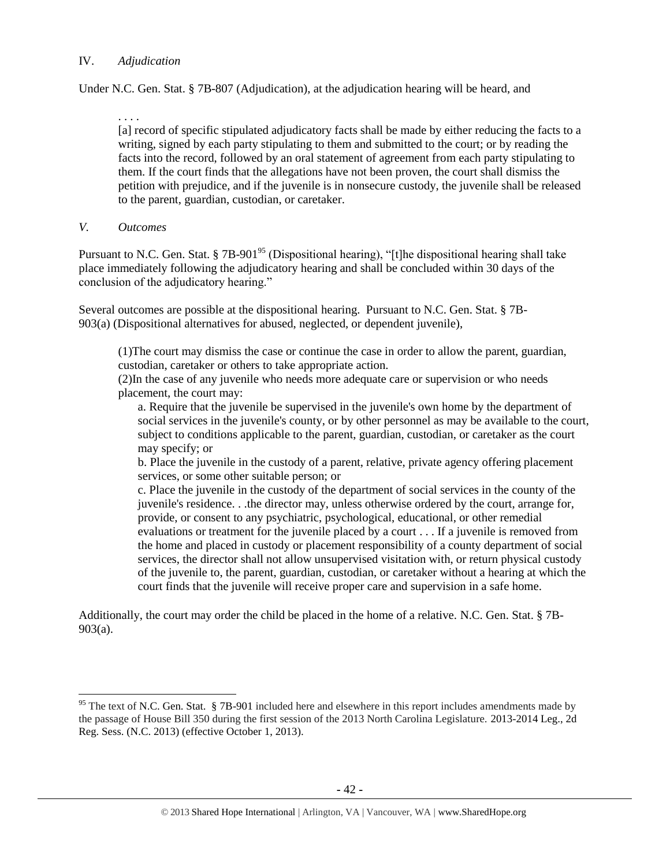## IV. *Adjudication*

Under N.C. Gen. Stat. § 7B-807 (Adjudication), at the adjudication hearing will be heard, and

. . . . [a] record of specific stipulated adjudicatory facts shall be made by either reducing the facts to a writing, signed by each party stipulating to them and submitted to the court; or by reading the facts into the record, followed by an oral statement of agreement from each party stipulating to them. If the court finds that the allegations have not been proven, the court shall dismiss the petition with prejudice, and if the juvenile is in nonsecure custody, the juvenile shall be released to the parent, guardian, custodian, or caretaker.

*V. Outcomes*

 $\overline{\phantom{a}}$ 

Pursuant to N.C. Gen. Stat. § 7B-901<sup>95</sup> (Dispositional hearing), "[t]he dispositional hearing shall take place immediately following the adjudicatory hearing and shall be concluded within 30 days of the conclusion of the adjudicatory hearing."

Several outcomes are possible at the dispositional hearing. Pursuant to N.C. Gen. Stat. § 7B-903(a) (Dispositional alternatives for abused, neglected, or dependent juvenile),

(1)The court may dismiss the case or continue the case in order to allow the parent, guardian, custodian, caretaker or others to take appropriate action.

(2)In the case of any juvenile who needs more adequate care or supervision or who needs placement, the court may:

a. Require that the juvenile be supervised in the juvenile's own home by the department of social services in the juvenile's county, or by other personnel as may be available to the court, subject to conditions applicable to the parent, guardian, custodian, or caretaker as the court may specify; or

b. Place the juvenile in the custody of a parent, relative, private agency offering placement services, or some other suitable person; or

c. Place the juvenile in the custody of the department of social services in the county of the juvenile's residence. . .the director may, unless otherwise ordered by the court, arrange for, provide, or consent to any psychiatric, psychological, educational, or other remedial evaluations or treatment for the juvenile placed by a court . . . If a juvenile is removed from the home and placed in custody or placement responsibility of a county department of social services, the director shall not allow unsupervised visitation with, or return physical custody of the juvenile to, the parent, guardian, custodian, or caretaker without a hearing at which the court finds that the juvenile will receive proper care and supervision in a safe home.

Additionally, the court may order the child be placed in the home of a relative. N.C. Gen. Stat. § 7B-903(a).

<sup>&</sup>lt;sup>95</sup> The text of N.C. Gen. Stat. § 7B-901 included here and elsewhere in this report includes amendments made by the passage of House Bill 350 during the first session of the 2013 North Carolina Legislature. 2013-2014 Leg., 2d Reg. Sess. (N.C. 2013) (effective October 1, 2013).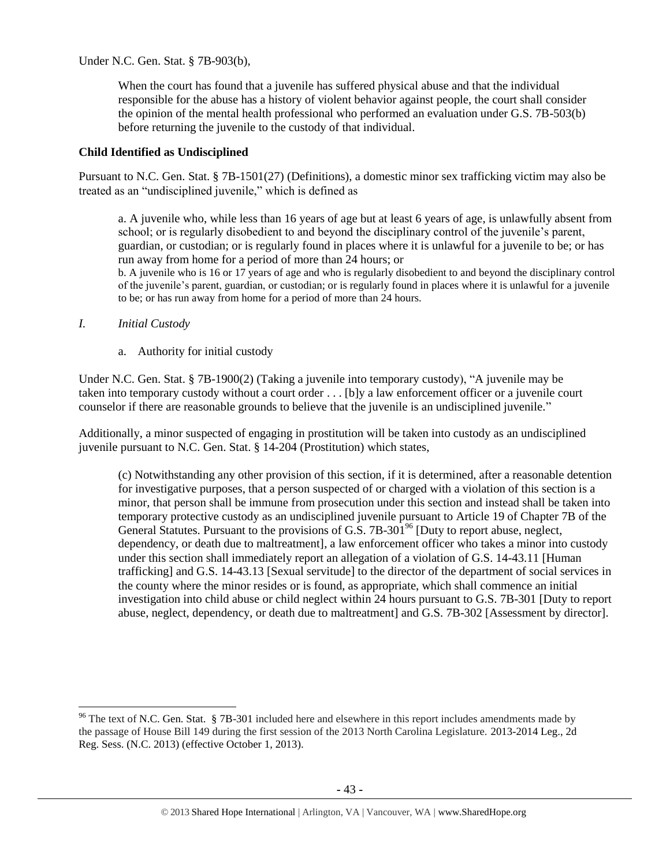Under N.C. Gen. Stat. § 7B-903(b),

When the court has found that a juvenile has suffered physical abuse and that the individual responsible for the abuse has a history of violent behavior against people, the court shall consider the opinion of the mental health professional who performed an evaluation under G.S. 7B-503(b) before returning the juvenile to the custody of that individual.

# **Child Identified as Undisciplined**

Pursuant to N.C. Gen. Stat. § 7B-1501(27) (Definitions), a domestic minor sex trafficking victim may also be treated as an "undisciplined juvenile," which is defined as

a. A juvenile who, while less than 16 years of age but at least 6 years of age, is unlawfully absent from school; or is regularly disobedient to and beyond the disciplinary control of the juvenile's parent, guardian, or custodian; or is regularly found in places where it is unlawful for a juvenile to be; or has run away from home for a period of more than 24 hours; or

b. A juvenile who is 16 or 17 years of age and who is regularly disobedient to and beyond the disciplinary control of the juvenile's parent, guardian, or custodian; or is regularly found in places where it is unlawful for a juvenile to be; or has run away from home for a period of more than 24 hours.

## *I. Initial Custody*

 $\overline{\phantom{a}}$ 

a. Authority for initial custody

Under N.C. Gen. Stat. § 7B-1900(2) (Taking a juvenile into temporary custody), "A juvenile may be taken into temporary custody without a court order . . . [b]y a law enforcement officer or a juvenile court counselor if there are reasonable grounds to believe that the juvenile is an undisciplined juvenile."

Additionally, a minor suspected of engaging in prostitution will be taken into custody as an undisciplined juvenile pursuant to N.C. Gen. Stat. § 14-204 (Prostitution) which states,

(c) Notwithstanding any other provision of this section, if it is determined, after a reasonable detention for investigative purposes, that a person suspected of or charged with a violation of this section is a minor, that person shall be immune from prosecution under this section and instead shall be taken into temporary protective custody as an undisciplined juvenile pursuant to Article 19 of Chapter 7B of the General Statutes. Pursuant to the provisions of G.S. 7B-30 $1\%$  [Duty to report abuse, neglect, dependency, or death due to maltreatment], a law enforcement officer who takes a minor into custody under this section shall immediately report an allegation of a violation of G.S. 14-43.11 [Human trafficking] and G.S. 14-43.13 [Sexual servitude] to the director of the department of social services in the county where the minor resides or is found, as appropriate, which shall commence an initial investigation into child abuse or child neglect within 24 hours pursuant to G.S. 7B-301 [Duty to report abuse, neglect, dependency, or death due to maltreatment] and G.S. 7B-302 [Assessment by director].

<sup>&</sup>lt;sup>96</sup> The text of N.C. Gen. Stat. § 7B-301 included here and elsewhere in this report includes amendments made by the passage of House Bill 149 during the first session of the 2013 North Carolina Legislature. 2013-2014 Leg., 2d Reg. Sess. (N.C. 2013) (effective October 1, 2013).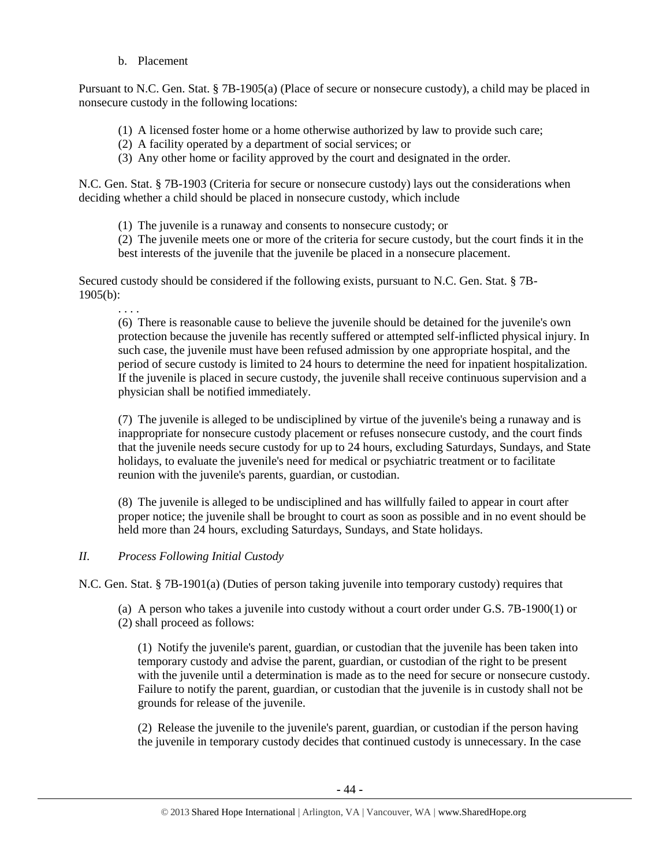b. Placement

Pursuant to N.C. Gen. Stat. § 7B-1905(a) (Place of secure or nonsecure custody), a child may be placed in nonsecure custody in the following locations:

- (1) A licensed foster home or a home otherwise authorized by law to provide such care;
- (2) A facility operated by a department of social services; or
- (3) Any other home or facility approved by the court and designated in the order.

N.C. Gen. Stat. § 7B-1903 (Criteria for secure or nonsecure custody) lays out the considerations when deciding whether a child should be placed in nonsecure custody, which include

(1) The juvenile is a runaway and consents to nonsecure custody; or

(2) The juvenile meets one or more of the criteria for secure custody, but the court finds it in the best interests of the juvenile that the juvenile be placed in a nonsecure placement.

Secured custody should be considered if the following exists, pursuant to N.C. Gen. Stat. § 7B-1905(b):

. . . .

(6) There is reasonable cause to believe the juvenile should be detained for the juvenile's own protection because the juvenile has recently suffered or attempted self-inflicted physical injury. In such case, the juvenile must have been refused admission by one appropriate hospital, and the period of secure custody is limited to 24 hours to determine the need for inpatient hospitalization. If the juvenile is placed in secure custody, the juvenile shall receive continuous supervision and a physician shall be notified immediately.

(7) The juvenile is alleged to be undisciplined by virtue of the juvenile's being a runaway and is inappropriate for nonsecure custody placement or refuses nonsecure custody, and the court finds that the juvenile needs secure custody for up to 24 hours, excluding Saturdays, Sundays, and State holidays, to evaluate the juvenile's need for medical or psychiatric treatment or to facilitate reunion with the juvenile's parents, guardian, or custodian.

(8) The juvenile is alleged to be undisciplined and has willfully failed to appear in court after proper notice; the juvenile shall be brought to court as soon as possible and in no event should be held more than 24 hours, excluding Saturdays, Sundays, and State holidays.

## *II. Process Following Initial Custody*

N.C. Gen. Stat. § 7B-1901(a) (Duties of person taking juvenile into temporary custody) requires that

(a) A person who takes a juvenile into custody without a court order under G.S. 7B-1900(1) or (2) shall proceed as follows:

(1) Notify the juvenile's parent, guardian, or custodian that the juvenile has been taken into temporary custody and advise the parent, guardian, or custodian of the right to be present with the juvenile until a determination is made as to the need for secure or nonsecure custody. Failure to notify the parent, guardian, or custodian that the juvenile is in custody shall not be grounds for release of the juvenile.

(2) Release the juvenile to the juvenile's parent, guardian, or custodian if the person having the juvenile in temporary custody decides that continued custody is unnecessary. In the case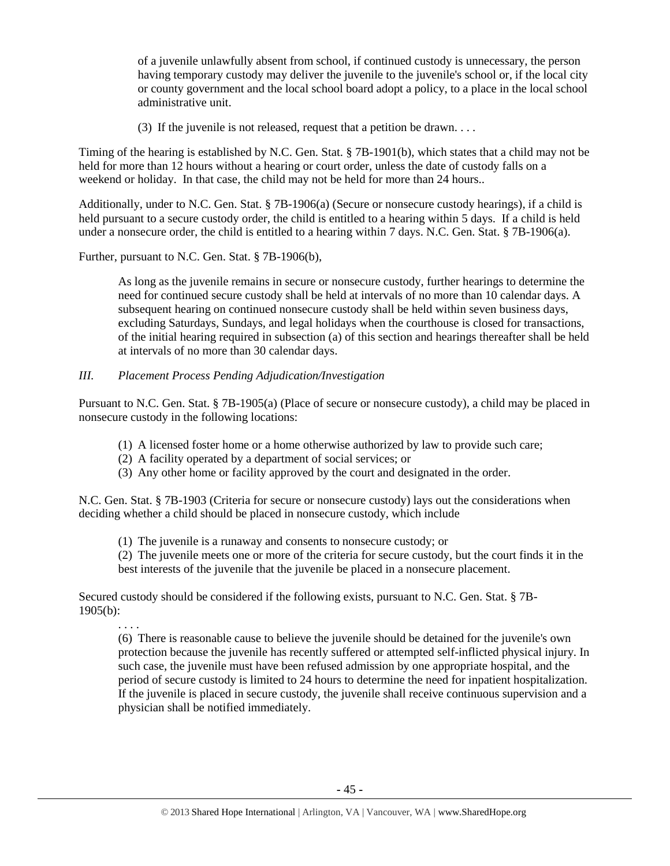of a juvenile unlawfully absent from school, if continued custody is unnecessary, the person having temporary custody may deliver the juvenile to the juvenile's school or, if the local city or county government and the local school board adopt a policy, to a place in the local school administrative unit.

(3) If the juvenile is not released, request that a petition be drawn. . . .

Timing of the hearing is established by N.C. Gen. Stat. § 7B-1901(b), which states that a child may not be held for more than 12 hours without a hearing or court order, unless the date of custody falls on a weekend or holiday. In that case, the child may not be held for more than 24 hours..

Additionally, under to N.C. Gen. Stat. § 7B-1906(a) (Secure or nonsecure custody hearings), if a child is held pursuant to a secure custody order, the child is entitled to a hearing within 5 days. If a child is held under a nonsecure order, the child is entitled to a hearing within 7 days. N.C. Gen. Stat. § 7B-1906(a).

Further, pursuant to N.C. Gen. Stat. § 7B-1906(b),

. . . .

As long as the juvenile remains in secure or nonsecure custody, further hearings to determine the need for continued secure custody shall be held at intervals of no more than 10 calendar days. A subsequent hearing on continued nonsecure custody shall be held within seven business days, excluding Saturdays, Sundays, and legal holidays when the courthouse is closed for transactions, of the initial hearing required in subsection (a) of this section and hearings thereafter shall be held at intervals of no more than 30 calendar days.

## *III. Placement Process Pending Adjudication/Investigation*

Pursuant to N.C. Gen. Stat. § 7B-1905(a) (Place of secure or nonsecure custody), a child may be placed in nonsecure custody in the following locations:

- (1) A licensed foster home or a home otherwise authorized by law to provide such care;
- (2) A facility operated by a department of social services; or
- (3) Any other home or facility approved by the court and designated in the order.

N.C. Gen. Stat. § 7B-1903 (Criteria for secure or nonsecure custody) lays out the considerations when deciding whether a child should be placed in nonsecure custody, which include

(1) The juvenile is a runaway and consents to nonsecure custody; or

(2) The juvenile meets one or more of the criteria for secure custody, but the court finds it in the best interests of the juvenile that the juvenile be placed in a nonsecure placement.

Secured custody should be considered if the following exists, pursuant to N.C. Gen. Stat. § 7B-1905(b):

(6) There is reasonable cause to believe the juvenile should be detained for the juvenile's own protection because the juvenile has recently suffered or attempted self-inflicted physical injury. In such case, the juvenile must have been refused admission by one appropriate hospital, and the period of secure custody is limited to 24 hours to determine the need for inpatient hospitalization. If the juvenile is placed in secure custody, the juvenile shall receive continuous supervision and a physician shall be notified immediately.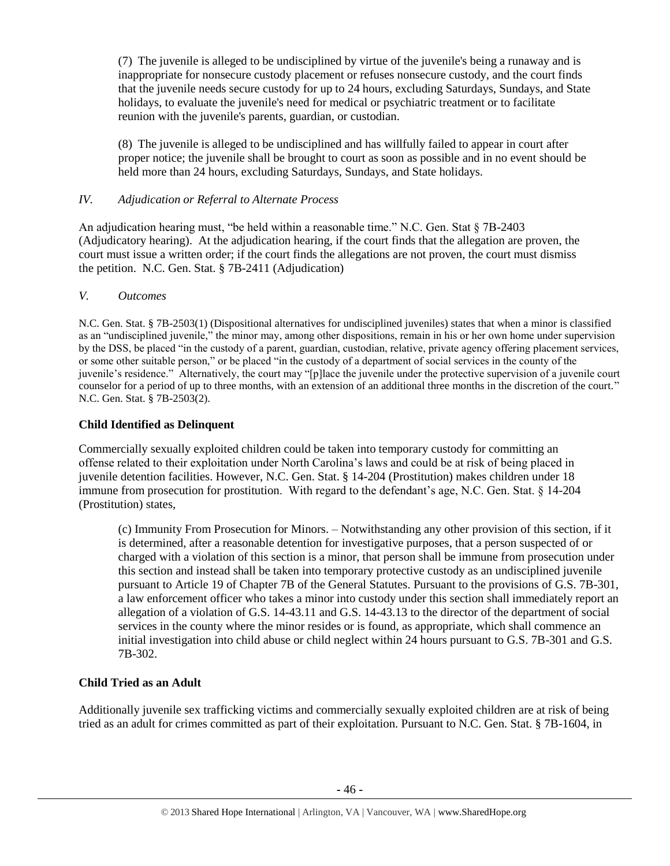(7) The juvenile is alleged to be undisciplined by virtue of the juvenile's being a runaway and is inappropriate for nonsecure custody placement or refuses nonsecure custody, and the court finds that the juvenile needs secure custody for up to 24 hours, excluding Saturdays, Sundays, and State holidays, to evaluate the juvenile's need for medical or psychiatric treatment or to facilitate reunion with the juvenile's parents, guardian, or custodian.

(8) The juvenile is alleged to be undisciplined and has willfully failed to appear in court after proper notice; the juvenile shall be brought to court as soon as possible and in no event should be held more than 24 hours, excluding Saturdays, Sundays, and State holidays.

# *IV. Adjudication or Referral to Alternate Process*

An adjudication hearing must, "be held within a reasonable time." N.C. Gen. Stat § 7B-2403 (Adjudicatory hearing). At the adjudication hearing, if the court finds that the allegation are proven, the court must issue a written order; if the court finds the allegations are not proven, the court must dismiss the petition. N.C. Gen. Stat. § 7B-2411 (Adjudication)

## *V. Outcomes*

N.C. Gen. Stat. § 7B-2503(1) (Dispositional alternatives for undisciplined juveniles) states that when a minor is classified as an "undisciplined juvenile," the minor may, among other dispositions, remain in his or her own home under supervision by the DSS, be placed "in the custody of a parent, guardian, custodian, relative, private agency offering placement services, or some other suitable person," or be placed "in the custody of a department of social services in the county of the juvenile's residence." Alternatively, the court may "[p]lace the juvenile under the protective supervision of a juvenile court counselor for a period of up to three months, with an extension of an additional three months in the discretion of the court." N.C. Gen. Stat. § 7B-2503(2).

# **Child Identified as Delinquent**

Commercially sexually exploited children could be taken into temporary custody for committing an offense related to their exploitation under North Carolina's laws and could be at risk of being placed in juvenile detention facilities. However, N.C. Gen. Stat. § 14-204 (Prostitution) makes children under 18 immune from prosecution for prostitution. With regard to the defendant's age, N.C. Gen. Stat. § 14-204 (Prostitution) states,

(c) Immunity From Prosecution for Minors. – Notwithstanding any other provision of this section, if it is determined, after a reasonable detention for investigative purposes, that a person suspected of or charged with a violation of this section is a minor, that person shall be immune from prosecution under this section and instead shall be taken into temporary protective custody as an undisciplined juvenile pursuant to Article 19 of Chapter 7B of the General Statutes. Pursuant to the provisions of G.S. 7B-301, a law enforcement officer who takes a minor into custody under this section shall immediately report an allegation of a violation of G.S. 14-43.11 and G.S. 14-43.13 to the director of the department of social services in the county where the minor resides or is found, as appropriate, which shall commence an initial investigation into child abuse or child neglect within 24 hours pursuant to G.S. 7B-301 and G.S. 7B-302.

# **Child Tried as an Adult**

Additionally juvenile sex trafficking victims and commercially sexually exploited children are at risk of being tried as an adult for crimes committed as part of their exploitation. Pursuant to N.C. Gen. Stat. § 7B-1604, in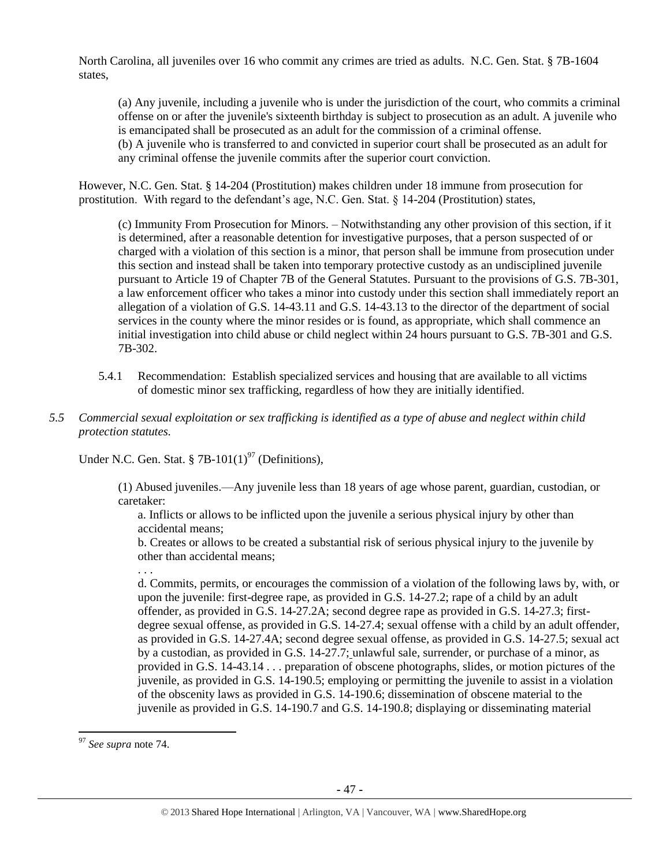North Carolina, all juveniles over 16 who commit any crimes are tried as adults. N.C. Gen. Stat. § 7B-1604 states,

(a) Any juvenile, including a juvenile who is under the jurisdiction of the court, who commits a criminal offense on or after the juvenile's sixteenth birthday is subject to prosecution as an adult. A juvenile who is emancipated shall be prosecuted as an adult for the commission of a criminal offense. (b) A juvenile who is transferred to and convicted in superior court shall be prosecuted as an adult for any criminal offense the juvenile commits after the superior court conviction.

However, N.C. Gen. Stat. § 14-204 (Prostitution) makes children under 18 immune from prosecution for prostitution. With regard to the defendant's age, N.C. Gen. Stat. § 14-204 (Prostitution) states,

(c) Immunity From Prosecution for Minors. – Notwithstanding any other provision of this section, if it is determined, after a reasonable detention for investigative purposes, that a person suspected of or charged with a violation of this section is a minor, that person shall be immune from prosecution under this section and instead shall be taken into temporary protective custody as an undisciplined juvenile pursuant to Article 19 of Chapter 7B of the General Statutes. Pursuant to the provisions of G.S. 7B-301, a law enforcement officer who takes a minor into custody under this section shall immediately report an allegation of a violation of G.S. 14-43.11 and G.S. 14-43.13 to the director of the department of social services in the county where the minor resides or is found, as appropriate, which shall commence an initial investigation into child abuse or child neglect within 24 hours pursuant to G.S. 7B-301 and G.S. 7B-302.

- 5.4.1 Recommendation: Establish specialized services and housing that are available to all victims of domestic minor sex trafficking, regardless of how they are initially identified.
- *5.5 Commercial sexual exploitation or sex trafficking is identified as a type of abuse and neglect within child protection statutes.*

Under N.C. Gen. Stat.  $87B-101(1)^{97}$  (Definitions).

(1) Abused juveniles.—Any juvenile less than 18 years of age whose parent, guardian, custodian, or caretaker:

a. Inflicts or allows to be inflicted upon the juvenile a serious physical injury by other than accidental means;

b. Creates or allows to be created a substantial risk of serious physical injury to the juvenile by other than accidental means;

. . .

d. Commits, permits, or encourages the commission of a violation of the following laws by, with, or upon the juvenile: first-degree rape, as provided in G.S. 14-27.2; rape of a child by an adult offender, as provided in G.S. 14-27.2A; second degree rape as provided in G.S. 14-27.3; firstdegree sexual offense, as provided in G.S. 14-27.4; sexual offense with a child by an adult offender, as provided in G.S. 14-27.4A; second degree sexual offense, as provided in G.S. 14-27.5; sexual act by a custodian, as provided in G.S. 14-27.7; unlawful sale, surrender, or purchase of a minor, as provided in G.S. 14-43.14 . . . preparation of obscene photographs, slides, or motion pictures of the juvenile, as provided in G.S. 14-190.5; employing or permitting the juvenile to assist in a violation of the obscenity laws as provided in G.S. 14-190.6; dissemination of obscene material to the juvenile as provided in G.S. 14-190.7 and G.S. 14-190.8; displaying or disseminating material

 $\overline{\phantom{a}}$ <sup>97</sup> *See supra* note [74.](#page-27-0)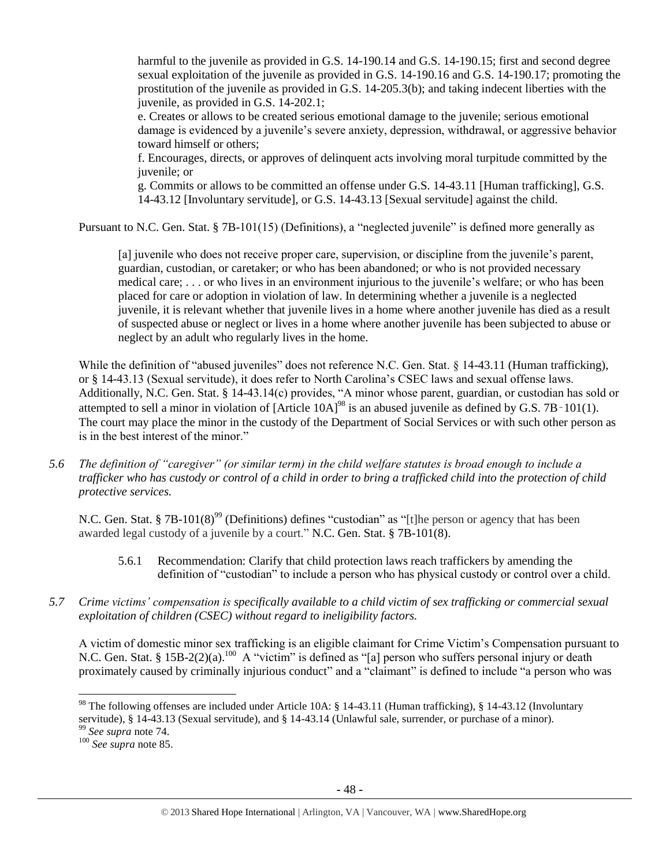harmful to the juvenile as provided in G.S. 14-190.14 and G.S. 14-190.15; first and second degree sexual exploitation of the juvenile as provided in G.S. 14-190.16 and G.S. 14-190.17; promoting the prostitution of the juvenile as provided in G.S. 14-205.3(b); and taking indecent liberties with the juvenile, as provided in G.S. 14-202.1;

e. Creates or allows to be created serious emotional damage to the juvenile; serious emotional damage is evidenced by a juvenile's severe anxiety, depression, withdrawal, or aggressive behavior toward himself or others;

f. Encourages, directs, or approves of delinquent acts involving moral turpitude committed by the juvenile; or

g. Commits or allows to be committed an offense under G.S. 14-43.11 [Human trafficking], G.S. 14-43.12 [Involuntary servitude], or G.S. 14-43.13 [Sexual servitude] against the child.

Pursuant to N.C. Gen. Stat. § 7B-101(15) (Definitions), a "neglected juvenile" is defined more generally as

[a] juvenile who does not receive proper care, supervision, or discipline from the juvenile's parent, guardian, custodian, or caretaker; or who has been abandoned; or who is not provided necessary medical care; . . . or who lives in an environment injurious to the juvenile's welfare; or who has been placed for care or adoption in violation of law. In determining whether a juvenile is a neglected juvenile, it is relevant whether that juvenile lives in a home where another juvenile has died as a result of suspected abuse or neglect or lives in a home where another juvenile has been subjected to abuse or neglect by an adult who regularly lives in the home.

While the definition of "abused juveniles" does not reference N.C. Gen. Stat. § 14-43.11 (Human trafficking), or § 14-43.13 (Sexual servitude), it does refer to North Carolina's CSEC laws and sexual offense laws. Additionally, N.C. Gen. Stat. § 14-43.14(c) provides, "A minor whose parent, guardian, or custodian has sold or attempted to sell a minor in violation of  $[Article 10A]^{98}$  is an abused juvenile as defined by G.S. 7B $-101(1)$ . The court may place the minor in the custody of the Department of Social Services or with such other person as is in the best interest of the minor."

*5.6 The definition of "caregiver" (or similar term) in the child welfare statutes is broad enough to include a trafficker who has custody or control of a child in order to bring a trafficked child into the protection of child protective services.*

N.C. Gen. Stat. § 7B-101(8)<sup>99</sup> (Definitions) defines "custodian" as "[t]he person or agency that has been awarded legal custody of a juvenile by a court." N.C. Gen. Stat. § 7B-101(8).

- 5.6.1 Recommendation: Clarify that child protection laws reach traffickers by amending the definition of "custodian" to include a person who has physical custody or control over a child.
- *5.7 Crime victims' compensation is specifically available to a child victim of sex trafficking or commercial sexual exploitation of children (CSEC) without regard to ineligibility factors.*

A victim of domestic minor sex trafficking is an eligible claimant for Crime Victim's Compensation pursuant to N.C. Gen. Stat. § 15B-2(2)(a).<sup>100</sup> A "victim" is defined as "[a] person who suffers personal injury or death proximately caused by criminally injurious conduct" and a "claimant" is defined to include "a person who was

 $\overline{\phantom{a}}$ 

<sup>&</sup>lt;sup>98</sup> The following offenses are included under Article 10A: § 14-43.11 (Human trafficking), § 14-43.12 (Involuntary servitude), § 14-43.13 (Sexual servitude), and § 14-43.14 (Unlawful sale, surrender, or purchase of a minor).

<sup>99</sup> *See supra* note [74.](#page-27-0)

<sup>100</sup> *See supra* not[e 85.](#page-35-0)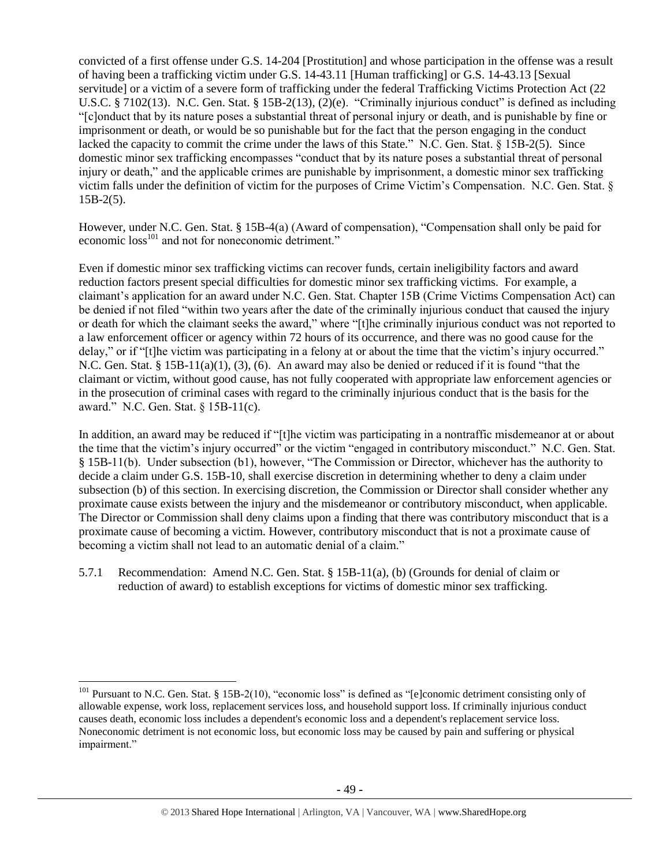convicted of a first offense under G.S. 14-204 [Prostitution] and whose participation in the offense was a result of having been a trafficking victim under G.S. 14-43.11 [Human trafficking] or G.S. 14-43.13 [Sexual servitude] or a victim of a severe form of trafficking under the federal Trafficking Victims Protection Act (22 U.S.C. § 7102(13). N.C. Gen. Stat. § 15B-2(13), (2)(e). "Criminally injurious conduct" is defined as including "[c]onduct that by its nature poses a substantial threat of personal injury or death, and is punishable by fine or imprisonment or death, or would be so punishable but for the fact that the person engaging in the conduct lacked the capacity to commit the crime under the laws of this State." N.C. Gen. Stat. § 15B-2(5). Since domestic minor sex trafficking encompasses "conduct that by its nature poses a substantial threat of personal injury or death," and the applicable crimes are punishable by imprisonment, a domestic minor sex trafficking victim falls under the definition of victim for the purposes of Crime Victim's Compensation. N.C. Gen. Stat. §  $15B-2(5)$ .

However, under N.C. Gen. Stat. § 15B-4(a) (Award of compensation), "Compensation shall only be paid for economic loss<sup>101</sup> and not for noneconomic detriment."

Even if domestic minor sex trafficking victims can recover funds, certain ineligibility factors and award reduction factors present special difficulties for domestic minor sex trafficking victims. For example, a claimant's application for an award under N.C. Gen. Stat. Chapter 15B (Crime Victims Compensation Act) can be denied if not filed "within two years after the date of the criminally injurious conduct that caused the injury or death for which the claimant seeks the award," where "[t]he criminally injurious conduct was not reported to a law enforcement officer or agency within 72 hours of its occurrence, and there was no good cause for the delay," or if "[t]he victim was participating in a felony at or about the time that the victim's injury occurred." N.C. Gen. Stat. § 15B-11(a)(1), (3), (6). An award may also be denied or reduced if it is found "that the claimant or victim, without good cause, has not fully cooperated with appropriate law enforcement agencies or in the prosecution of criminal cases with regard to the criminally injurious conduct that is the basis for the award." N.C. Gen. Stat. § 15B-11(c).

In addition, an award may be reduced if "[t]he victim was participating in a nontraffic misdemeanor at or about the time that the victim's injury occurred" or the victim "engaged in contributory misconduct." N.C. Gen. Stat. § 15B-11(b). Under subsection (b1), however, "The Commission or Director, whichever has the authority to decide a claim under G.S. 15B-10, shall exercise discretion in determining whether to deny a claim under subsection (b) of this section. In exercising discretion, the Commission or Director shall consider whether any proximate cause exists between the injury and the misdemeanor or contributory misconduct, when applicable. The Director or Commission shall deny claims upon a finding that there was contributory misconduct that is a proximate cause of becoming a victim. However, contributory misconduct that is not a proximate cause of becoming a victim shall not lead to an automatic denial of a claim."

5.7.1 Recommendation: Amend N.C. Gen. Stat. § 15B-11(a), (b) (Grounds for denial of claim or reduction of award) to establish exceptions for victims of domestic minor sex trafficking.

 $\overline{a}$ 

<sup>&</sup>lt;sup>101</sup> Pursuant to N.C. Gen. Stat. § 15B-2(10), "economic loss" is defined as "[e]conomic detriment consisting only of allowable expense, work loss, replacement services loss, and household support loss. If criminally injurious conduct causes death, economic loss includes a dependent's economic loss and a dependent's replacement service loss. Noneconomic detriment is not economic loss, but economic loss may be caused by pain and suffering or physical impairment."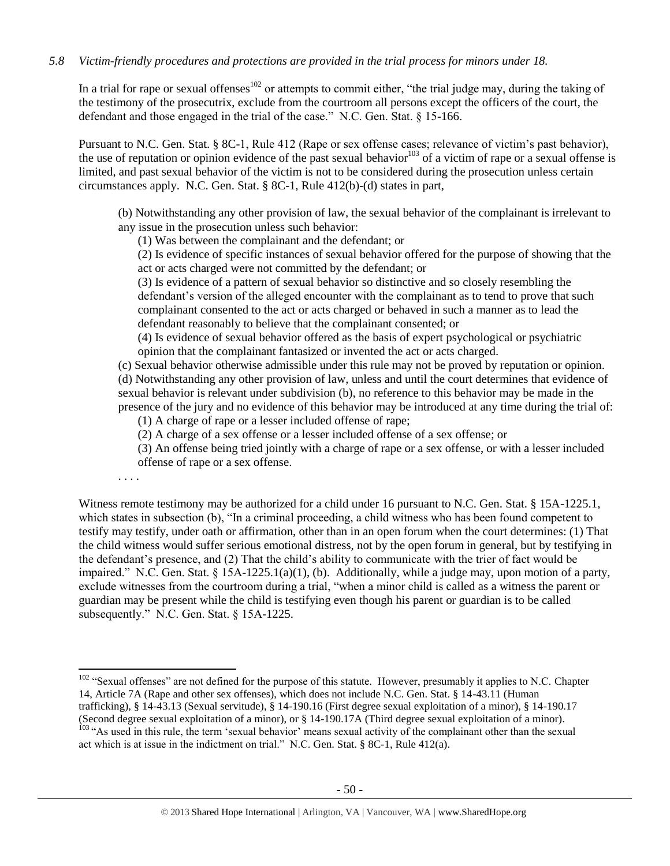# *5.8 Victim-friendly procedures and protections are provided in the trial process for minors under 18.*

In a trial for rape or sexual offenses<sup>102</sup> or attempts to commit either, "the trial judge may, during the taking of the testimony of the prosecutrix, exclude from the courtroom all persons except the officers of the court, the defendant and those engaged in the trial of the case." N.C. Gen. Stat. § 15-166.

Pursuant to N.C. Gen. Stat. § 8C-1, Rule 412 (Rape or sex offense cases; relevance of victim's past behavior), the use of reputation or opinion evidence of the past sexual behavior<sup>103</sup> of a victim of rape or a sexual offense is limited, and past sexual behavior of the victim is not to be considered during the prosecution unless certain circumstances apply. N.C. Gen. Stat. § 8C-1, Rule 412(b)-(d) states in part,

(b) Notwithstanding any other provision of law, the sexual behavior of the complainant is irrelevant to any issue in the prosecution unless such behavior:

(1) Was between the complainant and the defendant; or

(2) Is evidence of specific instances of sexual behavior offered for the purpose of showing that the act or acts charged were not committed by the defendant; or

(3) Is evidence of a pattern of sexual behavior so distinctive and so closely resembling the defendant's version of the alleged encounter with the complainant as to tend to prove that such complainant consented to the act or acts charged or behaved in such a manner as to lead the defendant reasonably to believe that the complainant consented; or

(4) Is evidence of sexual behavior offered as the basis of expert psychological or psychiatric opinion that the complainant fantasized or invented the act or acts charged.

(c) Sexual behavior otherwise admissible under this rule may not be proved by reputation or opinion. (d) Notwithstanding any other provision of law, unless and until the court determines that evidence of sexual behavior is relevant under subdivision (b), no reference to this behavior may be made in the presence of the jury and no evidence of this behavior may be introduced at any time during the trial of:

(1) A charge of rape or a lesser included offense of rape;

(2) A charge of a sex offense or a lesser included offense of a sex offense; or

(3) An offense being tried jointly with a charge of rape or a sex offense, or with a lesser included offense of rape or a sex offense.

. . . .

l

Witness remote testimony may be authorized for a child under 16 pursuant to N.C. Gen. Stat. § 15A-1225.1, which states in subsection (b), "In a criminal proceeding, a child witness who has been found competent to testify may testify, under oath or affirmation, other than in an open forum when the court determines: (1) That the child witness would suffer serious emotional distress, not by the open forum in general, but by testifying in the defendant's presence, and (2) That the child's ability to communicate with the trier of fact would be impaired." N.C. Gen. Stat. § 15A-1225.1(a)(1), (b). Additionally, while a judge may, upon motion of a party, exclude witnesses from the courtroom during a trial, "when a minor child is called as a witness the parent or guardian may be present while the child is testifying even though his parent or guardian is to be called subsequently." N.C. Gen. Stat. § 15A-1225.

 $102$  "Sexual offenses" are not defined for the purpose of this statute. However, presumably it applies to N.C. Chapter 14, Article 7A (Rape and other sex offenses), which does not include N.C. Gen. Stat. § 14-43.11 (Human trafficking), § 14-43.13 (Sexual servitude), § 14-190.16 (First degree sexual exploitation of a minor), § 14-190.17 (Second degree sexual exploitation of a minor), or § 14-190.17A (Third degree sexual exploitation of a minor). <sup>103</sup> "As used in this rule, the term 'sexual behavior' means sexual activity of the complainant other than the sexual act which is at issue in the indictment on trial." N.C. Gen. Stat. § 8C-1, Rule 412(a).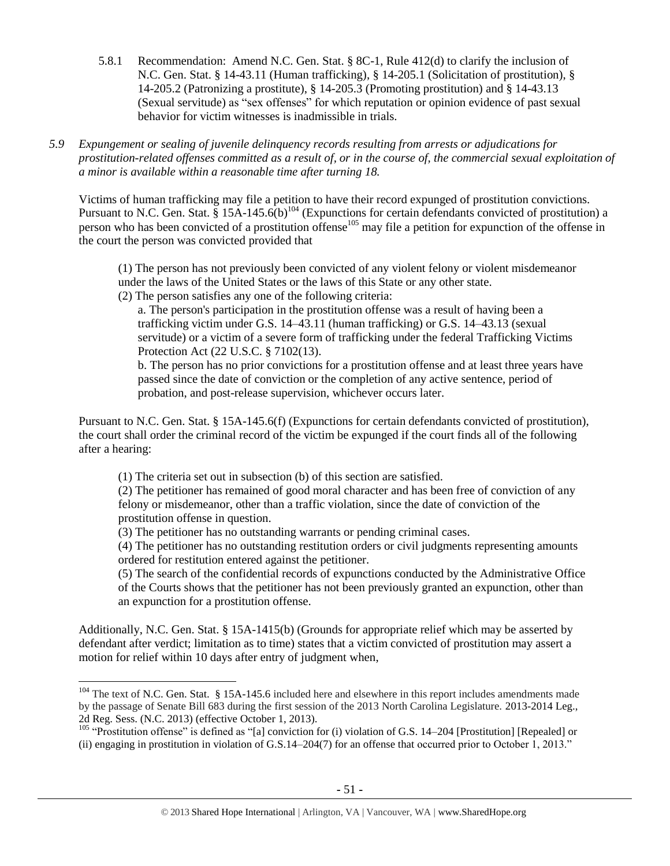5.8.1 Recommendation: Amend N.C. Gen. Stat. § 8C-1, Rule 412(d) to clarify the inclusion of N.C. Gen. Stat. § 14-43.11 (Human trafficking), § 14-205.1 (Solicitation of prostitution), § 14-205.2 (Patronizing a prostitute), § 14-205.3 (Promoting prostitution) and § 14-43.13 (Sexual servitude) as "sex offenses" for which reputation or opinion evidence of past sexual behavior for victim witnesses is inadmissible in trials.

*5.9 Expungement or sealing of juvenile delinquency records resulting from arrests or adjudications for prostitution-related offenses committed as a result of, or in the course of, the commercial sexual exploitation of a minor is available within a reasonable time after turning 18.*

Victims of human trafficking may file a petition to have their record expunged of prostitution convictions. Pursuant to N.C. Gen. Stat. § 15A-145.6(b)<sup>104</sup> (Expunctions for certain defendants convicted of prostitution) a person who has been convicted of a prostitution offense<sup>105</sup> may file a petition for expunction of the offense in the court the person was convicted provided that

(1) The person has not previously been convicted of any violent felony or violent misdemeanor under the laws of the United States or the laws of this State or any other state.

(2) The person satisfies any one of the following criteria:

a. The person's participation in the prostitution offense was a result of having been a trafficking victim under G.S. 14–43.11 (human trafficking) or G.S. 14–43.13 (sexual servitude) or a victim of a severe form of trafficking under the federal Trafficking Victims Protection Act (22 U.S.C. § 7102(13).

b. The person has no prior convictions for a prostitution offense and at least three years have passed since the date of conviction or the completion of any active sentence, period of probation, and post-release supervision, whichever occurs later.

Pursuant to N.C. Gen. Stat. § 15A-145.6(f) (Expunctions for certain defendants convicted of prostitution), the court shall order the criminal record of the victim be expunged if the court finds all of the following after a hearing:

(1) The criteria set out in subsection (b) of this section are satisfied.

 $\overline{a}$ 

(2) The petitioner has remained of good moral character and has been free of conviction of any felony or misdemeanor, other than a traffic violation, since the date of conviction of the prostitution offense in question.

(3) The petitioner has no outstanding warrants or pending criminal cases.

(4) The petitioner has no outstanding restitution orders or civil judgments representing amounts ordered for restitution entered against the petitioner.

(5) The search of the confidential records of expunctions conducted by the Administrative Office of the Courts shows that the petitioner has not been previously granted an expunction, other than an expunction for a prostitution offense.

Additionally, N.C. Gen. Stat. § 15A-1415(b) (Grounds for appropriate relief which may be asserted by defendant after verdict; limitation as to time) states that a victim convicted of prostitution may assert a motion for relief within 10 days after entry of judgment when,

 $104$  The text of N.C. Gen. Stat. § 15A-145.6 included here and elsewhere in this report includes amendments made by the passage of Senate Bill 683 during the first session of the 2013 North Carolina Legislature. 2013-2014 Leg., 2d Reg. Sess. (N.C. 2013) (effective October 1, 2013).

<sup>&</sup>lt;sup>105</sup> "Prostitution offense" is defined as "[a] conviction for (i) violation of G.S. 14–204 [Prostitution] [Repealed] or (ii) engaging in prostitution in violation of G.S.14–204(7) for an offense that occurred prior to October 1, 2013."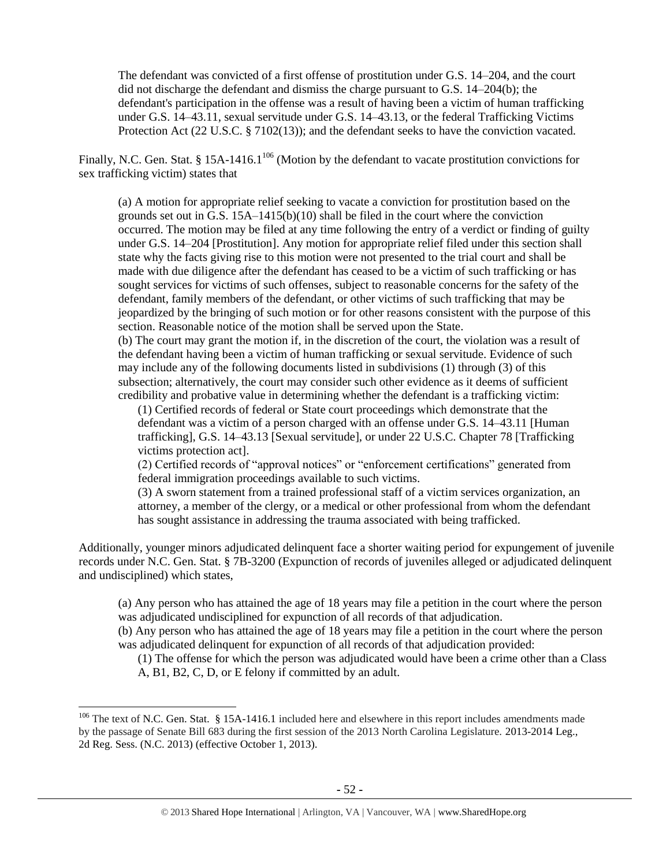The defendant was convicted of a first offense of prostitution under G.S. 14–204, and the court did not discharge the defendant and dismiss the charge pursuant to G.S. 14–204(b); the defendant's participation in the offense was a result of having been a victim of human trafficking under G.S. 14–43.11, sexual servitude under G.S. 14–43.13, or the federal Trafficking Victims Protection Act (22 U.S.C. § 7102(13)); and the defendant seeks to have the conviction vacated.

Finally, N.C. Gen. Stat. § 15A-1416.1<sup>106</sup> (Motion by the defendant to vacate prostitution convictions for sex trafficking victim) states that

(a) A motion for appropriate relief seeking to vacate a conviction for prostitution based on the grounds set out in G.S.  $15A-1415(b)(10)$  shall be filed in the court where the conviction occurred. The motion may be filed at any time following the entry of a verdict or finding of guilty under G.S. 14–204 [Prostitution]. Any motion for appropriate relief filed under this section shall state why the facts giving rise to this motion were not presented to the trial court and shall be made with due diligence after the defendant has ceased to be a victim of such trafficking or has sought services for victims of such offenses, subject to reasonable concerns for the safety of the defendant, family members of the defendant, or other victims of such trafficking that may be jeopardized by the bringing of such motion or for other reasons consistent with the purpose of this section. Reasonable notice of the motion shall be served upon the State.

(b) The court may grant the motion if, in the discretion of the court, the violation was a result of the defendant having been a victim of human trafficking or sexual servitude. Evidence of such may include any of the following documents listed in subdivisions (1) through (3) of this subsection; alternatively, the court may consider such other evidence as it deems of sufficient credibility and probative value in determining whether the defendant is a trafficking victim:

(1) Certified records of federal or State court proceedings which demonstrate that the defendant was a victim of a person charged with an offense under G.S. 14–43.11 [Human trafficking], G.S. 14–43.13 [Sexual servitude], or under 22 U.S.C. Chapter 78 [Trafficking victims protection act].

(2) Certified records of "approval notices" or "enforcement certifications" generated from federal immigration proceedings available to such victims.

(3) A sworn statement from a trained professional staff of a victim services organization, an attorney, a member of the clergy, or a medical or other professional from whom the defendant has sought assistance in addressing the trauma associated with being trafficked.

Additionally, younger minors adjudicated delinquent face a shorter waiting period for expungement of juvenile records under N.C. Gen. Stat. § 7B-3200 (Expunction of records of juveniles alleged or adjudicated delinquent and undisciplined) which states,

(a) Any person who has attained the age of 18 years may file a petition in the court where the person was adjudicated undisciplined for expunction of all records of that adjudication.

(b) Any person who has attained the age of 18 years may file a petition in the court where the person was adjudicated delinquent for expunction of all records of that adjudication provided:

(1) The offense for which the person was adjudicated would have been a crime other than a Class A, B1, B2, C, D, or E felony if committed by an adult.

 $\overline{\phantom{a}}$ 

 $106$  The text of N.C. Gen. Stat. § 15A-1416.1 included here and elsewhere in this report includes amendments made by the passage of Senate Bill 683 during the first session of the 2013 North Carolina Legislature. 2013-2014 Leg., 2d Reg. Sess. (N.C. 2013) (effective October 1, 2013).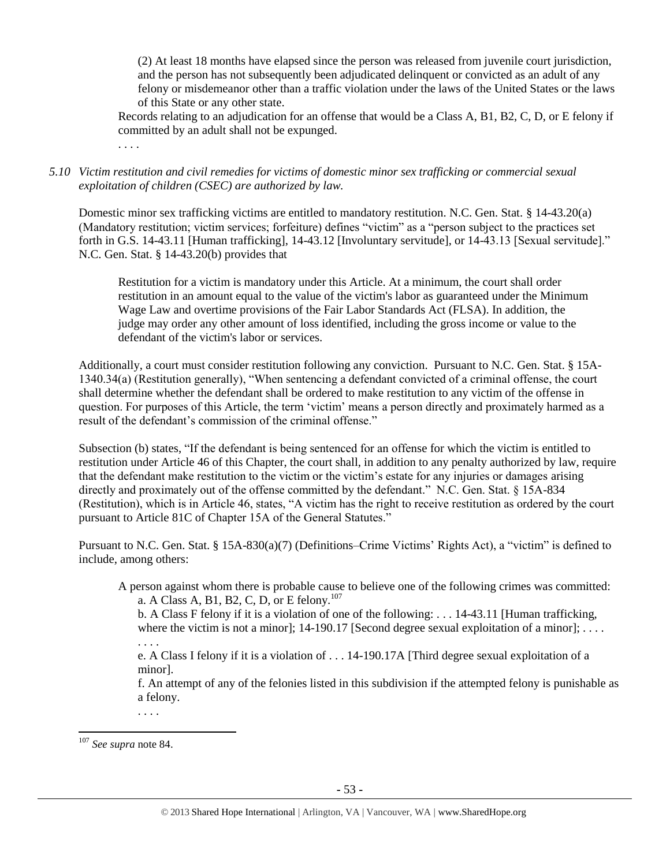(2) At least 18 months have elapsed since the person was released from juvenile court jurisdiction, and the person has not subsequently been adjudicated delinquent or convicted as an adult of any felony or misdemeanor other than a traffic violation under the laws of the United States or the laws of this State or any other state.

Records relating to an adjudication for an offense that would be a Class A, B1, B2, C, D, or E felony if committed by an adult shall not be expunged.

. . . .

*5.10 Victim restitution and civil remedies for victims of domestic minor sex trafficking or commercial sexual exploitation of children (CSEC) are authorized by law.* 

Domestic minor sex trafficking victims are entitled to mandatory restitution. N.C. Gen. Stat. § 14-43.20(a) (Mandatory restitution; victim services; forfeiture) defines "victim" as a "person subject to the practices set forth in G.S. 14-43.11 [Human trafficking], 14-43.12 [Involuntary servitude], or 14-43.13 [Sexual servitude]." N.C. Gen. Stat. § 14-43.20(b) provides that

Restitution for a victim is mandatory under this Article. At a minimum, the court shall order restitution in an amount equal to the value of the victim's labor as guaranteed under the Minimum Wage Law and overtime provisions of the Fair Labor Standards Act (FLSA). In addition, the judge may order any other amount of loss identified, including the gross income or value to the defendant of the victim's labor or services.

Additionally, a court must consider restitution following any conviction. Pursuant to N.C. Gen. Stat. § 15A-1340.34(a) (Restitution generally), "When sentencing a defendant convicted of a criminal offense, the court shall determine whether the defendant shall be ordered to make restitution to any victim of the offense in question. For purposes of this Article, the term 'victim' means a person directly and proximately harmed as a result of the defendant's commission of the criminal offense."

Subsection (b) states, "If the defendant is being sentenced for an offense for which the victim is entitled to restitution under Article 46 of this Chapter, the court shall, in addition to any penalty authorized by law, require that the defendant make restitution to the victim or the victim's estate for any injuries or damages arising directly and proximately out of the offense committed by the defendant." N.C. Gen. Stat. § 15A-834 (Restitution), which is in Article 46, states, "A victim has the right to receive restitution as ordered by the court pursuant to Article 81C of Chapter 15A of the General Statutes."

Pursuant to N.C. Gen. Stat. § 15A-830(a)(7) (Definitions–Crime Victims' Rights Act), a "victim" is defined to include, among others:

A person against whom there is probable cause to believe one of the following crimes was committed: a. A Class A, B1, B2, C, D, or E felony.<sup>107</sup>

b. A Class F felony if it is a violation of one of the following: . . . 14-43.11 [Human trafficking, where the victim is not a minor];  $14-190.17$  [Second degree sexual exploitation of a minor]; ...

. . . . e. A Class I felony if it is a violation of . . . 14-190.17A [Third degree sexual exploitation of a minor].

f. An attempt of any of the felonies listed in this subdivision if the attempted felony is punishable as a felony.

. . . .

 $\overline{\phantom{a}}$ <sup>107</sup> *See supra* not[e 84.](#page-34-0)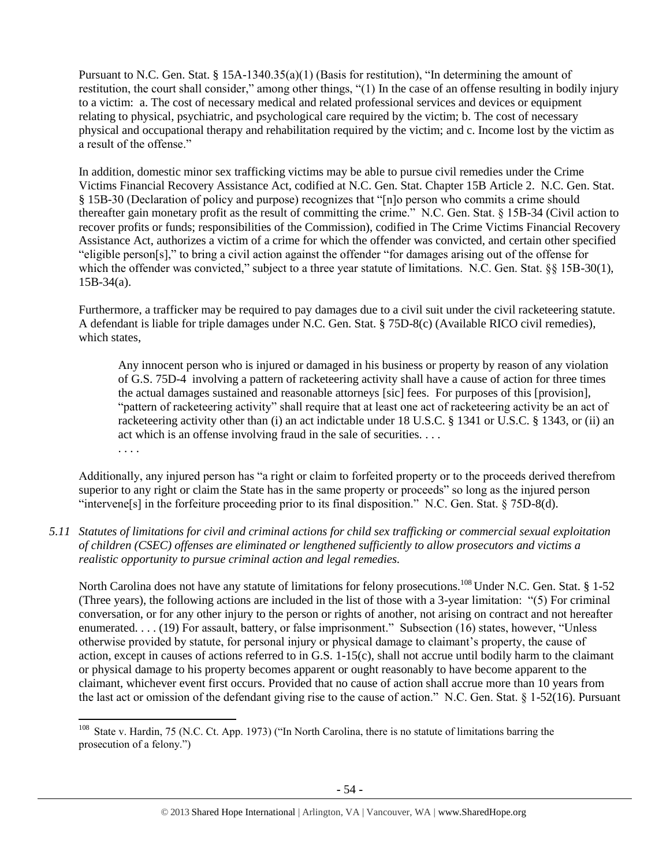Pursuant to N.C. Gen. Stat. § 15A-1340.35(a)(1) (Basis for restitution), "In determining the amount of restitution, the court shall consider," among other things, "(1) In the case of an offense resulting in bodily injury to a victim: a. The cost of necessary medical and related professional services and devices or equipment relating to physical, psychiatric, and psychological care required by the victim; b. The cost of necessary physical and occupational therapy and rehabilitation required by the victim; and c. Income lost by the victim as a result of the offense."

In addition, domestic minor sex trafficking victims may be able to pursue civil remedies under the Crime Victims Financial Recovery Assistance Act, codified at N.C. Gen. Stat. Chapter 15B Article 2. N.C. Gen. Stat. § 15B-30 (Declaration of policy and purpose) recognizes that "[n]o person who commits a crime should thereafter gain monetary profit as the result of committing the crime." N.C. Gen. Stat. § 15B-34 (Civil action to recover profits or funds; responsibilities of the Commission), codified in The Crime Victims Financial Recovery Assistance Act, authorizes a victim of a crime for which the offender was convicted, and certain other specified "eligible person[s]," to bring a civil action against the offender "for damages arising out of the offense for which the offender was convicted," subject to a three year statute of limitations. N.C. Gen. Stat. §§ 15B-30(1), 15B-34(a).

Furthermore, a trafficker may be required to pay damages due to a civil suit under the civil racketeering statute. A defendant is liable for triple damages under N.C. Gen. Stat. § 75D-8(c) (Available RICO civil remedies), which states,

Any innocent person who is injured or damaged in his business or property by reason of any violation of G.S. 75D-4 involving a pattern of racketeering activity shall have a cause of action for three times the actual damages sustained and reasonable attorneys [sic] fees. For purposes of this [provision], "pattern of racketeering activity" shall require that at least one act of racketeering activity be an act of racketeering activity other than (i) an act indictable under 18 U.S.C. § 1341 or U.S.C. § 1343, or (ii) an act which is an offense involving fraud in the sale of securities. . . . . . . .

Additionally, any injured person has "a right or claim to forfeited property or to the proceeds derived therefrom superior to any right or claim the State has in the same property or proceeds" so long as the injured person "intervene[s] in the forfeiture proceeding prior to its final disposition." N.C. Gen. Stat. § 75D-8(d).

*5.11 Statutes of limitations for civil and criminal actions for child sex trafficking or commercial sexual exploitation of children (CSEC) offenses are eliminated or lengthened sufficiently to allow prosecutors and victims a realistic opportunity to pursue criminal action and legal remedies.*

North Carolina does not have any statute of limitations for felony prosecutions.<sup>108</sup> Under N.C. Gen. Stat. § 1-52 (Three years), the following actions are included in the list of those with a 3-year limitation: "(5) For criminal conversation, or for any other injury to the person or rights of another, not arising on contract and not hereafter enumerated. . . . (19) For assault, battery, or false imprisonment." Subsection (16) states, however, "Unless otherwise provided by statute, for personal injury or physical damage to claimant's property, the cause of action, except in causes of actions referred to in G.S. 1-15(c), shall not accrue until bodily harm to the claimant or physical damage to his property becomes apparent or ought reasonably to have become apparent to the claimant, whichever event first occurs. Provided that no cause of action shall accrue more than 10 years from the last act or omission of the defendant giving rise to the cause of action." N.C. Gen. Stat. § 1-52(16). Pursuant

<sup>&</sup>lt;sup>108</sup> State v. Hardin, 75 (N.C. Ct. App. 1973) ("In North Carolina, there is no statute of limitations barring the prosecution of a felony.")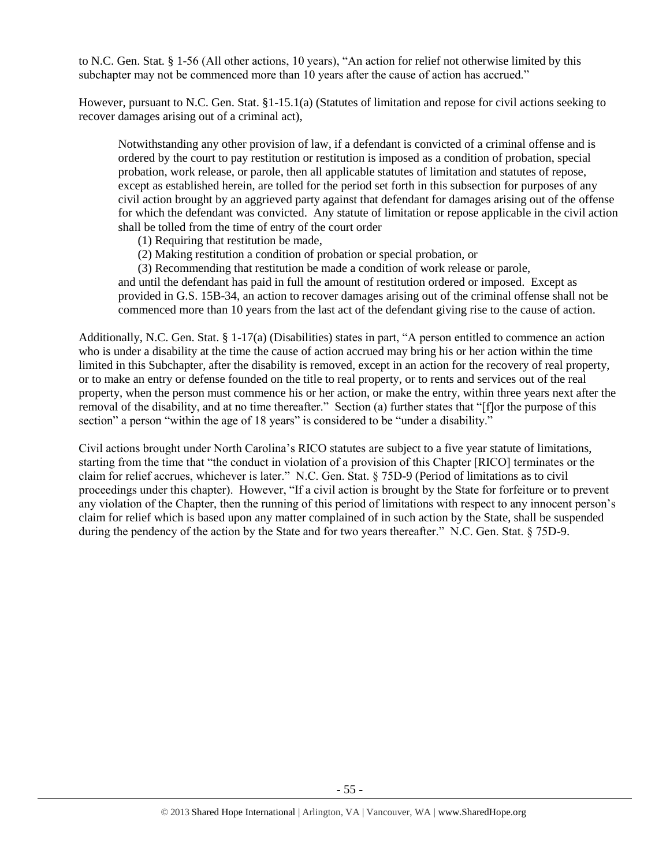to N.C. Gen. Stat. § 1-56 (All other actions, 10 years), "An action for relief not otherwise limited by this subchapter may not be commenced more than 10 years after the cause of action has accrued."

However, pursuant to N.C. Gen. Stat. §1-15.1(a) (Statutes of limitation and repose for civil actions seeking to recover damages arising out of a criminal act),

Notwithstanding any other provision of law, if a defendant is convicted of a criminal offense and is ordered by the court to pay restitution or restitution is imposed as a condition of probation, special probation, work release, or parole, then all applicable statutes of limitation and statutes of repose, except as established herein, are tolled for the period set forth in this subsection for purposes of any civil action brought by an aggrieved party against that defendant for damages arising out of the offense for which the defendant was convicted. Any statute of limitation or repose applicable in the civil action shall be tolled from the time of entry of the court order

(1) Requiring that restitution be made,

(2) Making restitution a condition of probation or special probation, or

(3) Recommending that restitution be made a condition of work release or parole, and until the defendant has paid in full the amount of restitution ordered or imposed. Except as provided in G.S. 15B-34, an action to recover damages arising out of the criminal offense shall not be commenced more than 10 years from the last act of the defendant giving rise to the cause of action.

Additionally, N.C. Gen. Stat. § 1-17(a) (Disabilities) states in part, "A person entitled to commence an action who is under a disability at the time the cause of action accrued may bring his or her action within the time limited in this Subchapter, after the disability is removed, except in an action for the recovery of real property, or to make an entry or defense founded on the title to real property, or to rents and services out of the real property, when the person must commence his or her action, or make the entry, within three years next after the removal of the disability, and at no time thereafter." Section (a) further states that "[f]or the purpose of this section" a person "within the age of 18 years" is considered to be "under a disability."

Civil actions brought under North Carolina's RICO statutes are subject to a five year statute of limitations, starting from the time that "the conduct in violation of a provision of this Chapter [RICO] terminates or the claim for relief accrues, whichever is later." N.C. Gen. Stat. § 75D-9 (Period of limitations as to civil proceedings under this chapter). However, "If a civil action is brought by the State for forfeiture or to prevent any violation of the Chapter, then the running of this period of limitations with respect to any innocent person's claim for relief which is based upon any matter complained of in such action by the State, shall be suspended during the pendency of the action by the State and for two years thereafter." N.C. Gen. Stat. § 75D-9.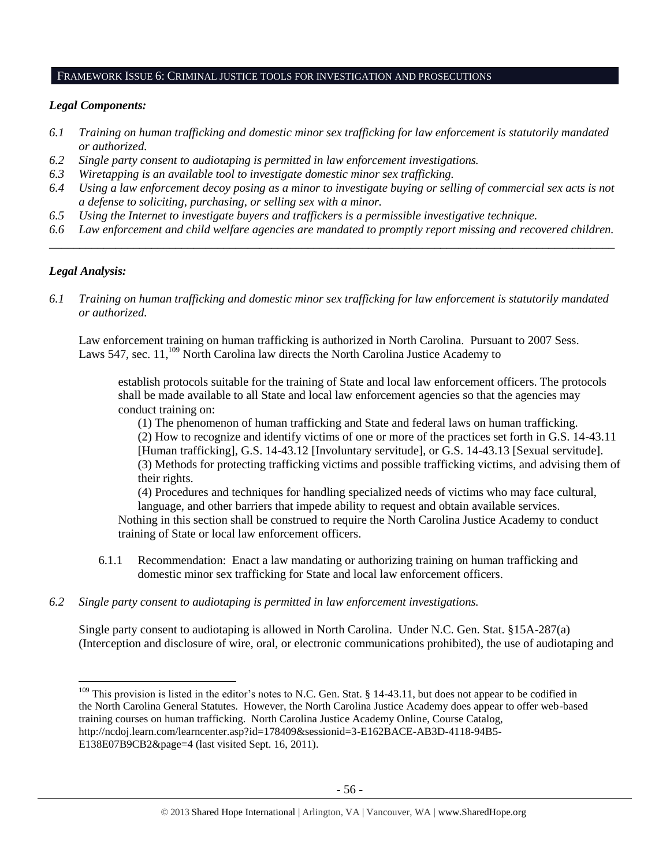#### FRAMEWORK ISSUE 6: CRIMINAL JUSTICE TOOLS FOR INVESTIGATION AND PROSECUTIONS

#### *Legal Components:*

- *6.1 Training on human trafficking and domestic minor sex trafficking for law enforcement is statutorily mandated or authorized.*
- *6.2 Single party consent to audiotaping is permitted in law enforcement investigations.*
- *6.3 Wiretapping is an available tool to investigate domestic minor sex trafficking.*
- *6.4 Using a law enforcement decoy posing as a minor to investigate buying or selling of commercial sex acts is not a defense to soliciting, purchasing, or selling sex with a minor.*
- *6.5 Using the Internet to investigate buyers and traffickers is a permissible investigative technique.*
- *6.6 Law enforcement and child welfare agencies are mandated to promptly report missing and recovered children. \_\_\_\_\_\_\_\_\_\_\_\_\_\_\_\_\_\_\_\_\_\_\_\_\_\_\_\_\_\_\_\_\_\_\_\_\_\_\_\_\_\_\_\_\_\_\_\_\_\_\_\_\_\_\_\_\_\_\_\_\_\_\_\_\_\_\_\_\_\_\_\_\_\_\_\_\_\_\_\_\_\_\_\_\_\_\_\_\_\_\_\_\_\_*

#### *Legal Analysis:*

 $\overline{a}$ 

*6.1 Training on human trafficking and domestic minor sex trafficking for law enforcement is statutorily mandated or authorized.*

Law enforcement training on human trafficking is authorized in North Carolina. Pursuant to 2007 Sess. Laws 547, sec.  $11,^{109}$  North Carolina law directs the North Carolina Justice Academy to

establish protocols suitable for the training of State and local law enforcement officers. The protocols shall be made available to all State and local law enforcement agencies so that the agencies may conduct training on:

(1) The phenomenon of human trafficking and State and federal laws on human trafficking. (2) How to recognize and identify victims of one or more of the practices set forth in G.S. 14-43.11 [Human trafficking], G.S. 14-43.12 [Involuntary servitude], or G.S. 14-43.13 [Sexual servitude]. (3) Methods for protecting trafficking victims and possible trafficking victims, and advising them of their rights.

(4) Procedures and techniques for handling specialized needs of victims who may face cultural, language, and other barriers that impede ability to request and obtain available services.

Nothing in this section shall be construed to require the North Carolina Justice Academy to conduct training of State or local law enforcement officers.

- 6.1.1 Recommendation: Enact a law mandating or authorizing training on human trafficking and domestic minor sex trafficking for State and local law enforcement officers.
- *6.2 Single party consent to audiotaping is permitted in law enforcement investigations.*

Single party consent to audiotaping is allowed in North Carolina. Under N.C. Gen. Stat. §15A-287(a) (Interception and disclosure of wire, oral, or electronic communications prohibited), the use of audiotaping and

 $109$  This provision is listed in the editor's notes to N.C. Gen. Stat. § 14-43.11, but does not appear to be codified in the North Carolina General Statutes. However, the North Carolina Justice Academy does appear to offer web-based training courses on human trafficking. North Carolina Justice Academy Online, Course Catalog, http://ncdoj.learn.com/learncenter.asp?id=178409&sessionid=3-E162BACE-AB3D-4118-94B5- E138E07B9CB2&page=4 (last visited Sept. 16, 2011).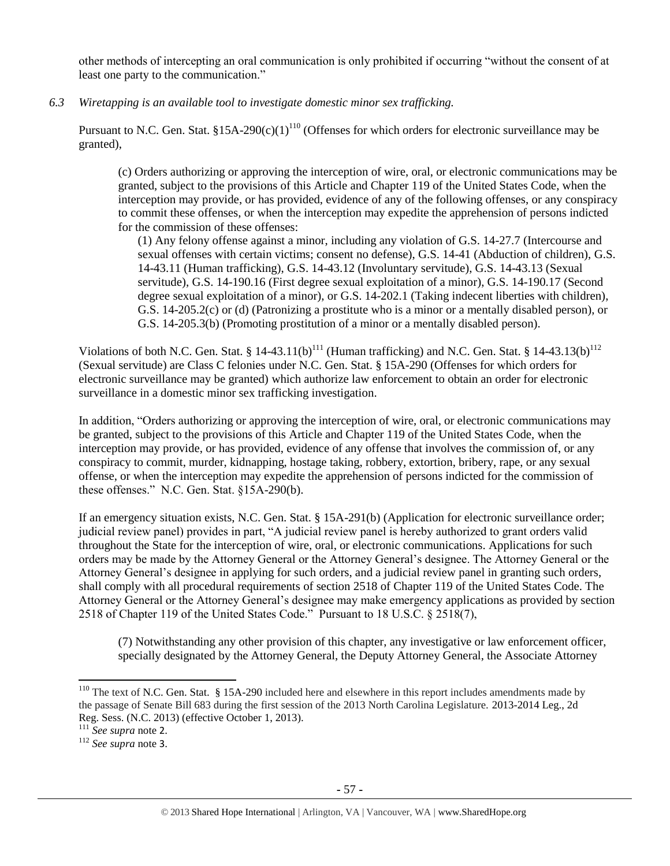other methods of intercepting an oral communication is only prohibited if occurring "without the consent of at least one party to the communication."

*6.3 Wiretapping is an available tool to investigate domestic minor sex trafficking.* 

Pursuant to N.C. Gen. Stat. §15A-290(c)(1)<sup>110</sup> (Offenses for which orders for electronic surveillance may be granted),

(c) Orders authorizing or approving the interception of wire, oral, or electronic communications may be granted, subject to the provisions of this Article and Chapter 119 of the United States Code, when the interception may provide, or has provided, evidence of any of the following offenses, or any conspiracy to commit these offenses, or when the interception may expedite the apprehension of persons indicted for the commission of these offenses:

(1) Any felony offense against a minor, including any violation of G.S. 14-27.7 (Intercourse and sexual offenses with certain victims; consent no defense), G.S. 14-41 (Abduction of children), G.S. 14-43.11 (Human trafficking), G.S. 14-43.12 (Involuntary servitude), G.S. 14-43.13 (Sexual servitude), G.S. 14-190.16 (First degree sexual exploitation of a minor), G.S. 14-190.17 (Second degree sexual exploitation of a minor), or G.S. 14-202.1 (Taking indecent liberties with children), G.S. 14-205.2(c) or (d) (Patronizing a prostitute who is a minor or a mentally disabled person), or G.S. 14-205.3(b) (Promoting prostitution of a minor or a mentally disabled person).

Violations of both N.C. Gen. Stat. § 14-43.11(b)<sup>111</sup> (Human trafficking) and N.C. Gen. Stat. § 14-43.13(b)<sup>112</sup> (Sexual servitude) are Class C felonies under N.C. Gen. Stat. § 15A-290 (Offenses for which orders for electronic surveillance may be granted) which authorize law enforcement to obtain an order for electronic surveillance in a domestic minor sex trafficking investigation.

In addition, "Orders authorizing or approving the interception of wire, oral, or electronic communications may be granted, subject to the provisions of this Article and Chapter 119 of the United States Code, when the interception may provide, or has provided, evidence of any offense that involves the commission of, or any conspiracy to commit, murder, kidnapping, hostage taking, robbery, extortion, bribery, rape, or any sexual offense, or when the interception may expedite the apprehension of persons indicted for the commission of these offenses." N.C. Gen. Stat. §15A-290(b).

If an emergency situation exists, N.C. Gen. Stat. § 15A-291(b) (Application for electronic surveillance order; judicial review panel) provides in part, "A judicial review panel is hereby authorized to grant orders valid throughout the State for the interception of wire, oral, or electronic communications. Applications for such orders may be made by the Attorney General or the Attorney General's designee. The Attorney General or the Attorney General's designee in applying for such orders, and a judicial review panel in granting such orders, shall comply with all procedural requirements of section 2518 of Chapter 119 of the United States Code. The Attorney General or the Attorney General's designee may make emergency applications as provided by section 2518 of Chapter 119 of the United States Code." Pursuant to 18 U.S.C. § 2518(7),

(7) Notwithstanding any other provision of this chapter, any investigative or law enforcement officer, specially designated by the Attorney General, the Deputy Attorney General, the Associate Attorney

 $110$  The text of N.C. Gen. Stat. § 15A-290 included here and elsewhere in this report includes amendments made by the passage of Senate Bill 683 during the first session of the 2013 North Carolina Legislature. 2013-2014 Leg., 2d Reg. Sess. (N.C. 2013) (effective October 1, 2013).

<sup>111</sup> *See supra* note [2](#page-0-0).

<sup>112</sup> *See supra* note [3](#page-1-0).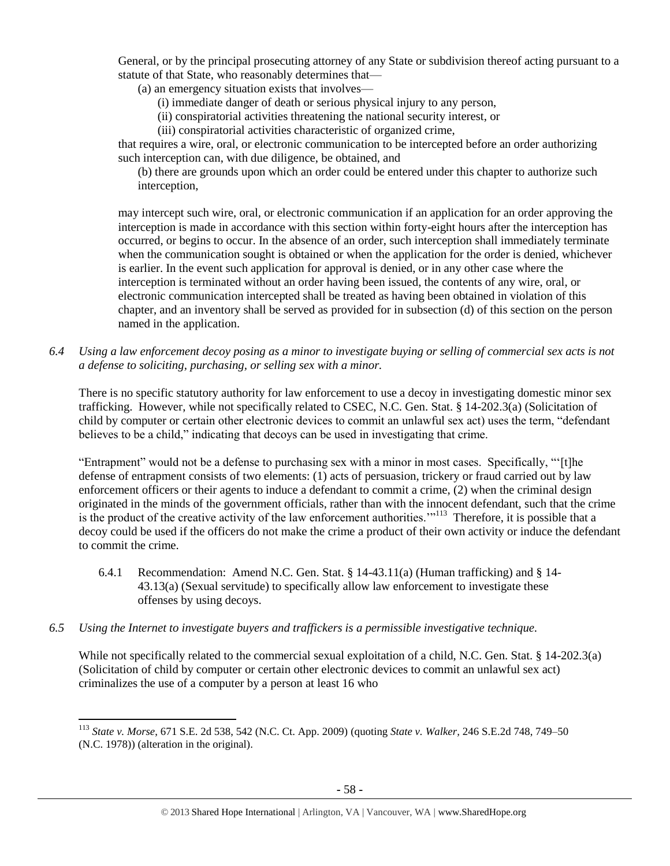General, or by the principal prosecuting attorney of any State or subdivision thereof acting pursuant to a statute of that State, who reasonably determines that—

(a) an emergency situation exists that involves—

- (i) immediate danger of death or serious physical injury to any person,
- (ii) conspiratorial activities threatening the national security interest, or
- (iii) conspiratorial activities characteristic of organized crime,

that requires a wire, oral, or electronic communication to be intercepted before an order authorizing such interception can, with due diligence, be obtained, and

(b) there are grounds upon which an order could be entered under this chapter to authorize such interception,

may intercept such wire, oral, or electronic communication if an application for an order approving the interception is made in accordance with this section within forty-eight hours after the interception has occurred, or begins to occur. In the absence of an order, such interception shall immediately terminate when the communication sought is obtained or when the application for the order is denied, whichever is earlier. In the event such application for approval is denied, or in any other case where the interception is terminated without an order having been issued, the contents of any wire, oral, or electronic communication intercepted shall be treated as having been obtained in violation of this chapter, and an inventory shall be served as provided for in subsection (d) of this section on the person named in the application.

*6.4 Using a law enforcement decoy posing as a minor to investigate buying or selling of commercial sex acts is not a defense to soliciting, purchasing, or selling sex with a minor.*

There is no specific statutory authority for law enforcement to use a decoy in investigating domestic minor sex trafficking. However, while not specifically related to CSEC, N.C. Gen. Stat. § 14-202.3(a) (Solicitation of child by computer or certain other electronic devices to commit an unlawful sex act) uses the term, "defendant believes to be a child," indicating that decoys can be used in investigating that crime.

"Entrapment" would not be a defense to purchasing sex with a minor in most cases. Specifically, "'[t]he defense of entrapment consists of two elements: (1) acts of persuasion, trickery or fraud carried out by law enforcement officers or their agents to induce a defendant to commit a crime, (2) when the criminal design originated in the minds of the government officials, rather than with the innocent defendant, such that the crime is the product of the creative activity of the law enforcement authorities."<sup>113</sup> Therefore, it is possible that a decoy could be used if the officers do not make the crime a product of their own activity or induce the defendant to commit the crime.

- 6.4.1 Recommendation: Amend N.C. Gen. Stat. § 14-43.11(a) (Human trafficking) and § 14- 43.13(a) (Sexual servitude) to specifically allow law enforcement to investigate these offenses by using decoys.
- *6.5 Using the Internet to investigate buyers and traffickers is a permissible investigative technique.*

l

While not specifically related to the commercial sexual exploitation of a child, N.C. Gen. Stat. § 14-202.3(a) (Solicitation of child by computer or certain other electronic devices to commit an unlawful sex act) criminalizes the use of a computer by a person at least 16 who

<sup>113</sup> *State v. Morse*, 671 S.E. 2d 538, 542 (N.C. Ct. App. 2009) (quoting *State v. Walker,* [246 S.E.2d 748, 749–50](http://www.lexis.com/research/buttonTFLink?_m=13e053ecddd45ea015abf329815936b6&_xfercite=%3ccite%20cc%3d%22USA%22%3e%3c%21%5bCDATA%5b194%20N.C.%20App.%20685%5d%5d%3e%3c%2fcite%3e&_butType=3&_butStat=2&_butNum=16&_butInline=1&_butinfo=%3ccite%20cc%3d%22USA%22%3e%3c%21%5bCDATA%5b153%20N.C.%20App.%2091%2c%2099%5d%5d%3e%3c%2fcite%3e&_fmtstr=FULL&docnum=1&_startdoc=1&wchp=dGLbVzS-zSkAb&_md5=9625a573a82f993126842fc01d8b3429)  [\(N.C. 1978\)\)](http://www.lexis.com/research/buttonTFLink?_m=13e053ecddd45ea015abf329815936b6&_xfercite=%3ccite%20cc%3d%22USA%22%3e%3c%21%5bCDATA%5b194%20N.C.%20App.%20685%5d%5d%3e%3c%2fcite%3e&_butType=3&_butStat=2&_butNum=16&_butInline=1&_butinfo=%3ccite%20cc%3d%22USA%22%3e%3c%21%5bCDATA%5b153%20N.C.%20App.%2091%2c%2099%5d%5d%3e%3c%2fcite%3e&_fmtstr=FULL&docnum=1&_startdoc=1&wchp=dGLbVzS-zSkAb&_md5=9625a573a82f993126842fc01d8b3429) (alteration in the original).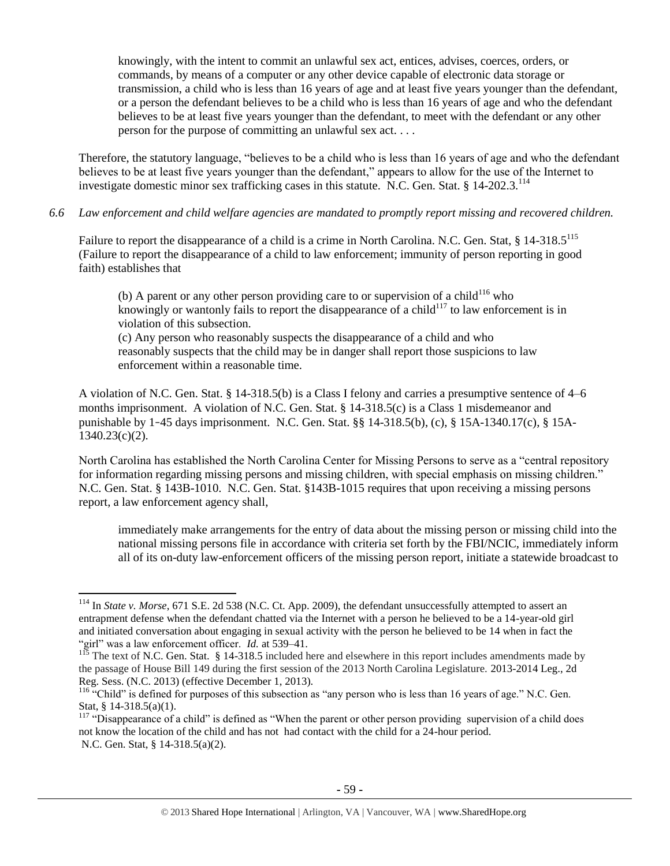knowingly, with the intent to commit an unlawful sex act, entices, advises, coerces, orders, or commands, by means of a computer or any other device capable of electronic data storage or transmission, a child who is less than 16 years of age and at least five years younger than the defendant, or a person the defendant believes to be a child who is less than 16 years of age and who the defendant believes to be at least five years younger than the defendant, to meet with the defendant or any other person for the purpose of committing an unlawful sex act. . . .

Therefore, the statutory language, "believes to be a child who is less than 16 years of age and who the defendant believes to be at least five years younger than the defendant," appears to allow for the use of the Internet to investigate domestic minor sex trafficking cases in this statute. N.C. Gen. Stat. § 14-202.3.<sup>114</sup>

*6.6 Law enforcement and child welfare agencies are mandated to promptly report missing and recovered children.*

Failure to report the disappearance of a child is a crime in North Carolina. N.C. Gen. Stat, § 14-318.5<sup>115</sup> (Failure to report the disappearance of a child to law enforcement; immunity of person reporting in good faith) establishes that

(b) A parent or any other person providing care to or supervision of a child<sup>116</sup> who knowingly or wantonly fails to report the disappearance of a child<sup>117</sup> to law enforcement is in violation of this subsection.

(c) Any person who reasonably suspects the disappearance of a child and who reasonably suspects that the child may be in danger shall report those suspicions to law enforcement within a reasonable time.

A violation of N.C. Gen. Stat. § 14-318.5(b) is a Class I felony and carries a presumptive sentence of 4–6 months imprisonment. A violation of N.C. Gen. Stat. § 14-318.5(c) is a Class 1 misdemeanor and punishable by 1–45 days imprisonment. N.C. Gen. Stat. §§ 14-318.5(b), (c), § 15A-1340.17(c), § 15A-1340.23(c)(2).

North Carolina has established the North Carolina Center for Missing Persons to serve as a "central repository for information regarding missing persons and missing children, with special emphasis on missing children." N.C. Gen. Stat. § 143B-1010. N.C. Gen. Stat. §143B-1015 requires that upon receiving a missing persons report, a law enforcement agency shall,

immediately make arrangements for the entry of data about the missing person or missing child into the national missing persons file in accordance with criteria set forth by the FBI/NCIC, immediately inform all of its on-duty law-enforcement officers of the missing person report, initiate a statewide broadcast to

<sup>114</sup> In *State v. Morse*, 671 S.E. 2d 538 (N.C. Ct. App. 2009), the defendant unsuccessfully attempted to assert an entrapment defense when the defendant chatted via the Internet with a person he believed to be a 14-year-old girl and initiated conversation about engaging in sexual activity with the person he believed to be 14 when in fact the "girl" was a law enforcement officer. *Id.* at 539–41.

<sup>&</sup>lt;sup>115</sup> The text of N.C. Gen. Stat. § 14-318.5 included here and elsewhere in this report includes amendments made by the passage of House Bill 149 during the first session of the 2013 North Carolina Legislature. 2013-2014 Leg., 2d Reg. Sess. (N.C. 2013) (effective December 1, 2013).

<sup>116 &</sup>quot;Child" is defined for purposes of this subsection as "any person who is less than 16 years of age." N.C. Gen. Stat, § 14-318.5(a)(1).

<sup>&</sup>lt;sup>117</sup> "Disappearance of a child" is defined as "When the parent or other person providing supervision of a child does not know the location of the child and has not had contact with the child for a 24-hour period. N.C. Gen. Stat, § 14-318.5(a)(2).